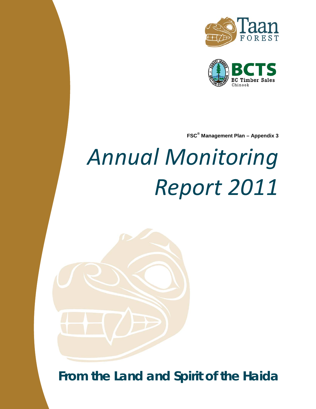



**FSC® Management Plan – Appendix 3**

# *Annual Monitoring Report 2011*

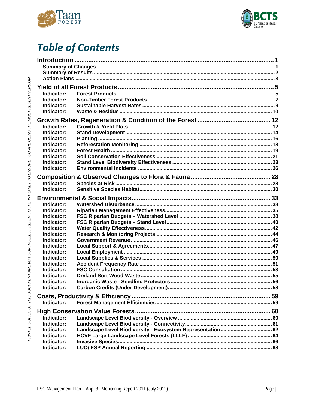



# **Table of Contents**

| Indicator:<br>Indicator:<br>Indicator:<br>Indicator:                                                                                                                                                           |  |  |  |  |  |  |
|----------------------------------------------------------------------------------------------------------------------------------------------------------------------------------------------------------------|--|--|--|--|--|--|
| Indicator:<br>Indicator:<br>Indicator:<br>Indicator:<br>Indicator:<br>Indicator:<br>Indicator:<br>Indicator:                                                                                                   |  |  |  |  |  |  |
| Indicator:<br>Indicator:                                                                                                                                                                                       |  |  |  |  |  |  |
| Indicator:<br>Indicator:<br>Indicator:<br>Indicator:<br>Indicator:<br>Indicator:<br>Indicator:<br>Indicator:<br>Indicator:<br>Indicator:<br>Indicator:<br>Indicator:<br>Indicator:<br>Indicator:<br>Indicator: |  |  |  |  |  |  |
| Indicator:                                                                                                                                                                                                     |  |  |  |  |  |  |
| Indicator:<br>Indicator:<br>Indicator:<br>Indicator:<br>Indicator:<br>Indicator:                                                                                                                               |  |  |  |  |  |  |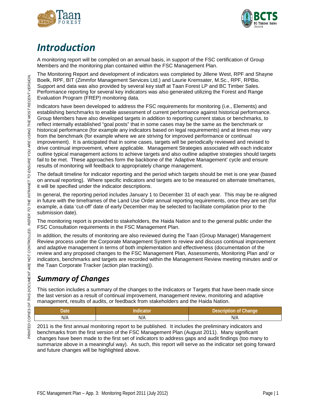



# <span id="page-2-0"></span>*Introduction*

A monitoring report will be compiled on an annual basis, in support of the FSC certification of Group Members and the monitoring plan contained within the FSC Management Plan.

The Monitoring Report and development of indicators was completed by Jillene West, RPF and Shayne Boelk, RPF, BIT (Zimmfor Management Services Ltd.) and Laurie Kremsater, M.Sc., RPF, RPBio. Support and data was also provided by several key staff at Taan Forest LP and BC Timber Sales. Performance reporting for several key indicators was also generated utilizing the Forest and Range Evaluation Program (FREP) monitoring data.

Indicators have been developed to address the FSC requirements for monitoring (i.e., Elements) and establishing benchmarks to enable assessment of current performance against historical performance. Group Members have also developed targets in addition to reporting current status or benchmarks, to reflect internally established "goal posts" that in some cases may be the same as the benchmark or historical performance (for example any indicators based on legal requirements) and at times may vary from the benchmark (for example where we are striving for improved performance or continual improvement). It is anticipated that in some cases, targets will be periodically reviewed and revised to drive continual improvement, where applicable. Management Strategies associated with each indicator outline typical management actions to achieve targets and also outline adaptive strategies should targets fail to be met. These approaches form the backbone of the 'Adaptive Management' cycle and ensure results of monitoring will feedback to appropriately change management.

The default timeline for indicator reporting and the period which targets should be met is one year (based on annual reporting). Where specific indicators and targets are to be measured on alternate timeframes, it will be specified under the indicator descriptions.

In general, the reporting period includes January 1 to December 31 of each year. This may be re-aligned in future with the timeframes of the Land Use Order annual reporting requirements, once they are set (for example, a data 'cut-off' date of early December may be selected to facilitate compilation prior to the submission date).

The monitoring report is provided to stakeholders, the Haida Nation and to the general public under the FSC Consultation requirements in the FSC Management Plan.

In addition, the results of monitoring are also reviewed during the Taan (Group Manager) Management Review process under the Corporate Management System to review and discuss continual improvement and adaptive management in terms of both implementation and effectiveness (documentation of the review and any proposed changes to the FSC Management Plan, Assessments, Monitoring Plan and/ or indicators, benchmarks and targets are recorded within the Management Review meeting minutes and/ or the Taan Corporate Tracker (action plan tracking)).

### <span id="page-2-1"></span>*Summary of Changes*

This section includes a summary of the changes to the Indicators or Targets that have been made since the last version as a result of continual improvement, management review, monitoring and adaptive management, results of audits, or feedback from stakeholders and the Haida Nation.

| Date, |     | Change<br>NTh.<br>. |
|-------|-----|---------------------|
| N/A   | N/A | N/A                 |

2011 is the first annual monitoring report to be published. It includes the preliminary indicators and benchmarks from the first version of the FSC Management Plan (August 2011). Many significant changes have been made to the first set of indicators to address gaps and audit findings (too many to summarize above in a meaningful way). As such, this report will serve as the indicator set going forward and future changes will be highlighted above.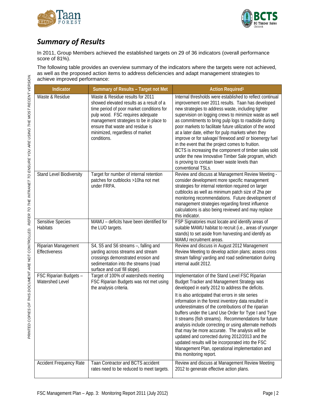



### <span id="page-3-0"></span>*Summary of Results*

In 2011, Group Members achieved the established targets on 29 of 36 indicators (overall performance score of 81%).

The following table provides an overview summary of the indicators where the targets were not achieved, as well as the proposed action items to address deficiencies and adapt management strategies to achieve improved performance:

| Indicator                                 | Summary of Results - Target not Met                                                                                                                                                                                                                                                            | <b>Action Required1</b>                                                                                                                                                                                                                                                                                                                                                                                                                                                                                                                                                                                                                                                                                                                 |
|-------------------------------------------|------------------------------------------------------------------------------------------------------------------------------------------------------------------------------------------------------------------------------------------------------------------------------------------------|-----------------------------------------------------------------------------------------------------------------------------------------------------------------------------------------------------------------------------------------------------------------------------------------------------------------------------------------------------------------------------------------------------------------------------------------------------------------------------------------------------------------------------------------------------------------------------------------------------------------------------------------------------------------------------------------------------------------------------------------|
| Waste & Residue                           | Waste & Residue results for 2011<br>showed elevated results as a result of a<br>time period of poor market conditions for<br>pulp wood. FSC requires adequate<br>management strategies to be in place to<br>ensure that waste and residue is<br>minimized, regardless of market<br>conditions. | Internal thresholds were established to reflect continual<br>improvement over 2011 results. Taan has developed<br>new strategies to address waste, including tighter<br>supervision on logging crews to minimize waste as well<br>as commitments to bring pulp logs to roadside during<br>poor markets to facilitate future utilization of the wood<br>at a later date, either for pulp markets when they<br>improve or for salvage/ firewood and/ or bioenergy fuel<br>in the event that the project comes to fruition.<br>BCTS is increasing the component of timber sales sold<br>under the new Innovative Timber Sale program, which<br>is proving to contain lower waste levels than<br>conventional TSLs.                         |
| Stand Level Biodiversity                  | Target for number of internal retention<br>patches for cutblocks >10ha not met<br>under FRPA.                                                                                                                                                                                                  | Review and discuss at Management Review Meeting -<br>consider development more specific management<br>strategies for internal retention required on larger<br>cutblocks as well as minimum patch size of 2ha per<br>monitoring recommendations. Future development of<br>management strategies regarding forest influence<br>calculations is also being reviewed and may replace<br>this indicator.                                                                                                                                                                                                                                                                                                                                     |
| Sensitive Species<br><b>Habitats</b>      | MAMU - deficits have been identified for<br>the LUO targets.                                                                                                                                                                                                                                   | FSP Signatories must locate and identify areas of<br>suitable MAMU habitat to recruit (i.e., areas of younger<br>stands) to set aside from harvesting and identify as<br>MAMU recruitment areas.                                                                                                                                                                                                                                                                                                                                                                                                                                                                                                                                        |
| Riparian Management<br>Effectiveness      | S4, S5 and S6 streams -, falling and<br>yarding across streams and stream<br>crossings demonstrated erosion and<br>sedimentation into the streams (road<br>surface and cut/ fill slope).                                                                                                       | Review and discuss in August 2012 Management<br>Review Meeting to develop action plans; assess cross<br>stream falling/ yarding and road sedimentation during<br>internal audit 2012.                                                                                                                                                                                                                                                                                                                                                                                                                                                                                                                                                   |
| FSC Riparian Budgets -<br>Watershed Level | Target of 100% of watersheds meeting<br>FSC Riparian Budgets was not met using<br>the analysis criteria.                                                                                                                                                                                       | Implementation of the Stand Level FSC Riparian<br>Budget Tracker and Management Strategy was<br>developed in early 2012 to address the deficits.<br>It is also anticipated that errors in site series<br>information in the forest inventory data resulted in<br>underestimates of the contributions of the riparian<br>buffers under the Land Use Order for Type I and Type<br>Il streams (fish streams). Recommendations for future<br>analysis include correcting or using alternate methods<br>that may be more accurate. The analysis will be<br>updated and corrected during 2012/2013 and the<br>updated results will be incorporated into the FSC<br>Management Plan, operational implementation and<br>this monitoring report. |
| <b>Accident Frequency Rate</b>            | Taan Contractor and BCTS accident<br>rates need to be reduced to meet targets.                                                                                                                                                                                                                 | Review and discuss at Management Review Meeting<br>2012 to generate effective action plans.                                                                                                                                                                                                                                                                                                                                                                                                                                                                                                                                                                                                                                             |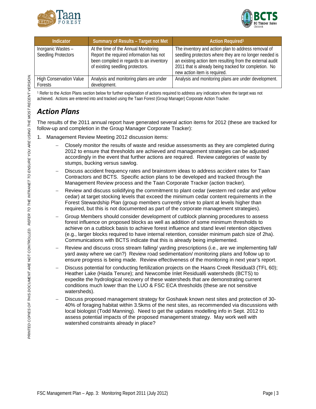



| Indicator                                        | Summary of Results - Target not Met                                                                                                                             | <b>Action Required1</b>                                                                                                                                                                                                                                             |
|--------------------------------------------------|-----------------------------------------------------------------------------------------------------------------------------------------------------------------|---------------------------------------------------------------------------------------------------------------------------------------------------------------------------------------------------------------------------------------------------------------------|
| Inorganic Wastes -<br><b>Seedling Protectors</b> | At the time of the Annual Monitoring<br>Report the required information has not<br>been compiled in regards to an inventory<br>of existing seedling protectors. | The inventory and action plan to address removal of<br>seedling protectors where they are no longer needed is<br>an existing action item resulting from the external audit<br>2011 that is already being tracked for completion. No<br>new action item is required. |
| <b>High Conservation Value</b><br>Forests        | Analysis and monitoring plans are under<br>development.                                                                                                         | Analysis and monitoring plans are under development.                                                                                                                                                                                                                |

<sup>1</sup> Refer to the Action Plans section below for further explanation of actions required to address any indicators where the target was not achieved. Actions are entered into and tracked using the Taan Forest (Group Manager) Corporate Action Tracker.

### <span id="page-4-0"></span>*Action Plans*

The results of the 2011 annual report have generated several action items for 2012 (these are tracked for follow-up and completion in the Group Manager Corporate Tracker):

- 1. Management Review Meeting 2012 discussion items:
	- − Closely monitor the results of waste and residue assessments as they are completed during 2012 to ensure that thresholds are achieved and management strategies can be adjusted accordingly in the event that further actions are required. Review categories of waste by stumps, bucking versus sawlog.
	- Discuss accident frequency rates and brainstorm ideas to address accident rates for Taan Contractors and BCTS. Specific action plans to be developed and tracked through the Management Review process and the Taan Corporate Tracker (action tracker).
	- Review and discuss solidifying the commitment to plant cedar (western red cedar and yellow cedar) at target stocking levels that exceed the minimum cedar content requirements in the Forest Stewardship Plan (group members currently strive to plant at levels higher than required, but this is not documented as part of the corporate management strategies).
	- − Group Members should consider development of cutblock planning procedures to assess forest influence on proposed blocks as well as addition of some minimum thresholds to achieve on a cutblock basis to achieve forest influence and stand level retention objectives (e.g., larger blocks required to have internal retention, consider minimum patch size of 2ha). Communications with BCTS indicate that this is already being implemented.
	- − Review and discuss cross stream falling/ yarding prescriptions (i.e., are we implementing fall/ yard away where we can?) Review road sedimentation/ monitoring plans and follow up to ensure progress is being made. Review effectiveness of the monitoring in next year's report.
	- − Discuss potential for conducting fertilization projects on the Haans Creek Residual3 (TFL 60); Heather Lake (Haida Tenure); and Newcombe Inlet Residual6 watersheds (BCTS) to expedite the hydrological recovery of these watersheds that are demonstrating current conditions much lower than the LUO & FSC ECA thresholds (these are not sensitive watersheds).
	- − Discuss proposed management strategy for Goshawk known nest sites and protection of 30- 40% of foraging habitat within 3.5kms of the nest sites, as recommended via discussions with local biologist (Todd Manning). Need to get the updates modelling info in Sept. 2012 to assess potential impacts of the proposed management strategy. May work well with watershed constraints already in place?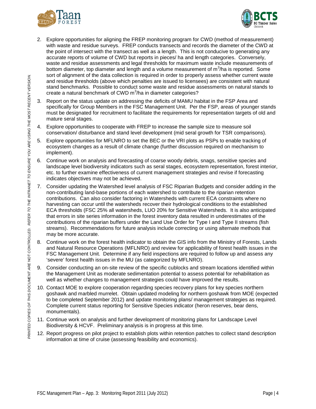



- 2. Explore opportunities for aligning the FREP monitoring program for CWD (method of measurement) with waste and residue surveys. FREP conducts transects and records the diameter of the CWD at the point of intersect with the transect as well as a length. This is not conducive to generating any accurate reports of volume of CWD but reports in pieces/ ha and length categories. Conversely, waste and residue assessments and legal thresholds for maximum waste include measurements of bottom diameter, top diameter and length and a volume measurement of  $m^3/n$ a is reported. Some sort of alignment of the data collection is required in order to properly assess whether current waste and residue thresholds (above which penalties are issued to licensees) are consistent with natural stand benchmarks. Possible to conduct some waste and residue assessments on natural stands to create a natural benchmark of CWD m ${}^{3}$ /ha in diameter categories?
- 3. Report on the status update on addressing the deficits of MAMU habitat in the FSP Area and specifically for Group Members in the FSC Management Unit. Per the FSP, areas of younger stands must be designated for recruitment to facilitate the requirements for representation targets of old and mature seral stages.
- 4. Explore opportunities to cooperate with FREP to increase the sample size to measure soil conservation/ disturbance and stand level development (mid seral growth for TSR comparisons).
- 5. Explore opportunities for MFLNRO to set the BEC or the VRI plots as PSPs to enable tracking of ecosystem changes as a result of climate change (further discussion required on mechanism to implement).
- 6. Continue work on analysis and forecasting of coarse woody debris, snags, sensitive species and landscape level biodiversity indicators such as seral stages, ecosystem representation, forest interior, etc. to further examine effectiveness of current management strategies and revise if forecasting indicates objectives may not be achieved.
- 7. Consider updating the Watershed level analysis of FSC Riparian Budgets and consider adding in the non-contributing land-base portions of each watershed to contribute to the riparian retention contributions. Can also consider factoring in Watersheds with current ECA constraints where no harvesting can occur until the watersheds recover their hydrological conditions to the established ECA thresholds (FSC 25% all watersheds, LUO 20% for Sensitive Watersheds. It is also anticipated that errors in site series information in the forest inventory data resulted in underestimates of the contributions of the riparian buffers under the Land Use Order for Type I and Type II streams (fish streams). Recommendations for future analysis include correcting or using alternate methods that may be more accurate.
- 8. Continue work on the forest health indicator to obtain the GIS info from the Ministry of Forests, Lands and Natural Resource Operations (MFLNRO) and review for applicability of forest health issues in the FSC Management Unit. Determine if any field inspections are required to follow up and assess any 'severe' forest health issues in the MU (as categorized by MFLNRO).
- 9. Consider conducting an on-site review of the specific cublocks and stream locations identified within the Management Unit as moderate sedimentation potential to assess potential for rehabilitation as well as whether changes to management strategies could have improved the results.
- 10. Contact MOE to explore cooperation regarding species recovery plans for key species northern goshawk and marbled murrelet. Obtain updated modeling for northern goshawk from MOE (expected to be completed September 2012) and update monitoring plans/ management strategies as required. Complete current status reporting for Sensitive Species indicator (heron reserves, bear dens, monumentals).
- 11. Continue work on analysis and further development of monitoring plans for Landscape Level Biodiversity & HCVF. Preliminary analysis is in progress at this time.
- 12. Report progress on pilot project to establish plots within retention patches to collect stand description information at time of cruise (assessing feasibility and economics).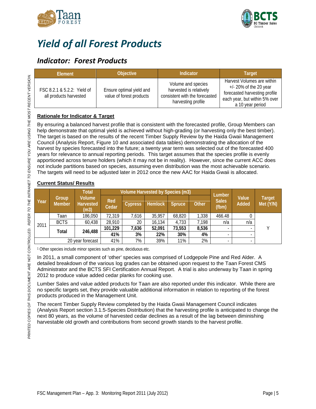



# <span id="page-6-0"></span>*Yield of all Forest Products*

### <span id="page-6-1"></span>*Indicator: Forest Products*

| Element                                               | <b>Objective</b>                                     | Indicator                                                                                             | <b>Target</b>                                                                                                                                 |
|-------------------------------------------------------|------------------------------------------------------|-------------------------------------------------------------------------------------------------------|-----------------------------------------------------------------------------------------------------------------------------------------------|
| FSC 8.2.1 & 5.2.2: Yield of<br>all products harvested | Ensure optimal yield and<br>value of forest products | Volume and species<br>harvested is relatively<br>consistent with the forecasted<br>harvesting profile | Harvest Volumes are within<br>$+/- 20\%$ of the 20 year<br>forecasted harvesting profile<br>each year, but within 5% over<br>a 10 year period |

### **Rationale for Indicator & Target**

By ensuring a balanced harvest profile that is consistent with the forecasted profile, Group Members can help demonstrate that optimal yield is achieved without high-grading (or harvesting only the best timber). The target is based on the results of the recent Timber Supply Review by the Haida Gwaii Management Council (Analysis Report, Figure 10 and associated data tables) demonstrating the allocation of the harvest by species forecasted into the future; a twenty year term was selected out of the forecasted 400 years for relevance to annual reporting periods. This target assumes that the species profile is evenly apportioned across tenure holders (which it may not be in reality). However, since the current ACC does not include partitions based on species, assuming even distribution was the most achievable scenario. The targets will need to be adjusted later in 2012 once the new AAC for Haida Gwaii is allocated.

### **Current Status/ Results**

|      |                        | Total                                     | Volume Harvested by Species (m3) |                |                |               | Lumber       |                       |                |                            |
|------|------------------------|-------------------------------------------|----------------------------------|----------------|----------------|---------------|--------------|-----------------------|----------------|----------------------------|
| Year | Group<br><b>Member</b> | <b>Volume</b><br><b>Harvested</b><br>(m3) | Red<br><b>Cedar</b>              | <b>Cypress</b> | <b>Hemlock</b> | <b>Spruce</b> | <b>Other</b> | <b>Sales</b><br>(fbm) | Value<br>Added | <b>Target</b><br>Met (Y/N) |
| 2011 | Taan                   | 186,050                                   | 72,319                           | 7,616          | 35,957         | 68,820        | 1,338        | 466.48                |                |                            |
|      | <b>BCTS</b>            | 60,438                                    | 28,910                           | 20             | 16,134         | 4,733         | 7,198        | n/a                   | n/a            |                            |
|      | Total                  | 246,488                                   | 101,229                          | 7,636          | 52,091         | 73,553        | 8,536        |                       |                | ν                          |
|      |                        |                                           | 41%                              | 3%             | 22%            | 30%           | 4%           |                       |                |                            |
|      |                        | 20 year forecast                          | 41%                              | 7%             | 39%            | 11%           | 2%           |                       |                |                            |

<sup>1</sup> Other species include minor species such as pine, deciduous etc.

In 2011, a small component of 'other' species was comprised of Lodgepole Pine and Red Alder. A detailed breakdown of the various log grades can be obtained upon request to the Taan Forest CMS Administrator and the BCTS SFI Certification Annual Report. A trial is also underway by Taan in spring 2012 to produce value added cedar planks for cooking use.

Lumber Sales and value added products for Taan are also reported under this indicator. While there are no specific targets set, they provide valuable additional information in relation to reporting of the forest products produced in the Management Unit.

The recent Timber Supply Review completed by the Haida Gwaii Management Council indicates (Analysis Report section 3.1.5-Species Distribution) that the harvesting profile is anticipated to change the next 80 years, as the volume of harvested cedar declines as a result of the lag between diminishing harvestable old growth and contributions from second growth stands to the harvest profile.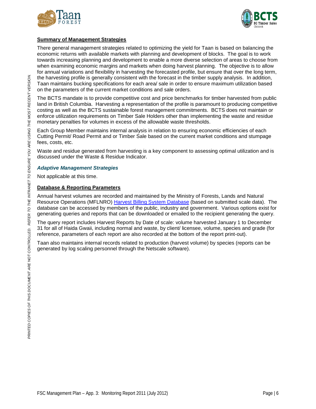



### **Summary of Management Strategies**

There general management strategies related to optimizing the yield for Taan is based on balancing the economic returns with available markets with planning and development of blocks. The goal is to work towards increasing planning and development to enable a more diverse selection of areas to choose from when examining economic margins and markets when doing harvest planning. The objective is to allow for annual variations and flexibility in harvesting the forecasted profile, but ensure that over the long term, the harvesting profile is generally consistent with the forecast in the timber supply analysis. In addition, Taan maintains bucking specifications for each area/ sale in order to ensure maximum utilization based on the parameters of the current market conditions and sale orders.

The BCTS mandate is to provide competitive cost and price benchmarks for timber harvested from public land in British Columbia. Harvesting a representation of the profile is paramount to producing competitive costing as well as the BCTS sustainable forest management commitments. BCTS does not maintain or enforce utilization requirements on Timber Sale Holders other than implementing the waste and residue monetary penalties for volumes in excess of the allowable waste thresholds.

Each Group Member maintains internal analysis in relation to ensuring economic efficiencies of each Cutting Permit/ Road Permit and or Timber Sale based on the current market conditions and stumpage fees, costs, etc.

Waste and residue generated from harvesting is a key component to assessing optimal utilization and is discussed under the Waste & Residue Indicator.

### *Adaptive Management Strategies*

Not applicable at this time.

#### **Database & Reporting Parameters**

Annual harvest volumes are recorded and maintained by the Ministry of Forests, Lands and Natural Resource Operations (MFLNRO) [Harvest Billing System Database](https://www15.for.gov.bc.ca/hbs/) (based on submitted scale data). The database can be accessed by members of the public, industry and government. Various options exist for generating queries and reports that can be downloaded or emailed to the recipient generating the query.

The query report includes Harvest Reports by Date of scale: volume harvested January 1 to December 31 for all of Haida Gwaii, including normal and waste, by client/ licensee, volume, species and grade (for reference, parameters of each report are also recorded at the bottom of the report print-out).

Taan also maintains internal records related to production (harvest volume) by species (reports can be generated by log scaling personnel through the Netscale software).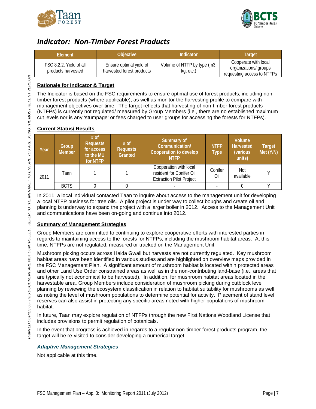



### <span id="page-8-0"></span>*Indicator: Non-Timber Forest Products*

| <b>Element</b>                                | Objective                                            | Indicator                                | Target                                                                      |  |
|-----------------------------------------------|------------------------------------------------------|------------------------------------------|-----------------------------------------------------------------------------|--|
| FSC 8.2.2: Yield of all<br>products harvested | Ensure optimal yield of<br>harvested forest products | Volume of NTFP by type (m3,<br>kg, etc.) | Cooperate with local<br>organizations/ groups<br>requesting access to NTFPs |  |

### **Rationale for Indicator & Target**

The Indicator is based on the FSC requirements to ensure optimal use of forest products, including nontimber forest products (where applicable), as well as monitor the harvesting profile to compare with management objectives over time. The target reflects that harvesting of non-timber forest products (NTFPs) is currently not regulated/ measured by Group Members (i.e., there are no established maximum cut levels nor is any 'stumpage' or fees charged to user groups for accessing the forests for NTFPs).

### **Current Status/ Results**

| Year | Group<br><b>Member</b> | $#$ of<br><b>Requests</b><br>for access<br>to the MU<br>for NTFP | $#$ of<br><b>Requests</b><br><b>Granted</b> | Summary of<br>Communication/<br><b>Cooperation to develop</b><br><b>NTFP</b>          | <b>NTFP</b><br>Type <sup>1</sup> | Volume<br><b>Harvested</b><br>(various<br>units) | <b>Target</b><br>Met (Y/N) |
|------|------------------------|------------------------------------------------------------------|---------------------------------------------|---------------------------------------------------------------------------------------|----------------------------------|--------------------------------------------------|----------------------------|
| 2011 | Taan                   |                                                                  |                                             | Cooperation with local<br>resident for Conifer Oil<br><b>Extraction Pilot Project</b> | Conifer<br>Oil                   | <b>Not</b><br>available                          |                            |
|      | <b>BCTS</b>            |                                                                  |                                             |                                                                                       |                                  |                                                  |                            |

In 2011, a local individual contacted Taan to inquire about access to the management unit for developing a local NTFP business for tree oils. A pilot project is under way to collect boughs and create oil and planning is underway to expand the project with a larger boiler in 2012. Access to the Management Unit and communications have been on-going and continue into 2012.

### **Summary of Management Strategies**

Group Members are committed to continuing to explore cooperative efforts with interested parties in regards to maintaining access to the forests for NTFPs, including the mushroom habitat areas. At this time, NTFPs are not regulated, measured or tracked on the Management Unit.

Mushroom picking occurs across Haida Gwaii but harvests are not currently regulated. Key mushroom habitat areas have been identified in various studies and are highlighted on overview maps provided in the FSC Management Plan. A significant amount of mushroom habitat is located within protected areas and other Land Use Order constrained areas as well as in the non-contributing land-base (i.e., areas that are typically not economical to be harvested). In addition, for mushroom habitat areas located in the harvestable area, Group Members include consideration of mushroom picking during cutblock level planning by reviewing the ecosystem classification in relation to habitat suitability for mushrooms as well as noting the level of mushroom populations to determine potential for activity. Placement of stand level reserves can also assist in protecting any specific areas noted with higher populations of mushroom habitat.

In future, Taan may explore regulation of NTFPs through the new First Nations Woodland License that includes provisions to permit regulation of botanicals.

In the event that progress is achieved in regards to a regular non-timber forest products program, the target will be re-visited to consider developing a numerical target.

### *Adaptive Management Strategies*

Not applicable at this time.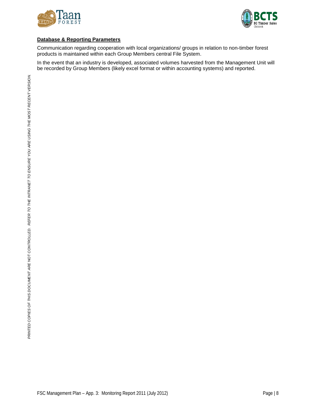



### **Database & Reporting Parameters**

Communication regarding cooperation with local organizations/ groups in relation to non-timber forest products is maintained within each Group Members central File System.

In the event that an industry is developed, associated volumes harvested from the Management Unit will be recorded by Group Members (likely excel format or within accounting systems) and reported.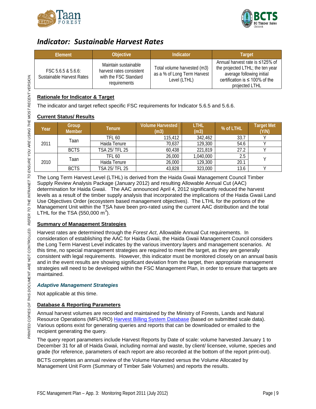



### <span id="page-10-0"></span>*Indicator: Sustainable Harvest Rates*

| <b>Objective</b><br>Element                     |                                                                                           | Indicator                                                                  | Target                                                                                                                                                     |
|-------------------------------------------------|-------------------------------------------------------------------------------------------|----------------------------------------------------------------------------|------------------------------------------------------------------------------------------------------------------------------------------------------------|
| FSC 5.6.5 & 5.6.6:<br>Sustainable Harvest Rates | Maintain sustainable<br>harvest rates consistent<br>with the FSC Standard<br>requirements | Total volume harvested (m3)<br>as a % of Long Term Harvest<br>Level (LTHL) | Annual harvest rate is ≤125% of<br>the projected LTHL; the ten year<br>average following initial<br>certification is $\leq 100\%$ of the<br>projected LTHL |

### **Rationale for Indicator & Target**

The indicator and target reflect specific FSC requirements for Indicator 5.6.5 and 5.6.6.

### **Current Status/ Results**

| Year | Group<br><b>Member</b> | Tenure         | <b>Volume Harvested</b><br>(m3) | LTHL<br>(m3) | % of LTHL | <b>Target Met</b><br>(Y/N) |
|------|------------------------|----------------|---------------------------------|--------------|-----------|----------------------------|
| 2011 | Taan                   | TFL 60         | 115,412                         | 342,462      | 33.7      |                            |
|      |                        | Haida Tenure   | 70,637                          | 129,300      | 54.6      |                            |
|      | <b>BCTS</b>            | TSA 25/ TFL 25 | 60,438                          | 221,819      | 27.2      |                            |
| 2010 | Taan                   | TFL 60         | 26,000                          | 1,040,000    | 2.5       |                            |
|      |                        | Haida Tenure   | 26,000                          | 129,300      | 20.1      |                            |
|      | <b>BCTS</b>            | TSA 25/ TFL 25 | 43,828                          | 323,000      | 13.6      |                            |

The Long Term Harvest Level (LTHL) is derived from the Haida Gwaii Management Council Timber Supply Review Analysis Package (January 2012) and resulting Allowable Annual Cut (AAC) determination for Haida Gwaii. The AAC announced April 4, 2012 significantly reduced the harvest levels as a result of the timber supply analysis that incorporated the implications of the Haida Gwaii Land Use Objectives Order (ecosystem based management objectives). The LTHL for the portions of the Management Unit within the TSA have been pro-rated using the current AAC distribution and the total LTHL for the TSA (550,000  $m^3$ ).

### **Summary of Management Strategies**

Harvest rates are determined through the *Forest Act*, Allowable Annual Cut requirements. In consideration of establishing the AAC for Haida Gwaii, the Haida Gwaii Management Council considers the Long Term Harvest Level indicates by the various inventory layers and management scenarios. At this time, no special management strategies are required to meet the target, as they are generally consistent with legal requirements. However, this indicator must be monitored closely on an annual basis and in the event results are showing significant deviation from the target, then appropriate management strategies will need to be developed within the FSC Management Plan, in order to ensure that targets are maintained.

### *Adaptive Management Strategies*

Not applicable at this time.

### **Database & Reporting Parameters**

Annual harvest volumes are recorded and maintained by the Ministry of Forests, Lands and Natural Resource Operations (MFLNRO) [Harvest Billing System Database](https://www15.for.gov.bc.ca/hbs/) (based on submitted scale data). Various options exist for generating queries and reports that can be downloaded or emailed to the recipient generating the query.

The query report parameters include Harvest Reports by Date of scale: volume harvested January 1 to December 31 for all of Haida Gwaii, including normal and waste, by client/ licensee, volume, species and grade (for reference, parameters of each report are also recorded at the bottom of the report print-out).

BCTS completes an annual review of the Volume Harvested versus the Volume Allocated by Management Unit Form (Summary of Timber Sale Volumes) and reports the results.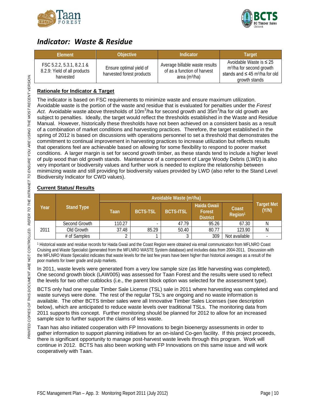



### <span id="page-11-0"></span>*Indicator: Waste & Residue*

| Element                                                                | <b>Objective</b>                                     | Indicator                                                                          | Target                                                                                                                                   |
|------------------------------------------------------------------------|------------------------------------------------------|------------------------------------------------------------------------------------|------------------------------------------------------------------------------------------------------------------------------------------|
| FSC 5.2.2, 5.3.1, 8.2.1 &<br>8.2.9: Yield of all products<br>harvested | Ensure optimal yield of<br>harvested forest products | Average billable waste results<br>of as a function of harvest<br>area ( $m^3/ha$ ) | Avoidable Waste is $\leq 25$<br>m <sup>3</sup> /ha for second growth<br>stands and $\leq 45$ m <sup>3</sup> /ha for old<br>growth stands |

### **Rationale for Indicator & Target**

The indicator is based on FSC requirements to minimize waste and ensure maximum utilization. Avoidable waste is the portion of the waste and residue that is evaluated for penalties under the *Forest*  Act. Avoidable waste above thresholds of 10m<sup>3</sup>/ha for second growth and 35m<sup>3</sup>/ha for old growth are subject to penalties. Ideally, the target would reflect the thresholds established in the Waste and Residue Manual. However, historically these thresholds have not been achieved on a consistent basis as a result of a combination of market conditions and harvesting practices. Therefore, the target established in the spring of 2012 is based on discussions with operations personnel to set a threshold that demonstrates the commitment to continual improvement in harvesting practices to increase utilization but reflects results that operations feel are achievable based on allowing for some flexibility to respond to poorer market conditions. A larger margin is set for second growth timber, as these stands tend to include a higher level of pulp wood than old growth stands. Maintenance of a component of Large Woody Debris (LWD) is also very important or biodiversity values and further work is needed to explore the relationship between minimizing waste and still providing for biodiversity values provided by LWD (also refer to the Stand Level Biodiversity Indicator for CWD values).

### **Current Status/ Results**

| Year |                   | Avoidable Waste (m <sup>3</sup> /ha) |                 |                  |                                          |                              |                            |
|------|-------------------|--------------------------------------|-----------------|------------------|------------------------------------------|------------------------------|----------------------------|
|      | <b>Stand Type</b> | Taan                                 | <b>BCTS-TSL</b> | <b>BCTS-ITSL</b> | Haida Gwaii<br>Forest<br><b>District</b> | Coast<br>Region <sup>1</sup> | <b>Target Met</b><br>(Y/N) |
|      | Second Growth     | 110.27                               |                 | 47.79            | 95.26                                    | 67.30                        | N                          |
| 2011 | Old Growth        | 37.48                                | 85.29           | 50.40            | 80.77                                    | 123.90                       | N                          |
|      | # of Samples      |                                      |                 | ົ                | 309                                      | Not available                |                            |

<sup>1</sup> Historical waste and residue records for Haida Gwaii and the Coast Region were obtained via email communication from MFLNRO Coast Cruising and Waste Specialist (generated from the MFLNRO WASTE System database) and includes data from 2004-2011. Discussion with the MFLNRO Waste Specialist indicates that waste levels for the last few years have been higher than historical averages as a result of the poor markets for lower grade and pulp markets.

In 2011, waste levels were generated from a very low sample size (as little harvesting was completed). One second growth block (LAW005) was assessed for Taan Forest and the results were used to reflect the levels for two other cutblocks (i.e., the parent block option was selected for the assessment type).

BCTS only had one regular Timber Sale License (TSL) sale in 2011 where harvesting was completed and waste surveys were done. The rest of the regular TSL's are ongoing and no waste information is available. The other BCTS timber sales were all Innovative Timber Sales Licenses (see description below), which are anticipated to reduce waste levels over traditional TSLs. The monitoring data from 2011 supports this concept. Further monitoring should be planned for 2012 to allow for an increased sample size to further support the claims of less waste.

Taan has also initiated cooperation with FP Innovations to begin bioenergy assessments in order to gather information to support planning initiatives for an on-island Co-gen facility. If this project proceeds, there is significant opportunity to manage post-harvest waste levels through this program. Work will continue in 2012. BCTS has also been working with FP Innovations on this same issue and will work cooperatively with Taan.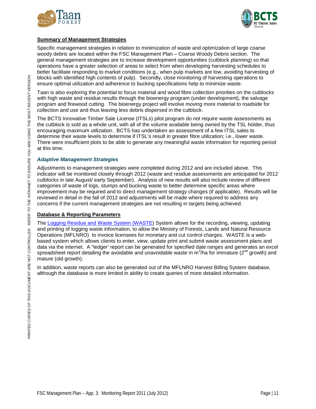



### **Summary of Management Strategies**

Specific management strategies in relation to minimization of waste and optimization of large coarse woody debris are located within the FSC Management Plan – Coarse Woody Debris section. The general management strategies are to increase development opportunities (cutblock planning) so that operations have a greater selection of areas to select from when developing harvesting schedules to better facilitate responding to market conditions (e.g., when pulp markets are low, avoiding harvesting of blocks with identified high contents of pulp). Secondly, close monitoring of harvesting operations to ensure optimal utilization and adherence to bucking specifications help to minimize waste.

Taan is also exploring the potential to focus material and wood fibre collection priorities on the cutblocks with high waste and residue results through the bioenergy program (under development), the salvage program and firewood cutting. The bioenergy project will involve moving more material to roadside for collection and use and thus leaving less debris dispersed in the cutblock.

The BCTS Innovative Timber Sale License (ITSLs) pilot program do not require waste assessments as the cutblock is sold as a whole unit, with all of the volume available being owned by the TSL holder, thus encouraging maximum utilization. BCTS has undertaken an assessment of a few ITSL sales to determine their waste levels to determine if ITSL's result in greater fibre utilization; i.e., lower waste. There were insufficient plots to be able to generate any meaningful waste information for reporting period at this time.

### *Adaptive Management Strategies*

Adjustments to management strategies were completed during 2012 and are included above. This indicator will be monitored closely through 2012 (waste and residue assessments are anticipated for 2012 cutblocks in late August/ early September). Analysis of new results will also include review of different categories of waste of logs, stumps and bucking waste to better determine specific areas where improvement may be required and to direct management strategy changes (if applicable). Results will be reviewed in detail in the fall of 2012 and adjustments will be made where required to address any concerns if the current management strategies are not resulting in targets being achieved.

### **Database & Reporting Parameters**

The [Logging Residue and Waste System \(WASTE\)](http://www.for.gov.bc.ca/hva/waste/) System allows for the recording, viewing, updating and printing of logging waste information, to allow the Ministry of Forests, Lands and Natural Resource Operations (MFLNRO) to invoice licensees for monetary and cut control charges. WASTE is a webbased system which allows clients to enter, view, update print and submit waste assessment plans and data via the internet. A "ledger' report can be generated for specified date ranges and generates an excel spreadsheet report detailing the avoidable and unavoidable waste in m<sup>3</sup>/ha for immature (2<sup>nd</sup> growth) and mature (old growth).

In addition, waste reports can also be generated out of the MFLNRO Harvest Billing System database, although the database is more limited in ability to create queries of more detailed information.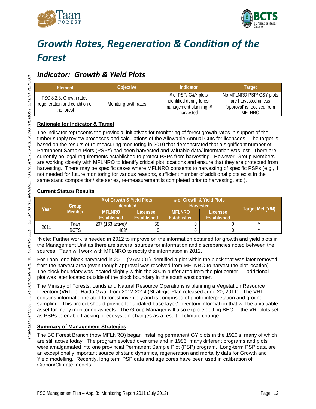



# <span id="page-13-0"></span>*Growth Rates, Regeneration & Condition of the Forest*

### <span id="page-13-1"></span>*Indicator: Growth & Yield Plots*

| Element                                                                 | <b>Objective</b>     | Indicator                                                                              | Target                                                                                           |
|-------------------------------------------------------------------------|----------------------|----------------------------------------------------------------------------------------|--------------------------------------------------------------------------------------------------|
| FSC 8.2.3: Growth rates,<br>regeneration and condition of<br>the forest | Monitor growth rates | # of PSP/ G&Y plots<br>identified during forest<br>management planning; #<br>harvested | No MFLNRO PSP/ G&Y plots<br>are harvested unless<br>'approval' is received from<br><b>MFLNRO</b> |

### **Rationale for Indicator & Target**

The indicator represents the provincial initiatives for monitoring of forest growth rates in support of the timber supply review processes and calculations of the Allowable Annual Cuts for licensees. The target is based on the results of re-measuring monitoring in 2010 that demonstrated that a significant number of Permanent Sample Plots (PSPs) had been harvested and valuable data/ information was lost. There are currently no legal requirements established to protect PSPs from harvesting. However, Group Members are working closely with MFLNRO to identify critical plot locations and ensure that they are protected from harvesting. There may be specific cases where MFLNRO consents to harvesting of specific PSPs (e.g., if not needed for future monitoring for various reasons, sufficient number of additional plots exist in the same stand composition/ site series, re-measurement is completed prior to harvesting, etc.).

### **Current Status/ Results**

| Group<br>Year |               | # of Growth & Yield Plots<br><b>Identified</b> |             | # of Growth & Yield Plots<br><b>Harvested</b> | Target Met (Y/N) |  |
|---------------|---------------|------------------------------------------------|-------------|-----------------------------------------------|------------------|--|
|               | <b>Member</b> | <b>MFLNRO</b>                                  | Licensee    | <b>MFLNRO</b>                                 | Licensee         |  |
|               |               | <b>Established</b>                             | Established | <b>Established</b>                            | Established      |  |
| 2011          | .<br>Taan     | 207 (163 active)*                              | 58          |                                               |                  |  |
|               | <b>BCTS</b>   | $463*$                                         |             |                                               |                  |  |

\*Note: Further work is needed in 2012 to improve on the information obtained for growth and yield plots in the Management Unit as there are several sources for information and discrepancies noted between the sources. Taan will work with MFLNRO to rectify the information in 2012.

For Taan, one block harvested in 2011 (MAM001) identified a plot within the block that was later removed from the harvest area (even though approval was received from MFLNRO to harvest the plot location). The block boundary was located slightly within the 300m buffer area from the plot center. 1 additional plot was later located outside of the block boundary in the south west corner.

The Ministry of Forests, Lands and Natural Resource Operations is planning a Vegetation Resource Inventory (VRI) for Haida Gwaii from 2012-2014 (Strategic Plan released June 20, 2011). The VRI contains information related to forest inventory and is comprised of photo interpretation and ground sampling. This project should provide for updated base layer/ inventory information that will be a valuable asset for many monitoring aspects. The Group Manager will also explore getting BEC or the VRI plots set as PSPs to enable tracking of ecosystem changes as a result of climate change.

### **Summary of Management Strategies**

The BC Forest Branch (now MFLNRO) began installing permanent GY plots in the 1920's, many of which are still active today. The program evolved over time and in 1986, many different programs and plots were amalgamated into one provincial Permanent Sample Plot (PSP) program. Long-term PSP data are an exceptionally important source of stand dynamics, regeneration and mortality data for Growth and Yield modelling. Recently, long term PSP data and age cores have been used in calibration of Carbon/Climate models.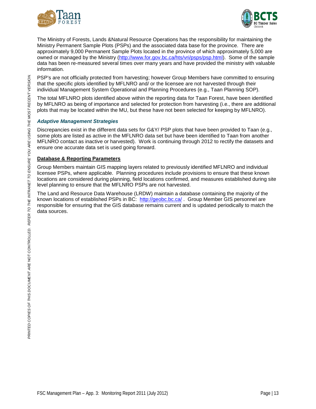



The Ministry of Forests, Lands &Natural Resource Operations has the responsibility for maintaining the Ministry Permanent Sample Plots (PSPs) and the associated data base for the province. There are approximately 9,000 Permanent Sample Plots located in the province of which approximately 5,000 are owned or managed by the Ministry [\(http://www.for.gov.bc.ca/hts/vri/psps/psp.html\)](http://www.for.gov.bc.ca/hts/vri/psps/psp.html). Some of the sample data has been re-measured several times over many years and have provided the ministry with valuable information.

PSP's are not officially protected from harvesting; however Group Members have committed to ensuring that the specific plots identified by MFLNRO and/ or the licensee are not harvested through their individual Management System Operational and Planning Procedures (e.g., Taan Planning SOP).

The total MFLNRO plots identified above within the reporting data for Taan Forest, have been identified by MFLNRO as being of importance and selected for protection from harvesting (i.e., there are additional plots that may be located within the MU, but these have not been selected for keeping by MFLNRO).

### *Adaptive Management Strategies*

Discrepancies exist in the different data sets for G&Y/ PSP plots that have been provided to Taan (e.g., some plots are listed as active in the MFLNRO data set but have been identified to Taan from another MFLNRO contact as inactive or harvested). Work is continuing through 2012 to rectify the datasets and ensure one accurate data set is used going forward.

### **Database & Reporting Parameters**

Group Members maintain GIS mapping layers related to previously identified MFLNRO and individual licensee PSPs, where applicable. Planning procedures include provisions to ensure that these known locations are considered during planning, field locations confirmed, and measures established during site level planning to ensure that the MFLNRO PSPs are not harvested.

The Land and Resource Data Warehouse (LRDW) maintain a database containing the majority of the known locations of established PSPs in BC: <http://geobc.bc.ca/> . Group Member GIS personnel are responsible for ensuring that the GIS database remains current and is updated periodically to match the data sources.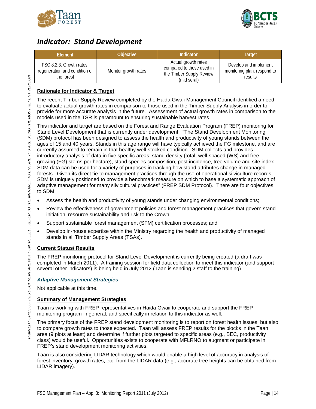



### <span id="page-15-0"></span>*Indicator: Stand Development*

| Element                                                                 | <b>Objective</b>     | Indicator                                                                                   | Target                                                          |
|-------------------------------------------------------------------------|----------------------|---------------------------------------------------------------------------------------------|-----------------------------------------------------------------|
| FSC 8.2.3: Growth rates,<br>regeneration and condition of<br>the forest | Monitor growth rates | Actual growth rates<br>compared to those used in<br>the Timber Supply Review<br>(mid seral) | Develop and implement<br>monitoring plan; respond to<br>results |

### **Rationale for Indicator & Target**

The recent Timber Supply Review completed by the Haida Gwaii Management Council identified a need to evaluate actual growth rates in comparison to those used in the Timber Supply Analysis in order to provide for more accurate analysis in the future. Assessment of actual growth rates in comparison to the models used in the TSR is paramount to ensuring sustainable harvest rates.

This indicator and target are based on the Forest and Range Evaluation Program (FREP) monitoring for Stand Level Development that is currently under development. "The Stand Development Monitoring (SDM) protocol has been designed to assess the health and productivity of young stands between the ages of 15 and 40 years. Stands in this age range will have typically achieved the FG milestone, and are currently assumed to remain in that healthy well-stocked condition. SDM collects and provides introductory analysis of data in five specific areas: stand density (total, well-spaced (WS) and freegrowing (FG) stems per hectare), stand species composition, pest incidence, tree volume and site index. SDM data can be used for a variety of purposes in tracking how stand attributes change in managed forests. Given its direct tie to management practices through the use of operational silviculture records, SDM is uniquely positioned to provide a benchmark measure on which to base a systematic approach of adaptive management for many silvicultural practices" (FREP SDM Protocol). There are four objectives to SDM:

- Assess the health and productivity of young stands under changing environmental conditions;
- Review the effectiveness of government policies and forest management practices that govern stand initiation, resource sustainability and risk to the Crown;
- Support sustainable forest management (SFM) certification processes; and
- Develop in-house expertise within the Ministry regarding the health and productivity of managed stands in all Timber Supply Areas (TSAs).

### **Current Status/ Results**

The FREP monitoring protocol for Stand Level Development is currently being created (a draft was completed in March 2011). A training session for field data collection to meet this indicator (and support several other indicators) is being held in July 2012 (Taan is sending 2 staff to the training).

### *Adaptive Management Strategies*

Not applicable at this time.

### **Summary of Management Strategies**

Taan is working with FREP representatives in Haida Gwaii to cooperate and support the FREP monitoring program in general, and specifically in relation to this indicator as well.

The primary focus of the FREP stand development monitoring is to report on forest health issues, but also to compare growth rates to those expected. Taan will assess FREP results for the blocks in the Taan area (9 plots at least) and determine if further plots targeted to specific areas (e.g., BEC, productivity class) would be useful. Opportunities exists to cooperate with MFLRNO to augment or participate in FREP's stand development monitoring activities.

Taan is also considering LIDAR technology which would enable a high level of accuracy in analysis of forest inventory, growth rates, etc. from the LIDAR data (e.g., accurate tree heights can be obtained from LIDAR imagery).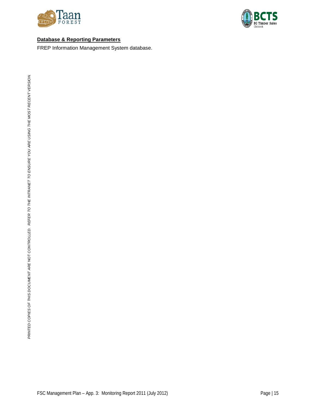



### **Database & Reporting Parameters**

FREP Information Management System database.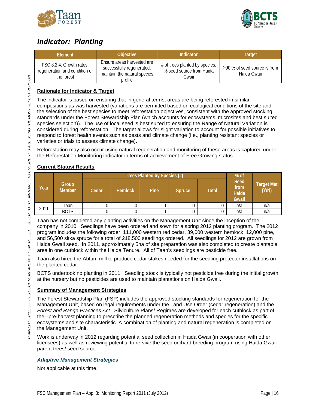



### <span id="page-17-0"></span>*Indicator: Planting*

| Element                                                                 | <b>Objective</b>                                                                                   | Indicator                                                           | Target                                            |
|-------------------------------------------------------------------------|----------------------------------------------------------------------------------------------------|---------------------------------------------------------------------|---------------------------------------------------|
| FSC 8.2.4: Growth rates,<br>regeneration and condition of<br>the forest | Ensure areas harvested are<br>successfully regenerated;<br>maintain the natural species<br>profile | # of trees planted by species;<br>% seed source from Haida<br>Gwaii | $\geq$ 90 % of seed source is from<br>Haida Gwaii |

### **Rationale for Indicator & Target**

The indicator is based on ensuring that in general terms, areas are being reforested in similar compositions as was harvested (variations are permitted based on ecological conditions of the site and the selection of the best species to meet reforestation objectives, consistent with the approved stocking standards under the Forest Stewardship Plan (which accounts for ecosystems, microsites and best suited species selection)). The use of local seed is best suited to ensuring the Range of Natural Variation is considered during reforestation. The target allows for slight variation to account for possible initiatives to respond to forest health events such as pests and climate change (i.e., planting resistant species or varieties or trials to assess climate change).

Reforestation may also occur using natural regeneration and monitoring of these areas is captured under the Reforestation Monitoring indicator in terms of achievement of Free Growing status.

### **Current Status/ Results**

|      |                        |       |                | Trees Planted by Species (#) |               |              | $%$ of                                |                            |
|------|------------------------|-------|----------------|------------------------------|---------------|--------------|---------------------------------------|----------------------------|
| Year | Group<br><b>Member</b> | Cedar | <b>Hemlock</b> | Pine                         | <b>Spruce</b> | <b>Total</b> | <b>Seed</b><br>from<br>Haida<br>Gwaii | <b>Target Met</b><br>(Y/N) |
| 2011 | Taan                   |       |                |                              |               |              | n/a                                   | n/a                        |
|      | <b>BCTS</b>            |       |                |                              |               |              | n/a                                   | n/a                        |

Taan has not completed any planting activities on the Management Unit since the inception of the company in 2010. Seedlings have been ordered and sown for a spring 2012 planting program. The 2012 program includes the following order: 111,000 western red cedar, 39,000 western hemlock, 12,000 pine, and 56,500 sitka spruce for a total of 218,500 seedlings ordered. All seedlings for 2012 are grown from Haida Gwaii seed. In 2011, approximately 5ha of site preparation was also completed to create plantable area in one cutblock within the Haida Tenure. All of Taan's seedlings are pesticide free.

Taan also hired the Abfam mill to produce cedar stakes needed for the seedling protector installations on the planted cedar.

BCTS undertook no planting in 2011. Seedling stock is typically not pesticide free during the initial growth at the nursery but no pesticides are used to maintain plantations on Haida Gwaii.

### **Summary of Management Strategies**

The Forest Stewardship Plan (FSP) includes the approved stocking standards for regeneration for the Management Unit, based on legal requirements under the Land Use Order (cedar regeneration) and the *Forest and Range Practices Act*. Silviculture Plans/ Regimes are developed for each cutblock as part of the –pre-harvest planning to prescribe the planned regeneration methods and species for the specific ecosystems and site characteristic. A combination of planting and natural regeneration is completed on the Management Unit.

Work is underway in 2012 regarding potential seed collection in Haida Gwaii (in cooperation with other licensees) as well as reviewing potential to re-vive the seed orchard breeding program using Haida Gwaii parent trees/ seed source.

### *Adaptive Management Strategies*

Not applicable at this time.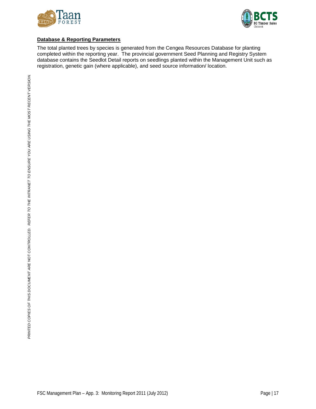



### **Database & Reporting Parameters**

The total planted trees by species is generated from the Cengea Resources Database for planting completed within the reporting year. The provincial government Seed Planning and Registry System database contains the Seedlot Detail reports on seedlings planted within the Management Unit such as registration, genetic gain (where applicable), and seed source information/ location.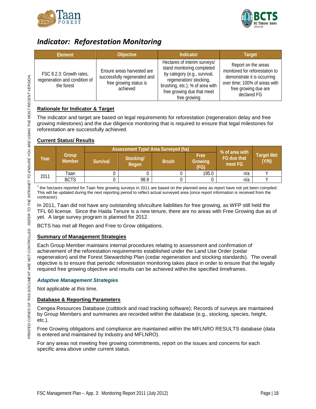



### <span id="page-19-0"></span>*Indicator: Reforestation Monitoring*

| Element                                                                 | Objective                                                                                        | Indicator                                                                                                                                                                                              | <b>Target</b>                                                                                                                                                |
|-------------------------------------------------------------------------|--------------------------------------------------------------------------------------------------|--------------------------------------------------------------------------------------------------------------------------------------------------------------------------------------------------------|--------------------------------------------------------------------------------------------------------------------------------------------------------------|
| FSC 8.2.3: Growth rates,<br>regeneration and condition of<br>the forest | Ensure areas harvested are<br>successfully regenerated and<br>free growing status is<br>achieved | Hectares of interim surveys/<br>stand monitoring completed<br>by category (e.g., survival,<br>regeneration/ stocking,<br>brushing, etc.); % of area with<br>free growing due that meet<br>free growing | Report on the areas<br>monitored for reforestation to<br>demonstrate it is occurring<br>over time; 100% of areas with<br>free growing due are<br>declared FG |

### **Rationale for Indicator & Target**

The indicator and target are based on legal requirements for reforestation (regeneration delay and free growing milestones) and the due diligence monitoring that is required to ensure that legal milestones for reforestation are successfully achieved.

### **Current Status/ Results**

|      |                        |                 | <b>Assessment Type/ Area Surveyed (ha)</b> | % of area with |                         |                        |                            |
|------|------------------------|-----------------|--------------------------------------------|----------------|-------------------------|------------------------|----------------------------|
| Year | Group<br><b>Member</b> | <b>Survival</b> | Stocking/<br>Regen                         | <b>Brush</b>   | Free<br>Growing<br>(FG) | FG due that<br>meet FG | <b>Target Met</b><br>(Y/N) |
| 2011 | Taan                   |                 |                                            |                | 195.0                   | n/a                    |                            |
|      | <b>BCTS</b>            |                 | 98.9                                       |                |                         | n/a                    |                            |

 $<sup>1</sup>$  the hectares reported for Taan free growing surveys in 2011 are based on the planned area as report have not yet been compiled.</sup> This will be updated during the next reporting period to reflect actual surveyed area (once report information is received from the contractor).

In 2011, Taan did not have any outstanding silviculture liabilities for free growing, as WFP still held the TFL 60 license. Since the Haida Tenure is a new tenure, there are no areas with Free Growing due as of yet. A large survey program is planned for 2012.

BCTS has met all Regen and Free to Grow obligations.

### **Summary of Management Strategies**

Each Group Member maintains internal procedures relating to assessment and confirmation of achievement of the reforestation requirements established under the Land Use Order (cedar regeneration) and the Forest Stewardship Plan (cedar regeneration and stocking standards). The overall objective is to ensure that periodic reforestation monitoring takes place in order to ensure that the legally required free growing objective and results can be achieved within the specified timeframes.

### *Adaptive Management Strategies*

Not applicable at this time.

### **Database & Reporting Parameters**

Cengea Resources Database (cutblock and road tracking software); Records of surveys are maintained by Group Members and summaries are recorded within the database (e.g., stocking, species, height, etc.).

Free Growing obligations and compliance are maintained within the MFLNRO RESULTS database (data is entered and maintained by Industry and MFLNRO).

For any areas not meeting free growing commitments, report on the issues and concerns for each specific area above under current status.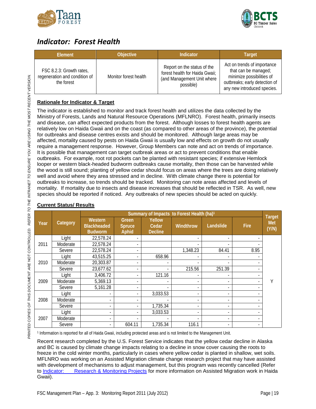



### <span id="page-20-0"></span>*Indicator: Forest Health*

| Element                                                                 | <b>Objective</b>      | <b>Indicator</b>                                                                                         | <b>Target</b>                                                                                                                                    |
|-------------------------------------------------------------------------|-----------------------|----------------------------------------------------------------------------------------------------------|--------------------------------------------------------------------------------------------------------------------------------------------------|
| FSC 8.2.3: Growth rates,<br>regeneration and condition of<br>the forest | Monitor forest health | Report on the status of the<br>forest health for Haida Gwaii;<br>(and Management Unit where<br>possible) | Act on trends of importance<br>that can be managed;<br>minimize possibilities of<br>outbreaks; early detection of<br>any new introduced species. |

### **Rationale for Indicator & Target**

The indicator is established to monitor and track forest health and utilizes the data collected by the Ministry of Forests, Lands and Natural Resource Operations (MFLNRO). Forest health, primarily insects and disease, can affect expected products from the forest. Although losses to forest health agents are relatively low on Haida Gwaii and on the coast (as compared to other areas of the province), the potential for outbreaks and disease centres exists and should be monitored. Although large areas may be affected, mortality caused by pests on Haida Gwaii is usually low and effects on growth do not usually require a management response. However, Group Members can note and act on trends of importance. It is possible that management can target outbreak areas or act to prevent conditions that enable outbreaks. For example, root rot pockets can be planted with resistant species; if extensive Hemlock looper or western black-headed budworm outbreaks cause mortality, then those can be harvested while the wood is still sound; planting of yellow cedar should focus on areas where the trees are doing relatively well and avoid where they area stressed and in decline. With climate change there is potential for outbreaks to increase, so trends should be tracked. Monitoring can note areas affected and levels of mortality. If mortality due to insects and disease increases that should be reflected in TSR. As well, new species should be reported if noticed. Any outbreaks of new species should be acted on quickly.

|      |          | Summary of Impacts to Forest Health (ha) <sup>1</sup> |                                  |                                   |                          |                          |             |                                      |
|------|----------|-------------------------------------------------------|----------------------------------|-----------------------------------|--------------------------|--------------------------|-------------|--------------------------------------|
| Year | Category | Western<br><b>Blackheaded</b><br><b>Budworm</b>       | Green.<br><b>Spruce</b><br>Aphid | Yellow<br>Cedar<br><b>Decline</b> | Windthrow                | Landslide                | <b>Fire</b> | <b>Target</b><br><b>Met</b><br>(Y/N) |
|      | Light    | 22,578.24                                             |                                  |                                   |                          |                          |             |                                      |
| 2011 | Moderate | 22,578.24                                             |                                  |                                   |                          |                          |             |                                      |
|      | Severe   | 22,578.24                                             |                                  |                                   | 1,348.23                 | 84.41                    | 8.95        |                                      |
|      | Light    | 43,515.25                                             |                                  | 658.96                            |                          |                          |             |                                      |
| 2010 | Moderate | 20,303.87                                             |                                  |                                   |                          |                          |             |                                      |
|      | Severe   | 23,677.62                                             |                                  | $\overline{\phantom{0}}$          | 215.56                   | 251.39                   |             |                                      |
|      | Light    | 3,406.72                                              |                                  | 121.16                            |                          |                          |             |                                      |
| 2009 | Moderate | 5,369.13                                              |                                  |                                   |                          |                          |             |                                      |
|      | Severe   | 5,161.28                                              |                                  |                                   |                          |                          |             |                                      |
|      | Light    |                                                       |                                  | 3,033.53                          |                          |                          |             |                                      |
| 2008 | Moderate |                                                       |                                  |                                   | $\overline{\phantom{0}}$ |                          |             |                                      |
|      | Severe   |                                                       |                                  | 1,735.34                          | $\overline{\phantom{a}}$ |                          |             |                                      |
|      | Light    |                                                       |                                  | 3,033.53                          | $\overline{\phantom{a}}$ |                          |             |                                      |
| 2007 | Moderate | $\overline{\phantom{a}}$                              |                                  |                                   |                          | $\overline{\phantom{0}}$ |             |                                      |
|      | Severe   |                                                       | 604.11                           | 1,735.34                          | 116.1                    | $\overline{\phantom{a}}$ | ۰.          |                                      |

### **Current Status/ Results**

*PRINTED COPIES OF THIS DOCUMENT ARE* NOT *CONTROLLED. REFER TO THE INTRANET TO ENSURE YOU ARE USING THE MOST RECENT VERSION. THE ENSURE THE RECENT VERSION.*

PRINTED COPIES OF THIS DOCUMENT ARE NOT CONTROLLED. REFER TO THE INTRANET TO ENSURE YOU ARE USING THE MOST RECENT VERSION.

<sup>1</sup> Information is reported for all of Haida Gwaii, including protected areas and is not limited to the Management Unit.

Recent research completed by the U.S. Forest Service indicates that the yellow cedar decline in Alaska and BC is caused by climate change impacts relating to a decline in snow cover causing the roots to freeze in the cold winter months, particularly in cases where yellow cedar is planted in shallow, wet soils. MFLNRO was working on an Assisted Migration climate change research project that may have assisted with development of mechanisms to adjust management, but this program was recently cancelled (Refer to Indicator: [Research & Monitoring Projects](#page-45-0) for more information on Assisted Migration work in Haida Gwaii).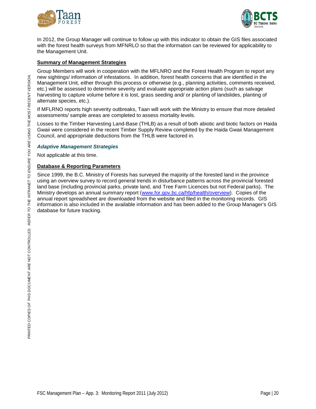



In 2012, the Group Manager will continue to follow up with this indicator to obtain the GIS files associated with the forest health surveys from MFNRLO so that the information can be reviewed for applicability to the Management Unit.

#### **Summary of Management Strategies**

Group Members will work in cooperation with the MFLNRO and the Forest Health Program to report any new sightings/ information of infestations. In addition, forest health concerns that are identified in the Management Unit, either through this process or otherwise (e.g., planning activities, comments received, etc.) will be assessed to determine severity and evaluate appropriate action plans (such as salvage harvesting to capture volume before it is lost, grass seeding and/ or planting of landslides, planting of alternate species, etc.).

If MFLRNO reports high severity outbreaks, Taan will work with the Ministry to ensure that more detailed assessments/ sample areas are completed to assess mortality levels.

Losses to the Timber Harvesting Land-Base (THLB) as a result of both abiotic and biotic factors on Haida Gwaii were considered in the recent Timber Supply Review completed by the Haida Gwaii Management Council, and appropriate deductions from the THLB were factored in.

#### *Adaptive Management Strategies*

Not applicable at this time.

#### **Database & Reporting Parameters**

Since 1999, the B.C. Ministry of Forests has surveyed the majority of the forested land in the province using an overview survey to record general trends in disturbance patterns across the provincial forested land base (including provincial parks, private land, and Tree Farm Licences but not Federal parks). The Ministry develops an annual summary report [\(www.for.gov.bc.ca/hfp/health/overview\)](http://www.for.gov.bc.ca/hfp/health/overview). Copies of the annual report spreadsheet are downloaded from the website and filed in the monitoring records. GIS information is also included in the available information and has been added to the Group Manager's GIS database for future tracking.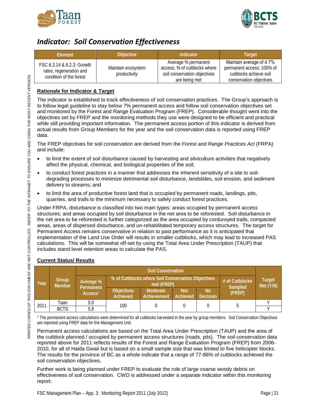



### <span id="page-22-0"></span>*Indicator: Soil Conservation Effectiveness*

| <b>Flement</b>                                                                   | <b>Objective</b>                   | Indicator                                                                                            | Target                                                                                                           |
|----------------------------------------------------------------------------------|------------------------------------|------------------------------------------------------------------------------------------------------|------------------------------------------------------------------------------------------------------------------|
| FSC 6.3.14 & 8.2.3: Growth<br>rates, regeneration and<br>condition of the forest | Maintain ecosystem<br>productivity | Average % permanent<br>access; % of cutblocks where<br>soil conservation objectives<br>are being met | Maintain average of $\leq 7\%$<br>permanent access; 100% of<br>cutblocks achieve soil<br>conservation objectives |

### **Rationale for Indicator & Target**

The indicator is established to track effectiveness of soil conservation practices. The Group's approach is to follow legal guideline to stay below 7% permanent access and follow soil conservation objectives set and monitored by the Forest and Range Evaluation Program (FREP). Considerable thought went into the objectives set by FREP and the monitoring methods they use were designed to be efficient and practical while still providing important information. The permanent access portion of this indicator is derived from actual results from Group Members for the year and the soil conservation data is reported using FREP data.

The FREP objectives for soil conservation are derived from the *Forest and Range Practices Act* (FRPA) and include:

- to limit the extent of soil disturbance caused by harvesting and silviculture activities that negatively affect the physical, chemical, and biological properties of the soil;
- to conduct forest practices in a manner that addresses the inherent sensitivity of a site to soildegrading processes to minimize detrimental soil disturbance, landslides, soil erosion, and sediment delivery to streams; and
- to limit the area of productive forest land that is occupied by permanent roads, landings, pits, quarries, and trails to the minimum necessary to safely conduct forest practices.

Under FRPA, disturbance is classified into two main types: areas occupied by permanent access structures; and areas occupied by soil disturbance in the net area to be reforested. Soil disturbance in the net area to be reforested is further categorized as the area occupied by corduroyed trails, compacted areas, areas of dispersed disturbance, and un-rehabilitated temporary access structures. The target for Permanent Access remains conservative in relation to past performance as it is anticipated that implementation of the Land Use Order will results in smaller cutblocks, which may lead to increased PAS calculations. This will be somewhat off-set by using the Total Area Under Prescription (TAUP) that includes stand level retention areas to calculate the PAS.

|      |                        | <b>Soil Conservation</b>         |                                                                                              |                         |                        |                              |        |                            |
|------|------------------------|----------------------------------|----------------------------------------------------------------------------------------------|-------------------------|------------------------|------------------------------|--------|----------------------------|
| Year | Group<br><b>Member</b> | Average %                        | % of Cutblocks where Soil Conservation Objectives<br># of Cutblocks<br>met (FREP)<br>Sampled |                         |                        |                              |        | <b>Target</b><br>Met (Y/N) |
|      |                        | Permanent<br>Access <sup>1</sup> | <b>Objectives</b><br>Achieved                                                                | Moderate<br>Achievement | <b>Not</b><br>Achieved | <b>No</b><br><b>Decision</b> | (FREP) |                            |
| 2011 | Taan                   | 5.0                              | 100                                                                                          |                         |                        |                              |        |                            |
|      | <b>BCTS</b>            | 5.8                              |                                                                                              |                         |                        |                              |        |                            |

### **Current Status/ Results**

<sup>1</sup> The permanent access calculations were determined for all cutblocks harvested in the year by group members. Soil Conservation Objectives are reported using FREP data for the Management Unit.

Permanent access calculations are based on the Total Area Under Prescription (TAUP) and the area of the cutblock planned / occupied by permanent access structures (roads, pits). The soil conservation data reported above for 2011 reflects results of the Forest and Range Evaluation Program (FREP) from 2006- 2010, for all of Haida Gwaii but is based on a small sample size that was limited to five helicopter blocks. The results for the province of BC as a whole indicate that a range of 77-86% of cutblocks achieved the soil conservation objectives.

Further work is being planned under FREP to evaluate the role of large coarse woody debris on effectiveness of soil conservation. CWD is addressed under a separate indicator within this monitoring report.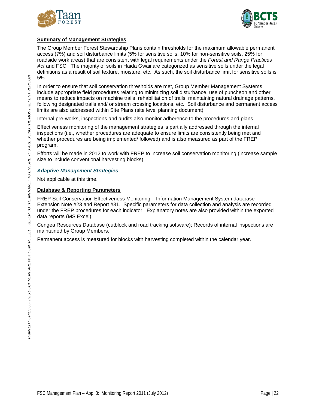



### **Summary of Management Strategies**

The Group Member Forest Stewardship Plans contain thresholds for the maximum allowable permanent access (7%) and soil disturbance limits (5% for sensitive soils, 10% for non-sensitive soils, 25% for roadside work areas) that are consistent with legal requirements under the *Forest and Range Practices*  Act and FSC. The majority of soils in Haida Gwaii are categorized as sensitive soils under the legal definitions as a result of soil texture, moisture, etc. As such, the soil disturbance limit for sensitive soils is 5%.

In order to ensure that soil conservation thresholds are met, Group Member Management Systems include appropriate field procedures relating to minimizing soil disturbance, use of puncheon and other means to reduce impacts on machine trails, rehabilitation of trails, maintaining natural drainage patterns, following designated trails and/ or stream crossing locations, etc. Soil disturbance and permanent access limits are also addressed within Site Plans (site level planning document).

Internal pre-works, inspections and audits also monitor adherence to the procedures and plans.

Effectiveness monitoring of the management strategies is partially addressed through the internal inspections (i.e., whether procedures are adequate to ensure limits are consistently being met and whether procedures are being implemented/ followed) and is also measured as part of the FREP program.

Efforts will be made in 2012 to work with FREP to increase soil conservation monitoring (increase sample size to include conventional harvesting blocks).

### *Adaptive Management Strategies*

Not applicable at this time.

### **Database & Reporting Parameters**

FREP Soil Conservation Effectiveness Monitoring – Information Management System database Extension Note #23 and Report #31. Specific parameters for data collection and analysis are recorded under the FREP procedures for each indicator. Explanatory notes are also provided within the exported data reports (MS Excel).

Cengea Resources Database (cutblock and road tracking software); Records of internal inspections are maintained by Group Members.

Permanent access is measured for blocks with harvesting completed within the calendar year.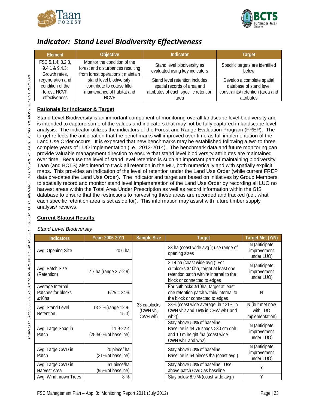



### <span id="page-24-0"></span>*Indicator: Stand Level Biodiversity Effectiveness*

| Element                                             | Objective                                                                                             | <b>Indicator</b>                                              | <b>Target</b>                            |
|-----------------------------------------------------|-------------------------------------------------------------------------------------------------------|---------------------------------------------------------------|------------------------------------------|
| FSC 5.1.4, 8.2.3,<br>9.4.1 & 9.4.3<br>Growth rates, | Monitor the condition of the<br>forest and disturbances resulting<br>from forest operations; maintain | Stand level biodiversity as<br>evaluated using key indicators | Specific targets are identified<br>helow |
| regeneration and                                    | stand level biodiversity;                                                                             | Stand level retention includes                                | Develop a complete spatial               |
| condition of the                                    | contribute to coarse filter                                                                           | spatial records of area and                                   | database of stand level                  |
| forest: HCVF                                        | maintenance of habitat and                                                                            | attributes of each specific retention                         | constraints/ retention (area and         |
| effectiveness                                       | <b>HCVF</b>                                                                                           | area                                                          | attributes                               |

### **Rationale for Indicator & Target**

Stand Level Biodiversity is an important component of monitoring overall landscape level biodiversity and is intended to capture some of the values and indicators that may not be fully captured in landscape level analysis. The indicator utilizes the indicators of the Forest and Range Evaluation Program (FREP). The target reflects the anticipation that the benchmarks will improved over time as full implementation of the Land Use Order occurs. It is expected that new benchmarks may be established following a two to three complete years of LUO implementation (i.e., 2013-2014). The benchmark data and future monitoring can provide valuable management direction to ensure that stand level biodiversity attributes are maintained over time. Because the level of stand level retention is such an important part of maintaining biodiversity, Taan (and BCTS) also intend to track all retention in the MU, both numerically and with spatially explicit maps. This provides an indication of the level of retention under the Land Use Order (while current FREP data pre-dates the Land Use Order). The indicator and target are based on initiatives by Group Members to spatially record and monitor stand level implementation of the Land Use Order by recording all LUO no harvest areas within the Total Area Under Prescription as well as record information within the GIS database to ensure that the restrictions to harvesting these areas are recorded and tracked (i.e., what each specific retention area is set aside for). This information may assist with future timber supply analysis/ reviews.

### **Current Status/ Results**

### *Stand Level Biodiversity*

| <b>Indicators</b>                                      | Year: 2006-2011                        | <b>Sample Size</b>                  | <b>Target</b>                                                                                                                                    | Target Met (Y/N)                              |
|--------------------------------------------------------|----------------------------------------|-------------------------------------|--------------------------------------------------------------------------------------------------------------------------------------------------|-----------------------------------------------|
| Avg. Opening Size                                      | 20.6 ha                                |                                     | 23 ha (coast wide avg.); use range of<br>opening sizes                                                                                           | N (anticipate<br>improvement<br>under LUO)    |
| Avg. Patch Size<br>(Retention)                         | 2.7 ha (range 2.7-2.9)                 |                                     | 3.14 ha (coast wide avg.); For<br>cutblocks ≥10ha, target at least one<br>retention patch within/ internal to the<br>block or connected to edges | N (anticipate<br>improvement<br>under LUO)    |
| Average Internal<br>Patches for blocks<br>$\geq 10$ ha | $6/25 = 24%$                           |                                     | For cutblocks ≥10ha, target at least<br>one retention patch within/ internal to<br>the block or connected to edges                               | Ν                                             |
| Avg. Stand Level<br>Retention                          | 13.2 % (range 12.9-<br>15.3)           | 33 cutblocks<br>(CWH vh,<br>CWH wh) | 23% (coast wide average, but 31% in<br>CWH vh2 and 16% in CHW wh1 and<br>wh2)                                                                    | N (but met now<br>with LUO<br>implementation) |
| Avg. Large Snag in<br>Patch                            | $11.9 - 22.4$<br>(25-50 % of baseline) |                                     | Stay above 50% of baseline.<br>Baseline is 44.76 snags > 30 cm dbh<br>and 10 m height /ha (coast wide<br>CWH wh1 and wh2)                        | N (anticipate<br>improvement<br>under LUO)    |
| Avg. Large CWD in<br>Patch                             | 20 piece/ ha<br>(31% of baseline)      |                                     | Stay above 50% of baseline.<br>Baseline is 64 pieces /ha (coast avg.)                                                                            | N (anticipate<br>improvement<br>under LUO)    |
| Avg. Large CWD in<br>Harvest Area                      | 61 piece/ha<br>(95% of baseline)       |                                     | Stay above 50% of baseline; Use<br>above patch CWD as baseline                                                                                   | Υ                                             |
| Avg. Windthrown Trees                                  | 8%                                     |                                     | Stay below 8.9 % (coast wide avg.)                                                                                                               | Υ                                             |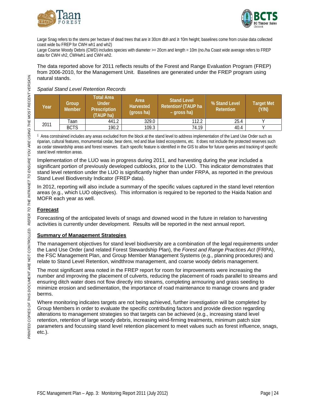



Large Snag refers to the stems per hectare of dead trees that are ≥ 30cm dbh and ≥ 10m height; baselines come from cruise data collected coast wide bu FREP for CWH wh1 and wh2)

Large Coarse Woody Debris (CWD) includes species with diameter >= 20cm and length = 10m (no./ha Coast wide average refers to FREP data for CWH vh2, CWHwh1 and CWH wh2.

The data reported above for 2011 reflects results of the Forest and Range Evaluation Program (FREP) from 2006-2010, for the Management Unit. Baselines are generated under the FREP program using natural stands.

### *Spatial Stand Level Retention Records*

| Year | Group<br><b>Member</b> | Total Area<br><b>Under</b><br><b>Prescription</b><br>(TAUP ha) | Area<br><b>Harvested</b><br>(gross ha) | <b>Stand Level</b><br>Retention <sup>1</sup> (TAUP ha<br>- gross ha) | % Stand Level<br><b>Retention</b> | <b>Target Met</b><br>(Y/N) |
|------|------------------------|----------------------------------------------------------------|----------------------------------------|----------------------------------------------------------------------|-----------------------------------|----------------------------|
| 2011 | Taan                   | 441.2                                                          | 329.0                                  | 112.2                                                                | 25.4                              |                            |
|      | <b>BCTS</b>            | 190.2                                                          | 109.3                                  | 74.19                                                                | 40.4                              |                            |

1 Area constrained includes any areas excluded from the block at the stand level to address implementation of the Land Use Order such as riparian, cultural features, monumental cedar, bear dens, red and blue listed ecosystems, etc. It does not include the protected reserves such as cedar stewardship areas and forest reserves. Each specific feature is identified in the GIS to allow for future queries and tracking of specific stand level retention areas.

Implementation of the LUO was in progress during 2011, and harvesting during the year included a significant portion of previously developed cutblocks, prior to the LUO. This indicator demonstrates that stand level retention under the LUO is significantly higher than under FRPA, as reported in the previous Stand Level Biodiversity Indicator (FREP data).

In 2012, reporting will also include a summary of the specific values captured in the stand level retention areas (e.g., which LUO objectives). This information is required to be reported to the Haida Nation and MOFR each year as well.

### **Forecast**

Forecasting of the anticipated levels of snags and downed wood in the future in relation to harvesting activities is currently under development. Results will be reported in the next annual report.

### **Summary of Management Strategies**

The management objectives for stand level biodiversity are a combination of the legal requirements under the Land Use Order (and related Forest Stewardship Plan), the *Forest and Range Practices Act* (FRPA), the FSC Management Plan, and Group Member Management Systems (e.g., planning procedures) and relate to Stand Level Retention, windthrow management, and coarse woody debris management.

The most significant area noted in the FREP report for room for improvements were increasing the number and improving the placement of culverts, reducing the placement of roads parallel to streams and ensuring ditch water does not flow directly into streams, completing armouring and grass seeding to minimize erosion and sedimentation, the importance of road maintenance to manage crowns and grader berms.

Where monitoring indicates targets are not being achieved, further investigation will be completed by Group Members in order to evaluate the specific contributing factors and provide direction regarding alterations to management strategies so that targets can be achieved (e.g., increasing stand level retention, retention of large woody debris, increasing wind-firming treatments, minimum patch size parameters and focussing stand level retention placement to meet values such as forest influence, snags, etc.).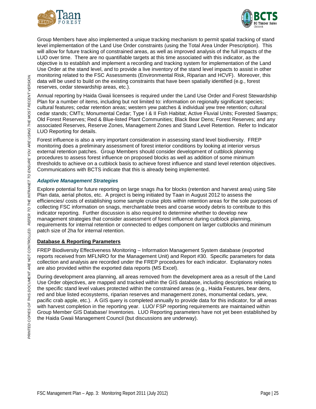



Group Members have also implemented a unique tracking mechanism to permit spatial tracking of stand level implementation of the Land Use Order constraints (using the Total Area Under Prescription). This will allow for future tracking of constrained areas, as well as improved analysis of the full impacts of the LUO over time. There are no quantifiable targets at this time associated with this indicator, as the objective is to establish and implement a recording and tracking system for implementation of the Land Use Order at the stand level, and to provide a live inventory of the stand level impacts to assist in other monitoring related to the FSC Assessments (Environmental Risk, Riparian and HCVF). Moreover, this data will be used to build on the existing constraints that have been spatially identified (e.g., forest reserves, cedar stewardship areas, etc.).

Annual reporting by Haida Gwaii licensees is required under the Land Use Order and Forest Stewardship Plan for a number of items, including but not limited to: information on regionally significant species; cultural features; cedar retention areas; western yew patches & individual yew tree retention; cultural cedar stands; CMTs; Monumental Cedar; Type I & II Fish Habitat; Active Fluvial Units; Forested Swamps; Old Forest Reserves; Red & Blue-listed Plant Communities; Black Bear Dens; Forest Reserves; and any associated Reserves, Reserve Zones, Management Zones and Stand Level Retention. Refer to Indicator LUO Reporting for details.

Forest influence is also a very important consideration in assessing stand level biodiversity. FREP monitoring does a preliminary assessment of forest interior conditions by looking at interior versus external retention patches. Group Members should consider development of cutblock planning procedures to assess forest influence on proposed blocks as well as addition of some minimum thresholds to achieve on a cutblock basis to achieve forest influence and stand level retention objectives. Communications with BCTS indicate that this is already being implemented.

### *Adaptive Management Strategies*

Explore potential for future reporting on large snags /ha for blocks (retention and harvest area) using Site Plan data, aerial photos, etc. A project is being initiated by Taan in August 2012 to assess the efficiencies/ costs of establishing some sample cruise plots within retention areas for the sole purposes of collecting FSC information on snags, merchantable trees and coarse woody debris to contribute to this indicator reporting. Further discussion is also required to determine whether to develop new management strategies that consider assessment of forest influence during cutblock planning, requirements for internal retention or connected to edges component on larger cutblocks and minimum patch size of 2ha for internal retention.

### **Database & Reporting Parameters**

FREP Biodiversity Effectiveness Monitoring – Information Management System database (exported reports received from MFLNRO for the Management Unit) and Report #30. Specific parameters for data collection and analysis are recorded under the FREP procedures for each indicator. Explanatory notes are also provided within the exported data reports (MS Excel).

During development area planning, all areas removed from the development area as a result of the Land Use Order objectives, are mapped and tracked within the GIS database, including descriptions relating to the specific stand level values protected within the constrained areas (e.g., Haida Features, bear dens, red and blue listed ecosystems, riparian reserves and management zones, monumental cedars, yew, pacific crab apple, etc.). A GIS query is completed annually to provide data for this indicator, for all areas with harvest completion in the reporting year. LUO/ FSP reporting requirements are maintained within Group Member GIS Database/ Inventories. LUO Reporting parameters have not yet been established by the Haida Gwaii Management Council (but discussions are underway).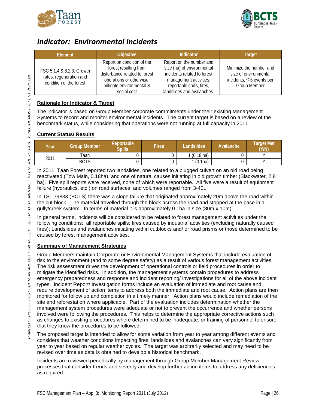



### <span id="page-27-0"></span>*Indicator: Environmental Incidents*

| Element                                                                         | <b>Objective</b>                                                                                                                                            | <b>Indicator</b>                                                                                                                                                           | Target                                                                                                    |
|---------------------------------------------------------------------------------|-------------------------------------------------------------------------------------------------------------------------------------------------------------|----------------------------------------------------------------------------------------------------------------------------------------------------------------------------|-----------------------------------------------------------------------------------------------------------|
| FSC 5.1.4 & 8.2.3: Growth<br>rates, regeneration and<br>condition of the forest | Report on condition of the<br>forest resulting from<br>disturbance related to forest<br>operations or otherwise;<br>mitigate environmental &<br>social cost | Report on the number and<br>size (ha) of environmental<br>incidents related to forest<br>management activities:<br>reportable spills, fires,<br>landslides and avalanches. | Minimize the number and<br>size of environmental<br>incidents; $\leq$ 5 events per<br><b>Group Member</b> |

### **Rationale for Indicator & Target**

The indicator is based on Group Member corporate commitments under their existing Management Systems to record and monitor environmental incidents. The current target is based on a review of the benchmark status, while considering that operations were not running at full capacity in 2011.

### **Current Status/ Results**

| Year | <b>Group Member</b> | <b>Reportable</b><br><b>Spills</b> | Fires | _andslides           | Avalanche | Target Met<br>(Y/N) |
|------|---------------------|------------------------------------|-------|----------------------|-----------|---------------------|
| 2011 | Taan                |                                    |       | $1(0.18 \text{ ha})$ |           |                     |
|      | <b>BCTS</b>         |                                    |       | 1(0.1ha)             |           |                     |

In 2011, Taan Forest reported two landslides, one related to a plugged culvert on an old road being reactivated (Tow Main, 0.18ha), and one of natural causes initiating in old growth timber (Blackwater, 2.8 ha). Five spill reports were received, none of which were reportable. All five were a result of equipment failure (hydraulics, etc.) on road surfaces, and volumes ranged from 3-40L.

In TSL 79833 (BCTS) there was a slope failure that originated approximately 20m above the road within the cut block. The material travelled through the block across the road and stopped at the base in a gully/creek system. In terms of material it is approximately 0.1ha in size (80m x 10m).

In general terms, incidents will be considered to be related to forest management activities under the following conditions: all reportable spills; fires caused by industrial activities (excluding naturally caused fires); Landslides and avalanches initiating within cutblocks and/ or road prisms or those determined to be caused by forest management activities.

### **Summary of Management Strategies**

Group Members maintain Corporate or Environmental Management Systems that include evaluation of risk to the environment (and to some degree safety) as a result of various forest management activities. The risk assessment drives the development of operational controls or field procedures in order to mitigate the identified risks. In addition, the management systems contain procedures to address emergency preparedness and response and incident reporting/ investigations for all of the above incident types. Incident Report/ Investigation forms include an evaluation of immediate and root cause and require development of action items to address both the immediate and root cause. Action plans are then monitored for follow up and completion in a timely manner. Action plans would include remediation of the site and reforestation where applicable. Part of the evaluation includes determination whether the management system procedures were adequate or not to prevent the occurrence and whether persons involved were following the procedures. This helps to determine the appropriate corrective actions such as changes to existing procedures where determined to be inadequate, or training of personnel to ensure that they know the procedures to be followed.

The proposed target is intended to allow for some variation from year to year among different events and considers that weather conditions impacting fires, landslides and avalanches can vary significantly from year to year based on regular weather cycles. The target was arbitrarily selected and may need to be revised over time as data is obtained to develop a historical benchmark.

Incidents are reviewed periodically by management through Group Member Management Review processes that consider trends and severity and develop further action items to address any deficiencies as required.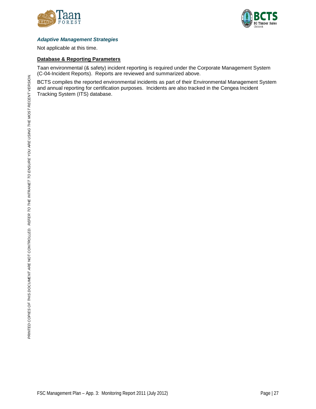



### *Adaptive Management Strategies*

Not applicable at this time.

#### **Database & Reporting Parameters**

Taan environmental (& safety) incident reporting is required under the Corporate Management System (C-04-Incident Reports). Reports are reviewed and summarized above.

BCTS compiles the reported environmental incidents as part of their Environmental Management System and annual reporting for certification purposes. Incidents are also tracked in the Cengea Incident Tracking System (ITS) database.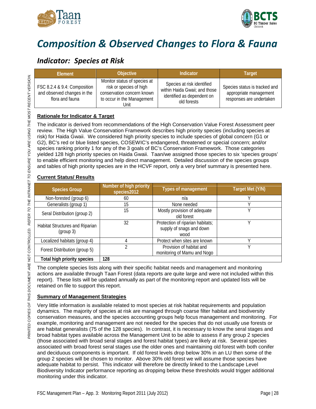



# <span id="page-29-0"></span>*Composition & Observed Changes to Flora & Fauna*

### <span id="page-29-1"></span>*Indicator: Species at Risk*

| Element                                                                        | <b>Objective</b>                                                                                                            | Indicator                                                                                                | <b>Target</b>                                                                       |
|--------------------------------------------------------------------------------|-----------------------------------------------------------------------------------------------------------------------------|----------------------------------------------------------------------------------------------------------|-------------------------------------------------------------------------------------|
| FSC 8.2.4 & 9.4: Composition<br>and observed changes in the<br>flora and fauna | Monitor status of species at<br>risk or species of high<br>conservation concern known<br>to occur in the Management<br>Unit | Species at risk identified<br>within Haida Gwaii; and those<br>identified as dependent on<br>old forests | Species status is tracked and<br>appropriate management<br>responses are undertaken |

### **Rationale for Indicator & Target**

The indicator is derived from recommendations of the High Conservation Value Forest Assessment peer review. The High Value Conservation Framework describes high priority species (including species at risk) for Haida Gwaii. We considered high priority species to include species of global concern (G1 or G2), BC's red or blue listed species, COSEWIC's endangered, threatened or special concern; and/or species ranking priority 1 for any of the 3 goals of BC's Conservation Framework. Those categories yielded 128 high priority species on Haida Gwaii. Taan/we assigned those species to six 'species groups' to enable efficient monitoring and help direct management. Detailed discussion of the species groups and tables of high priority species are in the HCVF report, only a very brief summary is presented here.

### **Current Status/ Results**

| <b>Species Group</b>                                | Number of high priority<br>species2012 | <b>Types of management</b>                                           | Target Met (Y/N) |
|-----------------------------------------------------|----------------------------------------|----------------------------------------------------------------------|------------------|
| Non-forested (group 6)                              | 60                                     | n/a                                                                  |                  |
| Generalists (group 1)                               | 15                                     | None needed                                                          |                  |
| Seral Distribution (group 2)                        | 15                                     | Mostly provision of adequate<br>old forest                           |                  |
| <b>Habitat Structures and Riparian</b><br>(group 3) | 32                                     | Protection of riparian habitats;<br>supply of snags and down<br>wood |                  |
| Localized habitats (group 4)                        |                                        | Protect when sites are known                                         |                  |
| Forest Distribution (group 5)                       |                                        | Provision of habitat and<br>monitoring of Mamu and Nogo              |                  |
| Total high priority species                         | 128                                    |                                                                      |                  |

The complete species lists along with their specific habitat needs and management and monitoring actions are available through Taan Forest (data reports are quite large and were not included within this report). These lists will be updated annually as part of the monitoring report and updated lists will be retained on file to support this report.

### **Summary of Management Strategies**

Very little information is available related to most species at risk habitat requirements and population dynamics. The majority of species at risk are managed through coarse filter habitat and biodiversity conservation measures, and the species accounting groups help focus management and monitoring. For example, monitoring and management are not needed for the species that do not usually use forests or are habitat generalists (75 of the 128 species). In contrast, it is necessary to know the seral stages and broad habitat types available across the Management Unit to be able to assess if any group 2 species (those associated with broad seral stages and forest habitat types) are likely at risk. Several species associated with broad forest seral stages use the older ones and maintaining old forest with both conifer and deciduous components is important. If old forest levels drop below 30% in an LU then some of the group 2 species will be chosen to monitor. Above 30% old forest we will assume those species have adequate habitat to persist. This indicator will therefore be directly linked to the Landscape Level Biodiversity Indicator performance reporting as dropping below these thresholds would trigger additional monitoring under this indicator.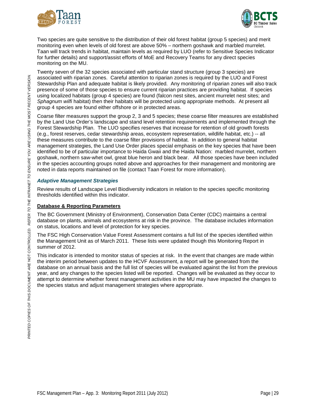



Two species are quite sensitive to the distribution of their old forest habitat (group 5 species) and merit monitoring even when levels of old forest are above 50% – northern goshawk and marbled murrelet. Taan will track trends in habitat, maintain levels as required by LUO (refer to Sensitive Species Indicator for further details) and support/assist efforts of MoE and Recovery Teams for any direct species monitoring on the MU.

Twenty seven of the 32 species associated with particular stand structure (group 3 species) are associated with riparian zones. Careful attention to riparian zones is required by the LUO and Forest Stewardship Plan and adequate habitat is likely provided. Any monitoring of riparian zones will also track presence of some of those species to ensure current riparian practices are providing habitat. If species using localized habitats (group 4 species) are found (falcon nest sites, ancient murrelet nest sites; and *Sphagnum wilfi* habitat) then their habitats will be protected using appropriate methods. At present all group 4 species are found either offshore or in protected areas.

Coarse filter measures support the group 2, 3 and 5 species; these coarse filter measures are established by the Land Use Order's landscape and stand level retention requirements and implemented through the Forest Stewardship Plan. The LUO specifies reserves that increase for retention of old growth forests (e.g., forest reserves, cedar stewardship areas, ecosystem representation, wildlife habitat, etc.) -- all these measures contribute to the coarse filter provisions of habitat. In addition to general habitat management strategies, the Land Use Order places special emphasis on the key species that have been identified to be of particular importance to Haida Gwaii and the Haida Nation: marbled murrelet, northern goshawk, northern saw-whet owl, great blue heron and black bear. All those species have been included in the species accounting groups noted above and approaches for their management and monitoring are noted in data reports maintained on file (contact Taan Forest for more information).

### *Adaptive Management Strategies*

Review results of Landscape Level Biodiversity indicators in relation to the species specific monitoring thresholds identified within this indicator.

### **Database & Reporting Parameters**

The BC Government (Ministry of Environment), Conservation Data Center (CDC) maintains a central database on plants, animals and ecosystems at risk in the province. The database includes information on status, locations and level of protection for key species.

The FSC High Conservation Value Forest Assessment contains a full list of the species identified within the Management Unit as of March 2011. These lists were updated though this Monitoring Report in summer of 2012.

This indicator is intended to monitor status of species at risk. In the event that changes are made within the interim period between updates to the HCVF Assessment, a report will be generated from the database on an annual basis and the full list of species will be evaluated against the list from the previous year, and any changes to the species listed will be reported. Changes will be evaluated as they occur to attempt to determine whether forest management activities in the MU may have impacted the changes to the species status and adjust management strategies where appropriate.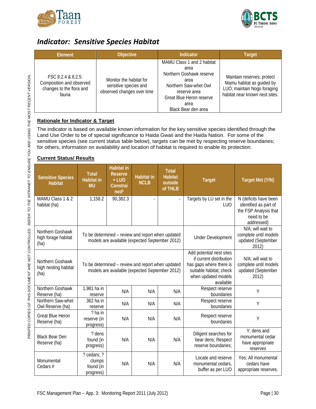



### <span id="page-31-0"></span>*Indicator: Sensitive Species Habitat*

| Element                                                                             | Objective                                                                      | Indicator                                                                                                                                                                  | <b>Target</b>                                                                                                            |
|-------------------------------------------------------------------------------------|--------------------------------------------------------------------------------|----------------------------------------------------------------------------------------------------------------------------------------------------------------------------|--------------------------------------------------------------------------------------------------------------------------|
| FSC 8.2.4 & 8.2.5:<br>Composition and observed<br>changes to the flora and<br>fauna | Monitor the habitat for<br>sensitive species and<br>observed changes over time | MAMU Class 1 and 2 habitat<br>area<br>Northern Goshawk reserve<br>area<br>Northern Saw-whet Owl<br>reserve area<br>Great Blue Heron reserve<br>area<br>Black Bear den area | Maintain reserves; protect<br>Mamu habitat as guided by<br>LUO; maintain Nogo foraging<br>habitat near known nest sites. |

### **Rationale for Indicator & Target**

The indicator is based on available known information for the key sensitive species identified through the Land Use Order to be of special significance to Haida Gwaii and the Haida Nation. For some of the sensitive species (see current status table below), targets can be met by respecting reserve boundaries; for others, information on availability and location of habitat is required to enable its protection.

### **Current Status/ Results**

| <b>Sensitive Species</b><br><b>Habitat</b>       | <b>Total</b><br><b>Habitat in</b><br><b>MU</b>  | <b>Habitat in</b><br><b>Reserve</b><br>$+$ LUO<br>Constrai<br>neq <sup>2</sup>                      | <b>Habitat in</b><br><b>NCLB</b> | <b>Total</b><br><b>Habitat</b><br>outside<br>of THLB | <b>Target</b>                                                                                                                                 | Target Met (Y/N)                                                                                    |
|--------------------------------------------------|-------------------------------------------------|-----------------------------------------------------------------------------------------------------|----------------------------------|------------------------------------------------------|-----------------------------------------------------------------------------------------------------------------------------------------------|-----------------------------------------------------------------------------------------------------|
| MAMU Class 1 & 2<br>habitat (ha)                 | 1,158.2                                         | 90,382.3                                                                                            |                                  |                                                      | Targets by LU set in the<br>LUO                                                                                                               | N (deficits have been<br>identified as part of<br>the FSP Analysis that<br>need to be<br>addressed) |
| Northern Goshawk<br>high forage habitat<br>(ha)  |                                                 | To be determined - review and report when updated<br>models are available (expected September 2012) |                                  | <b>Under Development</b>                             | N/A; will wait to<br>complete until models<br>updated (September<br>2012)                                                                     |                                                                                                     |
| Northern Goshawk<br>high nesting habitat<br>(ha) |                                                 | To be determined - review and report when updated<br>models are available (expected September 2012) |                                  |                                                      | Add potential nest sites<br>if current distribution<br>has gaps where there is<br>suitable habitat; check<br>when updated models<br>available | N/A; will wait to<br>complete until models<br>updated (September<br>2012)                           |
| Northern Goshawk<br>Reserve (ha)                 | 1,981 ha in<br>reserve                          | N/A                                                                                                 | N/A                              | N/A                                                  | Respect reserve<br>boundaries                                                                                                                 | Y                                                                                                   |
| Northern Saw-whet<br>Owl Reserve (ha)            | 362 ha in<br>reserve                            | N/A                                                                                                 | N/A                              | N/A                                                  | Respect reserve<br>boundaries                                                                                                                 | Y                                                                                                   |
| <b>Great Blue Heron</b><br>Reserve (ha)          | ? ha in<br>reserve (in<br>progress)             | N/A                                                                                                 | N/A                              | N/A                                                  | Respect reserve<br>boundaries                                                                                                                 | Y                                                                                                   |
| <b>Black Bear Den</b><br>Reserve (ha)            | ? dens<br>found (in<br>progress)                | N/A                                                                                                 | N/A                              | N/A                                                  | Diligent searches for<br>bear dens; Respect<br>reserve boundaries:                                                                            | Y; dens and<br>monumental cedar<br>have appropriate<br>reserves                                     |
| Monumental<br>Cedars #                           | ? cedars; ?<br>clumps<br>found (in<br>progress) | N/A                                                                                                 | N/A                              | N/A                                                  | Locate and reserve<br>monumental cedars,<br>buffer as per LUO                                                                                 | Yes; All monumental<br>cedars have<br>appropriate reserves.                                         |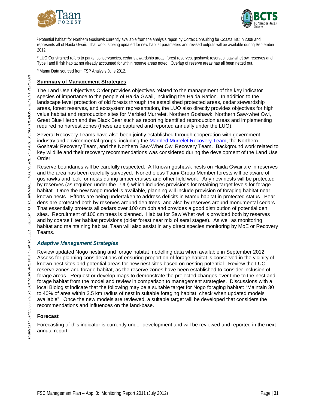



1 Potential habitat for Northern Goshawk currently available from the analysis report by Cortex Consulting for Coastal BC in 2008 and represents all of Haida Gwaii. That work is being updated for new habitat parameters and revised outputs will be available during September 2012.

<sup>2</sup> LUO Constrained refers to parks, conservancies, cedar stewardship areas, forest reserves, goshawk reserves, saw-whet owl reserves and Type I and II fish habitat not already accounted for within reserve areas noted. Overlap of reserve areas has all been netted out.

<sup>3</sup> Mamu Data sourced from FSP Analysis June 2012.

#### **Summary of Management Strategies**

The Land Use Objectives Order provides objectives related to the management of the key indicator species of importance to the people of Haida Gwaii, including the Haida Nation. In addition to the landscape level protection of old forests through the established protected areas, cedar stewardship areas, forest reserves, and ecosystem representation, the LUO also directly provides objectives for high value habitat and reproduction sites for Marbled Murrelet, Northern Goshawk, Northern Saw-whet Owl, Great Blue Heron and the Black Bear such as reporting identified reproduction areas and implementing required no harvest zones (these are captured and reported annually under the LUO).

Several Recovery Teams have also been jointly established through cooperation with government, industry and environmental groups, including the [Marbled Murrelet Recovery Team,](http://www.sfu.ca/biology/wildberg/bertram/mamurt/) the Northern Goshawk Recovery Team, and the Northern Saw-Whet Owl Recovery Team. Background work related to key wildlife and their recovery recommendations was considered during the development of the Land Use Order.

Reserve boundaries will be carefully respected. All known goshawk nests on Haida Gwaii are in reserves and the area has been carefully surveyed. Nonetheless Taan/ Group Member forests will be aware of goshawks and look for nests during timber cruises and other field work. Any new nests will be protected by reserves (as required under the LUO) which includes provisions for retaining target levels for forage habitat. Once the new Nogo model is available, planning will include provision of foraging habitat near known nests. Efforts are being undertaken to address deficits in Mamu habitat in protected status. Bear dens are protected both by reserves around den trees, and also by reserves around monumental cedars. That essentially protects all cedars over 100 cm dbh and provides a good distribution of potential den sites. Recruitment of 100 cm trees is planned. Habitat for Saw Whet owl is provided both by reserves and by coarse filter habitat provisions (older forest near mix of seral stages). As well as monitoring habitat and maintaining habitat, Taan will also assist in any direct species monitoring by MoE or Recovery Teams.

### *Adaptive Management Strategies*

Review updated Nogo nesting and forage habitat modelling data when available in September 2012. Assess for planning considerations of ensuring proportion of forage habitat is conserved in the vicinity of known nest sites and potential areas for new nest sites based on nesting potential. Review the LUO reserve zones and forage habitat, as the reserve zones have been established to consider inclusion of forage areas. Request or develop maps to demonstrate the projected changes over time to the nest and forage habitat from the model and review in comparison to management strategies. Discussions with a local Biologist indicate that the following may be a suitable target for Nogo foraging habitat: "Maintain 30 to 40% of area within 3.5 km radius of nest in suitable foraging habitat; check when updated models available". Once the new models are reviewed, a suitable target will be developed that considers the recommendations and influences on the land-base.

### **Forecast**

Forecasting of this indicator is currently under development and will be reviewed and reported in the next annual report.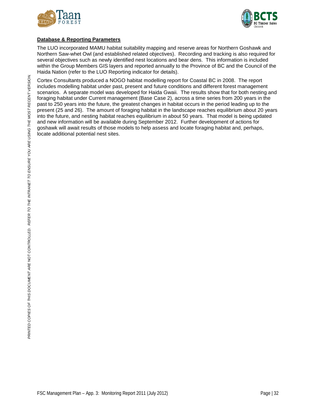



### **Database & Reporting Parameters**

The LUO incorporated MAMU habitat suitability mapping and reserve areas for Northern Goshawk and Northern Saw-whet Owl (and established related objectives). Recording and tracking is also required for several objectives such as newly identified nest locations and bear dens. This information is included within the Group Members GIS layers and reported annually to the Province of BC and the Council of the Haida Nation (refer to the LUO Reporting indicator for details).

Cortex Consultants produced a NOGO habitat modelling report for Coastal BC in 2008. The report includes modelling habitat under past, present and future conditions and different forest management scenarios. A separate model was developed for Haida Gwaii. The results show that for both nesting and foraging habitat under Current management (Base Case 2), across a time series from 200 years in the past to 250 years into the future, the greatest changes in habitat occurs in the period leading up to the present (25 and 26). The amount of foraging habitat in the landscape reaches equilibrium about 20 years into the future, and nesting habitat reaches equilibrium in about 50 years. That model is being updated and new information will be available during September 2012. Further development of actions for goshawk will await results of those models to help assess and locate foraging habitat and, perhaps, locate additional potential nest sites.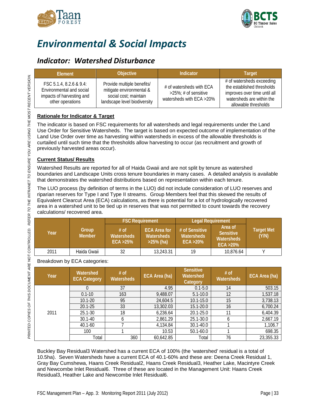



# <span id="page-34-0"></span>*Environmental & Social Impacts*

### <span id="page-34-1"></span>*Indicator: Watershed Disturbance*

| <b>Flement</b>                                                                                       | <b>Objective</b>                                                                                                | Indicator                                                                            | <b>Target</b>                                                                                                                                |
|------------------------------------------------------------------------------------------------------|-----------------------------------------------------------------------------------------------------------------|--------------------------------------------------------------------------------------|----------------------------------------------------------------------------------------------------------------------------------------------|
| FSC 5.1.4, 8.2.6 & 9.4:<br>Environmental and social<br>impacts of harvesting and<br>other operations | Provide multiple benefits/<br>mitigate environmental &<br>social cost; maintain<br>landscape level biodiversity | # of watersheds with ECA<br>$>25\%$ ; # of sensitive<br>watersheds with $ECA > 20\%$ | # of watersheds exceeding<br>the established thresholds<br>improves over time until all<br>watersheds are within the<br>allowable thresholds |

### **Rationale for Indicator & Target**

The indicator is based on FSC requirements for all watersheds and legal requirements under the Land Use Order for Sensitive Watersheds. The target is based on expected outcome of implementation of the Land Use Order over time as harvesting within watersheds in excess of the allowable thresholds is curtailed until such time that the thresholds allow harvesting to occur (as recruitment and growth of previously harvested areas occur).

### **Current Status/ Results**

Watershed Results are reported for all of Haida Gwaii and are not split by tenure as watershed boundaries and Landscape Units cross tenure boundaries in many cases. A detailed analysis is available that demonstrates the watershed distributions based on representation within each tenure.

The LUO process (by definition of terms in the LUO) did not include consideration of LUO reserves and riparian reserves for Type I and Type II streams. Group Members feel that this skewed the results of Equivalent Clearcut Area (ECA) calculations, as there is potential for a lot of hydrologically recovered area in a watershed unit to be tied up in reserves that was not permitted to count towards the recovery calculations/ recovered area.

|      |                        | <b>FSC Requirement</b>                      |                                                          | <b>Legal Requirement</b>                            |                                                        |                            |
|------|------------------------|---------------------------------------------|----------------------------------------------------------|-----------------------------------------------------|--------------------------------------------------------|----------------------------|
| Year | Group<br><b>Member</b> | $#$ of<br><b>Watersheds</b><br>$ECA > 25\%$ | <b>ECA Area for</b><br><b>Watersheds</b><br>$>25\%$ (ha) | # of Sensitive<br><b>Watersheds</b><br>$ECA > 20\%$ | Area of<br><b>Sensitive</b><br>Watersheds<br>ECA > 20% | <b>Target Met</b><br>(Y/N) |
| 2011 | Haida Gwaii            | 32                                          | 13,243.31                                                | 19                                                  | 10.876.64                                              |                            |

Breakdown by ECA categories:

| Year | Watershed<br><b>ECA Category</b> | # of<br><b>Watersheds</b> | ECA Area (ha) | <b>Sensitive</b><br>Watershed<br>Category | # of<br>Watersheds | ECA Area (ha) |
|------|----------------------------------|---------------------------|---------------|-------------------------------------------|--------------------|---------------|
|      | $\Omega$                         | 37                        | 4.95          | $0.1 - 5.0$                               | 14                 | 503.15        |
|      | $0.1 - 10$                       | 163                       | 9,488.07      | $5.1 - 10.0$                              | 12                 | 1,537.18      |
|      | $10.1 - 20$                      | 95                        | 24,604.5      | $10.1 - 15.0$                             | 15                 | 3,738.13      |
|      | $20.1 - 25$                      | 33                        | 13,302.03     | 15.1-20.0                                 | 16                 | 6,700.24      |
| 2011 | $25.1 - 30$                      | 18                        | 6,236.64      | 20.1-25.0                                 | 11                 | 6,404.39      |
|      | $30.1 - 40$                      | O                         | 2,861.29      | 25.1-30.0                                 | b                  | 2,667.19      |
|      | $40.1 - 60$                      |                           | 4,134.84      | 30.1-40.0                                 |                    | 1,106.7       |
|      | 100                              |                           | 10.53         | 50.1-60.0                                 |                    | 698.35        |
|      | Total                            | 360                       | 60,642.85     | Total                                     | 76                 | 23,355.33     |

Buckley Bay Residual3 Watershed has a current ECA of 100% (the 'watershed' residual is a total of 10.5ha). Seven Watersheds have a current ECA of 40.1-60% and these are: Deena Creek Residual 1, Gray Bay Cumshewa, Haans Creek Residual2, Haans Creek Residual3, Heather Lake, Macintyre Creek and Newcombe Inlet Residual6. Three of these are located in the Management Unit: Haans Creek Residual3, Heather Lake and Newcombe Inlet Residual6.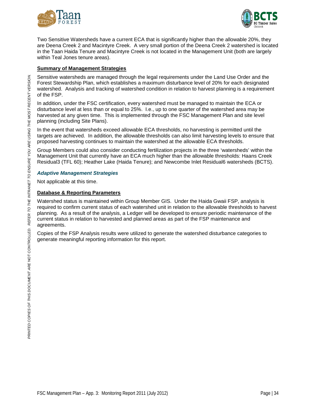



Two Sensitive Watersheds have a current ECA that is significantly higher than the allowable 20%, they are Deena Creek 2 and Macintyre Creek. A very small portion of the Deena Creek 2 watershed is located in the Taan Haida Tenure and Macintyre Creek is not located in the Management Unit (both are largely within Teal Jones tenure areas).

#### **Summary of Management Strategies**

Sensitive watersheds are managed through the legal requirements under the Land Use Order and the Forest Stewardship Plan, which establishes a maximum disturbance level of 20% for each designated watershed. Analysis and tracking of watershed condition in relation to harvest planning is a requirement of the FSP.

In addition, under the FSC certification, every watershed must be managed to maintain the ECA or disturbance level at less than or equal to 25%. I.e., up to one quarter of the watershed area may be harvested at any given time. This is implemented through the FSC Management Plan and site level planning (including Site Plans).

In the event that watersheds exceed allowable ECA thresholds, no harvesting is permitted until the targets are achieved. In addition, the allowable thresholds can also limit harvesting levels to ensure that proposed harvesting continues to maintain the watershed at the allowable ECA thresholds.

Group Members could also consider conducting fertilization projects in the three 'watersheds' within the Management Unit that currently have an ECA much higher than the allowable thresholds: Haans Creek Residual3 (TFL 60); Heather Lake (Haida Tenure); and Newcombe Inlet Residual6 watersheds (BCTS).

#### *Adaptive Management Strategies*

Not applicable at this time.

#### **Database & Reporting Parameters**

Watershed status is maintained within Group Member GIS. Under the Haida Gwaii FSP, analysis is required to confirm current status of each watershed unit in relation to the allowable thresholds to harvest planning. As a result of the analysis, a Ledger will be developed to ensure periodic maintenance of the current status in relation to harvested and planned areas as part of the FSP maintenance and agreements.

Copies of the FSP Analysis results were utilized to generate the watershed disturbance categories to generate meaningful reporting information for this report.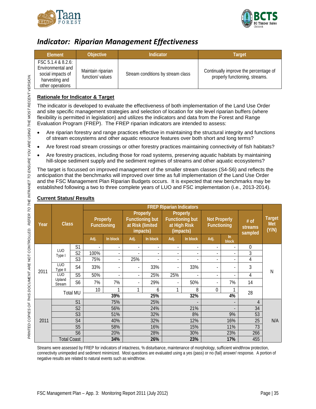



### <span id="page-36-0"></span>*Indicator: Riparian Management Effectiveness*

| Element                                                                                                       | Objective                            | <b>Indicator</b>                  | Target                                                                  |
|---------------------------------------------------------------------------------------------------------------|--------------------------------------|-----------------------------------|-------------------------------------------------------------------------|
| $\textsf{FSC}$ 5.1.4 & 8.2.6:<br>Environmental and<br>social impacts of<br>harvesting and<br>other operations | Maintain riparian<br>function/values | Stream conditions by stream class | Continually improve the percentage of<br>properly functioning, streams. |

### **Rationale for Indicator & Target**

The indicator is developed to evaluate the effectiveness of both implementation of the Land Use Order and site specific management strategies and selection of location for site level riparian buffers (where flexibility is permitted in legislation) and utilizes the indicators and data from the Forest and Range Evaluation Program (FREP). The FREP riparian indicators are intended to assess:

- Are riparian forestry and range practices effective in maintaining the structural integrity and functions of stream ecosystems and other aquatic resource features over both short and long terms?
- Are forest road stream crossings or other forestry practices maintaining connectivity of fish habitats?
- Are forestry practices, including those for road systems, preserving aquatic habitats by maintaining hill-slope sediment supply and the sediment regimes of streams and other aquatic ecosystems?

The target is focussed on improved management of the smaller stream classes (S4-S6) and reflects the anticipation that the benchmarks will improved over time as full implementation of the Land Use Order and the FSC Management Plan Riparian Budgets occurs. It is expected that new benchmarks may be established following a two to three complete years of LUO and FSC implementation (i.e., 2013-2014).

|      |                       |                | <b>FREP Riparian Indicators</b> |                          |                                |                |                              |                                    |                                       |                          |                                    |     |                            |                               |
|------|-----------------------|----------------|---------------------------------|--------------------------|--------------------------------|----------------|------------------------------|------------------------------------|---------------------------------------|--------------------------|------------------------------------|-----|----------------------------|-------------------------------|
| Year | <b>Class</b>          |                |                                 |                          | Properly<br><b>Functioning</b> |                | at Risk (limited<br>impacts) | Properly<br><b>Functioning but</b> | Properly<br>at High Risk<br>(impacts) | <b>Functioning but</b>   | <b>Not Properly</b><br>Functioning |     | # of<br>streams<br>sampled | <b>Target</b><br>Met<br>(Y/N) |
|      |                       |                | Adj.                            | In block                 | Adj.                           | In block       | Adj.                         | In block                           | Adj.                                  | $\ln$<br><b>block</b>    |                                    |     |                            |                               |
|      | LUO                   | S1             | $\overline{\phantom{a}}$        | $\overline{a}$           | $\overline{\phantom{a}}$       | $\blacksquare$ | $\overline{\phantom{0}}$     | $\overline{\phantom{a}}$           | $\overline{\phantom{0}}$              | $\overline{a}$           | 0                                  |     |                            |                               |
|      | Type I                | S <sub>2</sub> | 100%                            | $\overline{a}$           | $\overline{\phantom{a}}$       | $\overline{a}$ | $\overline{a}$               | $\overline{a}$                     | $\overline{a}$                        | $\overline{\phantom{a}}$ | 3                                  |     |                            |                               |
| 2011 |                       | S <sub>3</sub> | 75%                             | $\overline{a}$           | 25%                            | $\overline{a}$ | $\overline{\phantom{a}}$     | $\overline{\phantom{0}}$           | $\overline{\phantom{0}}$              | $\overline{a}$           | 4                                  |     |                            |                               |
|      | <b>LUO</b><br>Type II | S4             | 33%                             | $\overline{\phantom{a}}$ | $\overline{\phantom{a}}$       | 33%            |                              | 33%                                | $\overline{\phantom{0}}$              | $\overline{\phantom{a}}$ | 3                                  | N   |                            |                               |
|      | <b>LUO</b>            | S <sub>5</sub> | 50%                             | $\overline{a}$           | $\blacksquare$                 | 25%            | 25%                          | $\overline{\phantom{a}}$           | $\overline{\phantom{0}}$              | $\overline{a}$           | 4                                  |     |                            |                               |
|      | Upland<br>Stream      | S <sub>6</sub> | 7%                              | 7%                       | $\overline{\phantom{a}}$       | 29%            | $\overline{\phantom{a}}$     | 50%                                | $\overline{\phantom{a}}$              | 7%                       | 14                                 |     |                            |                               |
|      | <b>Total MU</b>       |                | 10 <sup>1</sup>                 | 1                        | 1                              | 6              | 1                            | 8                                  | $\theta$                              | 1                        | 28                                 |     |                            |                               |
|      |                       |                |                                 | 39%                      |                                | 25%            |                              | 32%                                |                                       | 4%                       |                                    |     |                            |                               |
|      |                       | S <sub>1</sub> |                                 | 75%                      |                                | 25%            |                              |                                    |                                       | $\overline{a}$           | 4                                  |     |                            |                               |
|      |                       | S <sub>2</sub> |                                 | 56%                      |                                | 24%            |                              | 21%                                |                                       | $\overline{\phantom{a}}$ | 34                                 |     |                            |                               |
|      |                       | S <sub>3</sub> |                                 | 51%                      |                                | 32%            |                              | 8%                                 |                                       | 9%                       | 53                                 |     |                            |                               |
| 2011 |                       | S <sub>4</sub> |                                 | 40%                      |                                | 32%            |                              | 12%                                |                                       | 16%                      | 25                                 | N/A |                            |                               |
|      |                       | S <sub>5</sub> |                                 | 58%                      |                                | 16%            |                              | 15%                                |                                       | 11%                      | 73                                 |     |                            |                               |
|      |                       | S <sub>6</sub> |                                 | 20%                      |                                | 28%            |                              | 30%                                |                                       | 23%                      | 266                                |     |                            |                               |
|      | <b>Total Coast</b>    |                |                                 | 34%                      |                                | 26%            |                              | 23%                                |                                       | 17%                      | 455                                |     |                            |                               |

### **Current Status/ Results**

Streams were assessed by FREP for indicators of intactness, % disturbance, maintenance of morphology, sufficient windthrow protection, connectivity unimpeded and sediment minimized. Most questions are evaluated using a yes (pass) or no (fail) answer/ response. A portion of negative results are related to natural events such as windthrow.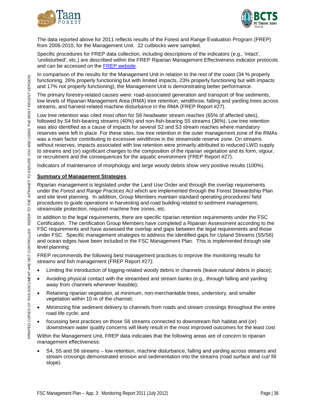



The data reported above for 2011 reflects results of the Forest and Range Evaluation Program (FREP) from 2006-2010, for the Management Unit. 22 cutblocks were sampled.

Specific procedures for FREP data collection, including descriptions of the indicators (e.g., 'intact', 'undisturbed', etc.) are described within the FREP Riparian Management Effectiveness indicator protocols and can be accessed on the [FREP website.](http://www.for.gov.bc.ca/hfp/frep/publications/reports.htm)

In comparison of the results for the Management Unit in relation to the rest of the coast (34 % properly functioning, 26% properly functioning but with limited impacts, 23% properly functioning but with impacts and 17% not properly functioning), the Management Unit is demonstrating better performance.

The primary forestry-related causes were: road-associated generation and transport of fine sediments, low levels of Riparian Management Area (RMA) tree retention, windthrow, falling and yarding trees across streams, and harvest-related machine disturbance in the RMA (FREP Report #27).

Low tree retention was cited most often for S6 headwater stream reaches (65% of affected sites), followed by S4 fish-bearing streams (40%) and non-fish-bearing S5 streams (36%). Low tree retention was also identified as a cause of impacts for several S2 and S3 stream reaches where mandatory reserves were left in place. For these sites, low tree retention in the outer management zone of the RMAs was a main factor contributing to excessive windthrow in the streamside reserve zone. On streams without reserves, impacts associated with low retention were primarily attributed to reduced LWD supply to streams and (or) significant changes to the composition of the riparian vegetation and its form, vigour, or recruitment and the consequences for the aquatic environment (FREP Report #27).

Indicators of maintenance of morphology and large woody debris show very positive results (100%).

### **Summary of Management Strategies**

Riparian management is legislated under the Land Use Order and through the overlap requirements under the *Forest and Range Practices Act* which are implemented through the Forest Stewardship Plan and site level planning. In addition, Group Members maintain standard operating procedures/ field procedures to guide operations in harvesting and road building related to sediment management, streamside protection, required machine free zones, etc.

In addition to the legal requirements, there are specific riparian retention requirements under the FSC Certification. The certification Group Members have completed a Riparian Assessment according to the FSC requirements and have assessed the overlap and gaps between the legal requirements and those under FSC. Specific management strategies to address the identified gaps for Upland Streams (S5/S6) and ocean edges have been included in the FSC Management Plan. This is implemented through site level planning.

FREP recommends the following best management practices to improve the monitoring results for streams and fish management (FREP Report #27):

- Limiting the introduction of logging-related woody debris in channels (leave natural debris in place);
- Avoiding physical contact with the streambed and stream banks (e.g., through falling and yarding away from channels whenever feasible);
- Retaining riparian vegetation, at minimum, non-merchantable trees, understory, and smaller vegetation within 10 m of the channel;
- Minimizing fine sediment delivery to channels from roads and stream crossings throughout the entire road life cycle; and
- focussing best practices on those S6 streams connected to downstream fish habitat and (or) downstream water quality concerns will likely result in the most improved outcomes for the least cost

Within the Management Unit, FREP data indicates that the following areas are of concern to riparian management effectiveness:

• S4, S5 and S6 streams – low retention, machine disturbance, falling and yarding across streams and stream crossings demonstrated erosion and sedimentation into the streams (road surface and cut/ fill slope).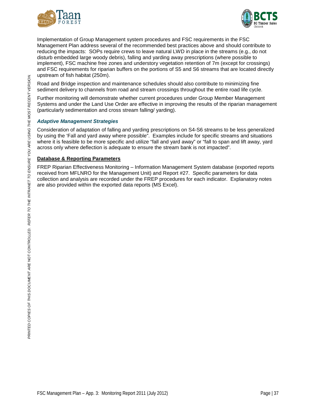



Implementation of Group Management system procedures and FSC requirements in the FSC Management Plan address several of the recommended best practices above and should contribute to reducing the impacts: SOPs require crews to leave natural LWD in place in the streams (e.g., do not disturb embedded large woody debris), falling and yarding away prescriptions (where possible to implement), FSC machine free zones and understory vegetation retention of 7m (except for crossings) and FSC requirements for riparian buffers on the portions of S5 and S6 streams that are located directly upstream of fish habitat (250m).

Road and Bridge inspection and maintenance schedules should also contribute to minimizing fine sediment delivery to channels from road and stream crossings throughout the entire road life cycle.

Further monitoring will demonstrate whether current procedures under Group Member Management Systems and under the Land Use Order are effective in improving the results of the riparian management (particularly sedimentation and cross stream falling/ yarding).

### *Adaptive Management Strategies*

Consideration of adaptation of falling and yarding prescriptions on S4-S6 streams to be less generalized by using the 'Fall and yard away where possible". Examples include for specific streams and situations where it is feasible to be more specific and utilize "fall and yard away" or "fall to span and lift away, yard across only where deflection is adequate to ensure the stream bank is not impacted".

#### **Database & Reporting Parameters**

FREP Riparian Effectiveness Monitoring – Information Management System database (exported reports received from MFLNRO for the Management Unit) and Report #27. Specific parameters for data collection and analysis are recorded under the FREP procedures for each indicator. Explanatory notes are also provided within the exported data reports (MS Excel).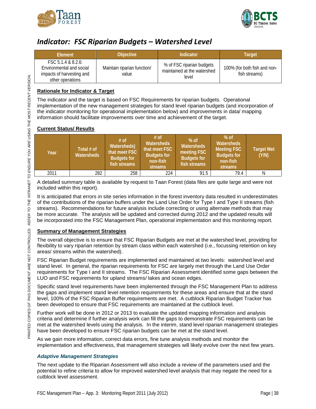



### <span id="page-39-0"></span>*Indicator: FSC Riparian Budgets – Watershed Level*

| <b>Element</b>                                                                                  | <b>Objective</b>                     | Indicator                                                         | Target                                        |
|-------------------------------------------------------------------------------------------------|--------------------------------------|-------------------------------------------------------------------|-----------------------------------------------|
| FSC 5.1.4 & 8.2.6:<br>Environmental and social<br>impacts of harvesting and<br>other operations | Maintain riparian function/<br>value | % of FSC riparian budgets<br>maintained at the watershed<br>level | 100% (for both fish and non-<br>fish streams) |

### **Rationale for Indicator & Target**

The indicator and the target is based on FSC Requirements for riparian budgets. Operational implementation of the new management strategies for stand level riparian budgets (and incorporation of the indicator monitoring for operational implementation below) and improvements in data/ mapping information should facilitate improvements over time and achievement of the target.

### **Current Status/ Results**

| Year | Total # of<br><b>Watersheds</b> | $#$ of<br><b>Watersheds)</b><br>that meet FSC<br><b>Budgets for</b><br>fish streams | $#$ of<br><b>Watersheds</b><br>that meet FSC<br><b>Budgets for</b><br>non-fish<br>streams | $%$ of<br><b>Watersheds</b><br>meeting FSC<br><b>Budgets for</b><br>fish streams | $%$ of<br>Watersheds<br><b>Meeting FSC</b><br><b>Budgets for</b><br>non-fish<br>streams | <b>Target Met</b><br>(Y/N) |
|------|---------------------------------|-------------------------------------------------------------------------------------|-------------------------------------------------------------------------------------------|----------------------------------------------------------------------------------|-----------------------------------------------------------------------------------------|----------------------------|
| 2011 | 282                             | 258                                                                                 | 224                                                                                       | 91.5                                                                             | 79.4                                                                                    |                            |

A detailed summary table is available by request to Taan Forest (data files are quite large and were not included within this report).

It is anticipated that errors in site series information in the forest inventory data resulted in underestimates of the contributions of the riparian buffers under the Land Use Order for Type I and Type II streams (fish streams). Recommendations for future analysis include correcting or using alternate methods that may be more accurate. The analysis will be updated and corrected during 2012 and the updated results will be incorporated into the FSC Management Plan, operational implementation and this monitoring report.

### **Summary of Management Strategies**

The overall objective is to ensure that FSC Riparian Budgets are met at the watershed level, providing for flexibility to vary riparian retention by stream class within each watershed (i.e., focussing retention on key areas/ streams within the watershed).

FSC Riparian Budget requirements are implemented and maintained at two levels: watershed level and stand level. In general, the riparian requirements for FSC are largely met through the Land Use Order requirements for Type I and II streams. The FSC Riparian Assessment identified some gaps between the LUO and FSC requirements for upland streams/ lakes and ocean edges.

Specific stand level requirements have been implemented through the FSC Management Plan to address the gaps and implement stand level retention requirements for these areas and ensure that at the stand level, 100% of the FSC Riparian Buffer requirements are met. A cutblock Riparian Budget Tracker has been developed to ensure that FSC requirements are maintained at the cutblock level.

Further work will be done in 2012 or 2013 to evaluate the updated mapping information and analysis criteria and determine if further analysis work can fill the gaps to demonstrate FSC requirements can be met at the watershed levels using the analysis. In the interim, stand level riparian management strategies have been developed to ensure FSC riparian budgets can be met at the stand level.

As we gain more information, correct data errors, fine tune analysis methods and monitor the implementation and effectiveness, that management strategies will likely evolve over the next few years.

### *Adaptive Management Strategies*

The next update to the Riparian Assessment will also include a review of the parameters used and the potential to refine criteria to allow for improved watershed level analysis that may negate the need for a cutblock level assessment.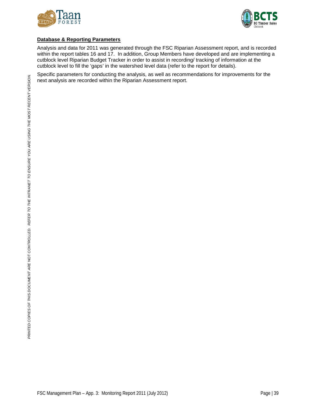



### **Database & Reporting Parameters**

Analysis and data for 2011 was generated through the FSC Riparian Assessment report, and is recorded within the report tables 16 and 17. In addition, Group Members have developed and are implementing a cutblock level Riparian Budget Tracker in order to assist in recording/ tracking of information at the cutblock level to fill the 'gaps' in the watershed level data (refer to the report for details).

Specific parameters for conducting the analysis, as well as recommendations for improvements for the next analysis are recorded within the Riparian Assessment report.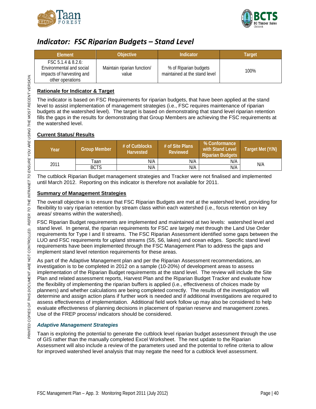



### <span id="page-41-0"></span>*Indicator: FSC Riparian Budgets – Stand Level*

| Element                                                                                         | <b>Objective</b>                     | Indicator                                              | <b>Target</b> |
|-------------------------------------------------------------------------------------------------|--------------------------------------|--------------------------------------------------------|---------------|
| FSC 5.1.4 & 8.2.6:<br>Environmental and social<br>impacts of harvesting and<br>other operations | Maintain riparian function/<br>value | % of Riparian budgets<br>maintained at the stand level | 100%          |

### **Rationale for Indicator & Target**

The indicator is based on FSC Requirements for riparian budgets, that have been applied at the stand level to assist implementation of management strategies (i.e., FSC requires maintenance of riparian budgets at the watershed level). The target is based on demonstrating that stand level riparian retention fills the gaps in the results for demonstrating that Group Members are achieving the FSC requirements at the watershed level.

### **Current Status/ Results**

| Year | <b>Group Member</b> | $#$ of Cutblocks<br><b>Harvested</b> | # of Site Plans<br>Reviewed | % Conformance<br>with Stand Level<br><b>Riparian Budgets</b> | Target Met (Y/N) |  |
|------|---------------------|--------------------------------------|-----------------------------|--------------------------------------------------------------|------------------|--|
|      | Taan                | N/A                                  | N/A                         | N/A                                                          | N/A              |  |
| 2011 | <b>BCTS</b>         | N/A                                  | N/A                         | N/A                                                          |                  |  |

The cutblock Riparian Budget management strategies and Tracker were not finalised and implemented until March 2012. Reporting on this indicator is therefore not available for 2011.

### **Summary of Management Strategies**

The overall objective is to ensure that FSC Riparian Budgets are met at the watershed level, providing for flexibility to vary riparian retention by stream class within each watershed (i.e., focus retention on key areas/ streams within the watershed).

FSC Riparian Budget requirements are implemented and maintained at two levels: watershed level and stand level. In general, the riparian requirements for FSC are largely met through the Land Use Order requirements for Type I and II streams. The FSC Riparian Assessment identified some gaps between the LUO and FSC requirements for upland streams (S5, S6, lakes) and ocean edges. Specific stand level requirements have been implemented through the FSC Management Plan to address the gaps and implement stand level retention requirements for these areas.

As part of the Adaptive Management plan and per the Riparian Assessment recommendations, an investigation is to be completed in 2012 on a sample (10-20%) of development areas to assess implementation of the Riparian Budget requirements at the stand level. The review will include the Site Plan and related assessment reports, Harvest Plan and the Riparian Budget Tracker and evaluate how the flexibility of implementing the riparian buffers is applied (i.e., effectiveness of choices made by planners) and whether calculations are being completed correctly. The results of the investigation will determine and assign action plans if further work is needed and if additional investigations are required to assess effectiveness of implementation. Additional field work follow up may also be considered to help evaluate effectiveness of planning decisions in placement of riparian reserve and management zones. Use of the FREP process/ indicators should be considered.

### *Adaptive Management Strategies*

Taan is exploring the potential to generate the cutblock level riparian budget assessment through the use of GIS rather than the manually completed Excel Worksheet. The next update to the Riparian Assessment will also include a review of the parameters used and the potential to refine criteria to allow for improved watershed level analysis that may negate the need for a cutblock level assessment.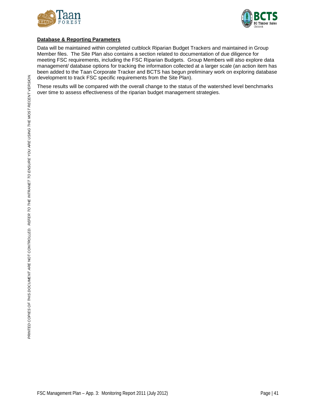



### **Database & Reporting Parameters**

Data will be maintained within completed cutblock Riparian Budget Trackers and maintained in Group Member files. The Site Plan also contains a section related to documentation of due diligence for meeting FSC requirements, including the FSC Riparian Budgets. Group Members will also explore data management/ database options for tracking the information collected at a larger scale (an action item has been added to the Taan Corporate Tracker and BCTS has begun preliminary work on exploring database development to track FSC specific requirements from the Site Plan).

These results will be compared with the overall change to the status of the watershed level benchmarks over time to assess effectiveness of the riparian budget management strategies.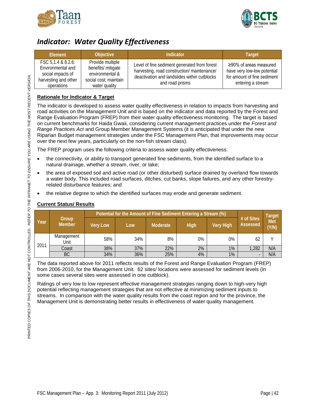



### <span id="page-43-0"></span>*Indicator: Water Quality Effectiveness*

| Element                                                                                            | Objective                                                                                           | Indicator                                                                                                                                                      | <b>Target</b>                                                                                                   |
|----------------------------------------------------------------------------------------------------|-----------------------------------------------------------------------------------------------------|----------------------------------------------------------------------------------------------------------------------------------------------------------------|-----------------------------------------------------------------------------------------------------------------|
| FSC 5.1.4 & 8.2.6:<br>Environmental and<br>social impacts of<br>harvesting and other<br>operations | Provide multiple<br>benefits/ mitigate<br>environmental &<br>social cost; maintain<br>water quality | Level of fine sediment generated from forest<br>harvesting, road construction/ maintenance/<br>deactivation and landslides within cutblocks<br>and road prisms | $\geq$ 90% of areas measured<br>have very low-low potential<br>for amount of fine sediment<br>entering a stream |

### **Rationale for Indicator & Target**

The indicator is developed to assess water quality effectiveness in relation to impacts from harvesting and road activities on the Management Unit and is based on the indicator and data reported by the Forest and Range Evaluation Program (FREP) from their water quality effectiveness monitoring. The target is based on current benchmarks for Haida Gwaii, considering current management practices under the *Forest and Range Practices Act* and Group Member Management Systems (it is anticipated that under the new Riparian Budget management strategies under the FSC Management Plan, that improvements may occur over the next few years, particularly on the non-fish stream class).

The FREP program uses the following criteria to assess water quality effectiveness:

- the connectivity, or ability to transport generated fine sediments, from the identified surface to a natural drainage, whether a stream, river, or lake;
- the area of exposed soil and active road (or other disturbed) surface drained by overland flow towards a water body. This included road surfaces, ditches, cut banks, slope failures, and any other forestryrelated disturbance features; and
- the relative degree to which the identified surfaces may erode and generate sediment.

|      |                        |                 | Potential for the Amount of Fine Sediment Entering a Stream (%) |          |      |                  |                        | <b>Target</b> |
|------|------------------------|-----------------|-----------------------------------------------------------------|----------|------|------------------|------------------------|---------------|
| Year | Group<br><b>Member</b> | <b>Very Low</b> | Low                                                             | Moderate | High | <b>Very High</b> | # of Sites<br>Assessed | Met<br>(Y/N)  |
| 2011 | Management<br>Unit     | 58%             | 34%                                                             | 8%       | 0%   | 0%               | 62                     |               |
|      | Coast                  | 38%             | 37%                                                             | 22%      | 2%   | 1%               | 1,282                  | N/A           |
|      | <b>BC</b>              | 34%             | 36%                                                             | 25%      | 4%   | 1%               |                        | N/A           |

### **Current Status/ Results**

The data reported above for 2011 reflects results of the Forest and Range Evaluation Program (FREP) from 2006-2010, for the Management Unit. 62 sites/ locations were assessed for sediment levels (in some cases several sites were assessed in one cutblock).

Ratings of very low to low represent effective management strategies ranging down to high-very high potential reflecting management strategies that are not effective at minimizing sediment inputs to streams. In comparison with the water quality results from the coast region and for the province, the Management Unit is demonstrating better results in effectiveness of water quality management.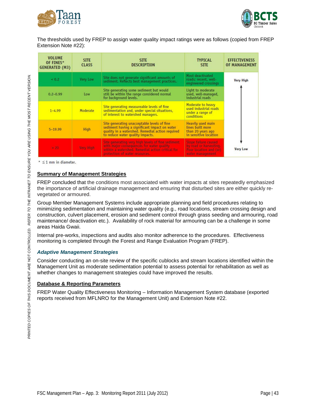



The thresholds used by FREP to assign water quality impact ratings were as follows (copied from FREP Extension Note #22):

| <b>VOLUME</b><br>OF FINES*<br><b>GENERATED (M3)</b> | <b>SITE</b><br><b>CLASS</b> | <b>SITE</b><br><b>DESCRIPTION</b>                                                                                                                                                    | <b>TYPICAL</b><br><b>SITE</b>                                                                | <b>EFFECTIVENESS</b><br><b>OF MANAGEMENT</b> |
|-----------------------------------------------------|-----------------------------|--------------------------------------------------------------------------------------------------------------------------------------------------------------------------------------|----------------------------------------------------------------------------------------------|----------------------------------------------|
| 40.2                                                | Very Low                    | Site does not generate significant amounts of<br>sediment. Reflects best management practices.                                                                                       | Most deactivated<br>roads; recent, well-<br>engineered crossings                             | <b>Very High</b>                             |
| $0.2 - 0.99$                                        | Low                         | Site generating some sediment but would<br>still be within the range considered normal<br>for background levels.                                                                     | Light to moderate<br>used, well-managed,<br>industrial roads                                 |                                              |
| $1 - 4.99$                                          | Moderate                    | Site generating measureable levels of fine<br>sedimentation and, under special situations,<br>of interest to watershed managers.                                                     | Moderate to heavy<br>used industrial roads<br>under a range of<br><b>conditions</b>          |                                              |
| $5 - 19.99$                                         | <b>High</b>                 | Site generating unacceptable levels of fine<br>sediment having a significant impact on water<br>quality in a watershed. Remedial action required<br>to reduce water quality impacts. | Heavily used main<br>lines built more<br>than 20 years ago<br>in sensitive location          |                                              |
| $-20$                                               | <b>Very High</b>            | Site generating very high levels of fine sediment<br>with major consequences for water quality<br>within a watershed. Remedial action critical for<br>protection of water resources. | Stope failure caused<br>by road or harvesting.<br>Poor location and (or)<br>water management | <b>Very Low</b>                              |

 $*$   $\leq$  1 mm in diameter.

### **Summary of Management Strategies**

FREP concluded that the conditions most associated with water impacts at sites repeatedly emphasized the importance of artificial drainage management and ensuring that disturbed sites are either quickly revegetated or armoured.

Group Member Management Systems include appropriate planning and field procedures relating to minimizing sedimentation and maintaining water quality (e.g., road locations, stream crossing design and construction, culvert placement, erosion and sediment control through grass seeding and armouring, road maintenance/ deactivation etc.). Availability of rock material for armouring can be a challenge in some areas Haida Gwaii.

Internal pre-works, inspections and audits also monitor adherence to the procedures. Effectiveness monitoring is completed through the Forest and Range Evaluation Program (FREP).

### *Adaptive Management Strategies*

Consider conducting an on-site review of the specific cublocks and stream locations identified within the Management Unit as moderate sedimentation potential to assess potential for rehabilitation as well as whether changes to management strategies could have improved the results.

### **Database & Reporting Parameters**

FREP Water Quality Effectiveness Monitoring – Information Management System database (exported reports received from MFLNRO for the Management Unit) and Extension Note #22.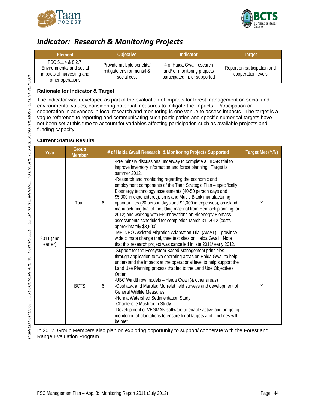



### <span id="page-45-0"></span>*Indicator: Research & Monitoring Projects*

| <b>Flement</b>                                                                                  | <b>Objective</b>                                                      | Indicator                                                                                 | Target                                            |
|-------------------------------------------------------------------------------------------------|-----------------------------------------------------------------------|-------------------------------------------------------------------------------------------|---------------------------------------------------|
| FSC 5.1.4 & 8.2.7:<br>Environmental and social<br>impacts of harvesting and<br>other operations | Provide multiple benefits/<br>mitigate environmental &<br>social cost | # of Haida Gwaii research<br>and/ or monitoring projects<br>participated in, or supported | Report on participation and<br>cooperation levels |

### **Rationale for Indicator & Target**

The indicator was developed as part of the evaluation of impacts for forest management on social and environmental values, considering potential measures to mitigate the impacts. Participation or cooperation in advances in local research and monitoring is one venue to assess impacts. The target is a vague reference to reporting and communicating such participation and specific numerical targets have not been set at this time to account for variables affecting participation such as available projects and funding capacity.

### **Current Status/ Results**

| Year                  | Group<br><b>Member</b> | # of Haida Gwaii Research & Monitoring Projects Supported                                                                                                                                                                                                                                                                                                                                                                                                                                                                                                                                                                                                                                                                                                                                                                                                                                                             | Target Met (Y/N) |
|-----------------------|------------------------|-----------------------------------------------------------------------------------------------------------------------------------------------------------------------------------------------------------------------------------------------------------------------------------------------------------------------------------------------------------------------------------------------------------------------------------------------------------------------------------------------------------------------------------------------------------------------------------------------------------------------------------------------------------------------------------------------------------------------------------------------------------------------------------------------------------------------------------------------------------------------------------------------------------------------|------------------|
| 2011 (and<br>earlier) | Taan                   | -Preliminary discussions underway to complete a LIDAR trial to<br>improve inventory information and forest planning. Target is<br>summer 2012.<br>-Research and monitoring regarding the economic and<br>employment components of the Taan Strategic Plan - specifically<br>Bioenergy technology assessments (40-50 person days and<br>\$5,000 in expenditures); on island Music Blank manufacturing<br>opportunities (20 person days and \$2,000 in expenses); on island<br>6<br>manufacturing trial of moulding material from Hemlock planning for<br>2012; and working with FP Innovations on Bioenergy Biomass<br>assessments scheduled for completion March 31, 2012 (costs<br>approximately \$3,500).<br>-MFLNRO Assisted Migration Adaptation Trial (AMAT) - province<br>wide climate change trial, thee test sites on Haida Gwaii. Note<br>that this research project was cancelled in late 2011/ early 2012. | Υ                |
|                       | <b>BCTS</b>            | -Support for the Ecosystem Based Management principles<br>through application to two operating areas on Haida Gwaii to help<br>understand the impacts at the operational level to help support the<br>Land Use Planning process that led to the Land Use Objectives<br>Order<br>-UBC Windthrow models - Haida Gwaii (& other areas)<br>-Goshawk and Marbled Murrelet field surveys and development of<br>6<br><b>General Wildlife Measures</b><br>-Honna Watershed Sedimentation Study<br>-Chanterelle Mushroom Study<br>-Development of VEGMAN software to enable active and on-going<br>monitoring of plantations to ensure legal targets and timelines will<br>be met.                                                                                                                                                                                                                                             | Υ                |

In 2012, Group Members also plan on exploring opportunity to support/ cooperate with the Forest and Range Evaluation Program.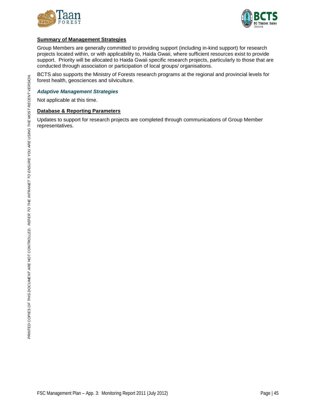



### **Summary of Management Strategies**

Group Members are generally committed to providing support (including in-kind support) for research projects located within, or with applicability to, Haida Gwaii, where sufficient resources exist to provide support. Priority will be allocated to Haida Gwaii specific research projects, particularly to those that are conducted through association or participation of local groups/ organisations.

BCTS also supports the Ministry of Forests research programs at the regional and provincial levels for forest health, geosciences and silviculture.

#### *Adaptive Management Strategies*

Not applicable at this time.

### **Database & Reporting Parameters**

Updates to support for research projects are completed through communications of Group Member representatives.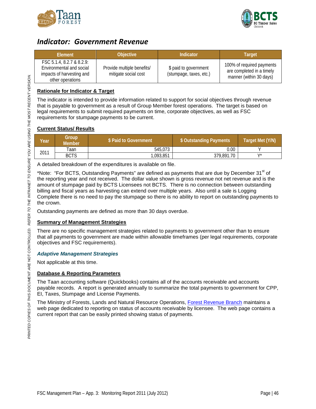



### <span id="page-47-0"></span>*Indicator: Government Revenue*

| Element                                                                                                | <b>Objective</b>                                   | Indicator                                        | Target                                                                            |
|--------------------------------------------------------------------------------------------------------|----------------------------------------------------|--------------------------------------------------|-----------------------------------------------------------------------------------|
| FSC 5.1.4, 8.2.7 & 8.2.9:<br>Environmental and social<br>impacts of harvesting and<br>other operations | Provide multiple benefits/<br>mitigate social cost | \$ paid to government<br>(stumpage, taxes, etc.) | 100% of required payments<br>are completed in a timely<br>manner (within 30 days) |

### **Rationale for Indicator & Target**

The indicator is intended to provide information related to support for social objectives through revenue that is payable to government as a result of Group Member forest operations. The target is based on legal requirements to submit required payments on time, corporate objectives, as well as FSC requirements for stumpage payments to be current.

### **Current Status/ Results**

| Year | Group<br><b>Member</b> | \$ Paid to Government | \$ Outstanding Payments | Target Met (Y/N) |
|------|------------------------|-----------------------|-------------------------|------------------|
|      | Taan                   | 545,073               | 0.00                    |                  |
| 2011 | <b>BCTS</b>            | 1.093.851             | 379,891.70              | \/*              |

A detailed breakdown of the expenditures is available on file.

\*Note: "For BCTS, Outstanding Payments" are defined as payments that are due by December 31<sup>st</sup> of the reporting year and not received. The dollar value shown is gross revenue not net revenue and is the amount of stumpage paid by BCTS Licensees not BCTS. There is no connection between outstanding billing and fiscal years as harvesting can extend over multiple years. Also until a sale is Logging Complete there is no need to pay the stumpage so there is no ability to report on outstanding payments to the crown.

Outstanding payments are defined as more than 30 days overdue.

### **Summary of Management Strategies**

There are no specific management strategies related to payments to government other than to ensure that all payments to government are made within allowable timeframes (per legal requirements, corporate objectives and FSC requirements).

### *Adaptive Management Strategies*

Not applicable at this time.

### **Database & Reporting Parameters**

The Taan accounting software (Quickbooks) contains all of the accounts receivable and accounts payable records. A report is generated annually to summarize the total payments to government for CPP, EI, Taxes, Stumpage and License Payments.

The Ministry of Forests, Lands and Natural Resource Operations, [Forest Revenue Branch](http://www.sbr.gov.bc.ca/applications/frb_acct_rec/frb_ar.asp?SetID=0&Pge=B) maintains a web page dedicated to reporting on status of accounts receivable by licensee. The web page contains a current report that can be easily printed showing status of payments.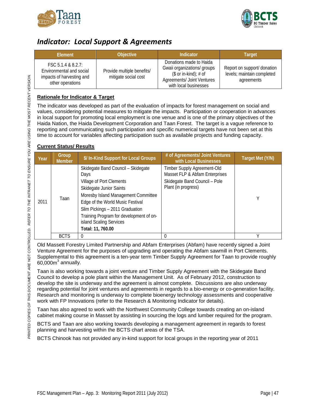



### <span id="page-48-0"></span>*Indicator: Local Support & Agreements*

| Element                                                                                         | <b>Objective</b>                                   | <b>Indicator</b>                                                                                                                                | <b>Target</b>                                                           |
|-------------------------------------------------------------------------------------------------|----------------------------------------------------|-------------------------------------------------------------------------------------------------------------------------------------------------|-------------------------------------------------------------------------|
| FSC 5.1.4 & 8.2.7:<br>Environmental and social<br>impacts of harvesting and<br>other operations | Provide multiple benefits/<br>mitigate social cost | Donations made to Haida<br>Gwaii organizations/ groups<br>$($ or in-kind)$; # of$<br><b>Agreements/ Joint Ventures</b><br>with local businesses | Report on support/ donation<br>levels; maintain completed<br>agreements |

### **Rationale for Indicator & Target**

The indicator was developed as part of the evaluation of impacts for forest management on social and values, considering potential measures to mitigate the impacts. Participation or cooperation in advances in local support for promoting local employment is one venue and is one of the primary objectives of the Haida Nation, the Haida Development Corporation and Taan Forest. The target is a vague reference to reporting and communicating such participation and specific numerical targets have not been set at this time to account for variables affecting participation such as available projects and funding capacity.

### **Current Status/ Results**

| Year | Group<br><b>Member</b> | \$/In-Kind Support for Local Groups                                                                                                                                                                                                                                                                        | # of Agreements/ Joint Ventures<br>with Local Businesses                                                              | Target Met (Y/N) |
|------|------------------------|------------------------------------------------------------------------------------------------------------------------------------------------------------------------------------------------------------------------------------------------------------------------------------------------------------|-----------------------------------------------------------------------------------------------------------------------|------------------|
| 2011 | Taan                   | Skidegate Band Council - Skidegate<br>Days<br>Village of Port Clements<br>Skidegate Junior Saints<br>Moresby Island Management Committee<br>Edge of the World Music Festival<br>Slim Pickings - 2011 Graduation<br>Training Program for development of on-<br>island Scaling Services<br>Total: 11, 760.00 | Timber Supply Agreement-Old<br>Masset FLP & Abfam Enterprises<br>Skidegate Band Council - Pole<br>Plant (in progress) | γ                |
|      | <b>BCTS</b>            | $\Omega$                                                                                                                                                                                                                                                                                                   | $\Omega$                                                                                                              |                  |

Old Massett Forestry Limited Partnership and Abfam Enterprises (Abfam) have recently signed a Joint Venture Agreement for the purposes of upgrading and operating the Abfam sawmill in Port Clements. Supplemental to this agreement is a ten-year term Timber Supply Agreement for Taan to provide roughly  $60,000<sup>3</sup>$  annually.

Taan is also working towards a joint venture and Timber Supply Agreement with the Skidegate Band Council to develop a pole plant within the Management Unit. As of February 2012, construction to develop the site is underway and the agreement is almost complete. Discussions are also underway regarding potential for joint ventures and agreements in regards to a bio-energy or co-generation facility. Research and monitoring is underway to complete bioenergy technology assessments and cooperative work with FP Innovations (refer to the Research & Monitoring Indicator for details).

Taan has also agreed to work with the Northwest Community College towards creating an on-island cabinet making course in Masset by assisting in sourcing the logs and lumber required for the program.

BCTS and Taan are also working towards developing a management agreement in regards to forest planning and harvesting within the BCTS chart areas of the TSA.

BCTS Chinook has not provided any in-kind support for local groups in the reporting year of 2011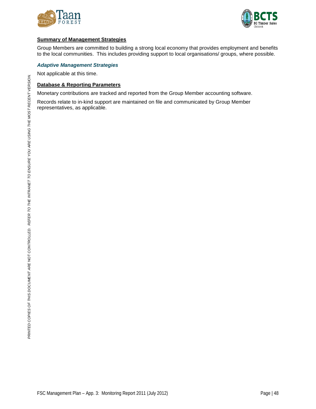



### **Summary of Management Strategies**

Group Members are committed to building a strong local economy that provides employment and benefits to the local communities. This includes providing support to local organisations/ groups, where possible.

#### *Adaptive Management Strategies*

Not applicable at this time.

#### **Database & Reporting Parameters**

Monetary contributions are tracked and reported from the Group Member accounting software.

Records relate to in-kind support are maintained on file and communicated by Group Member representatives, as applicable.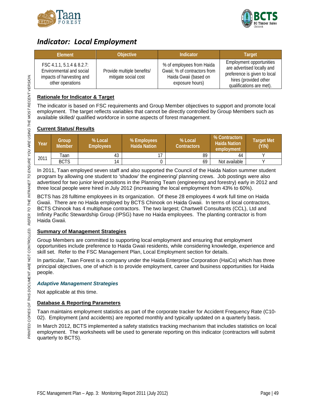



### <span id="page-50-0"></span>*Indicator: Local Employment*

| Element                                                                                                | <b>Objective</b>                                   | Indicator                                                                                             | <b>Target</b>                                                                                                                               |
|--------------------------------------------------------------------------------------------------------|----------------------------------------------------|-------------------------------------------------------------------------------------------------------|---------------------------------------------------------------------------------------------------------------------------------------------|
| FSC 4.1.1, 5.1.4 & 8.2.7:<br>Environmental and social<br>impacts of harvesting and<br>other operations | Provide multiple benefits/<br>mitigate social cost | % of employees from Haida<br>Gwaii; % of contractors from<br>Haida Gwaii (based on<br>exposure hours) | Employment opportunities<br>are advertised locally and<br>preference is given to local<br>hires (provided other<br>qualifications are met). |

### **Rationale for Indicator & Target**

The indicator is based on FSC requirements and Group Member objectives to support and promote local employment. The target reflects variables that cannot be directly controlled by Group Members such as available skilled/ qualified workforce in some aspects of forest management.

### **Current Status/ Results**

| Year | Group<br><b>Member</b> | % Local<br><b>Employees</b> | % Employees<br><b>Haida Nation</b> | % Local<br><b>Contractors</b> | <b>% Contractors</b><br><b>Haida Nation</b><br>employment | <b>Target Met</b><br>(Y/N) |
|------|------------------------|-----------------------------|------------------------------------|-------------------------------|-----------------------------------------------------------|----------------------------|
| 2011 | Гааn                   | 43                          |                                    | 89                            | 44                                                        |                            |
|      | <b>BCTS</b>            | 14                          |                                    | 69                            | Not available                                             |                            |

In 2011, Taan employed seven staff and also supported the Council of the Haida Nation summer student program by allowing one student to 'shadow' the engineering/ planning crews. Job postings were also advertised for two junior level positions in the Planning Team (engineering and forestry) early in 2012 and three local people were hired in July 2012 (increasing the local employment from 43% to 60%).

BCTS has 28 fulltime employees in its organization. Of these 28 employees 4 work full time on Haida Gwaii. There are no Haida employed by BCTS Chinook on Haida Gwaii. In terms of local contractors, BCTS Chinook has 4 multiphase contractors. The two largest; Chartwell Consultants (CCL), Ltd and Infinity Pacific Stewardship Group (IPSG) have no Haida employees. The planting contractor is from Haida Gwaii.

### **Summary of Management Strategies**

Group Members are committed to supporting local employment and ensuring that employment opportunities include preference to Haida Gwaii residents, while considering knowledge, experience and skill set. Refer to the FSC Management Plan, Local Employment section for details.

In particular, Taan Forest is a company under the Haida Enterprise Corporation (HaiCo) which has three principal objectives, one of which is to provide employment, career and business opportunities for Haida people.

### *Adaptive Management Strategies*

Not applicable at this time.

### **Database & Reporting Parameters**

Taan maintains employment statistics as part of the corporate tracker for Accident Frequency Rate (C10- 02). Employment (and accidents) are reported monthly and typically updated on a quarterly basis.

In March 2012, BCTS implemented a safety statistics tracking mechanism that includes statistics on local employment. The worksheets will be used to generate reporting on this indicator (contractors will submit quarterly to BCTS).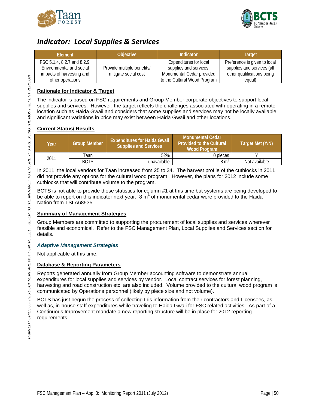



### <span id="page-51-0"></span>*Indicator: Local Supplies & Services*

| <b>Element</b>              | Objective <sup>1</sup>     | Indicator                     | <b>Target</b>                |
|-----------------------------|----------------------------|-------------------------------|------------------------------|
| FSC 5.1.4, 8.2.7 and 8.2.9: |                            | <b>Expenditures for local</b> | Preference is given to local |
| Environmental and social    | Provide multiple benefits/ | supplies and services;        | supplies and services (all   |
| impacts of harvesting and   | mitigate social cost       | Monumental Cedar provided     | other qualifications being   |
| other operations            |                            | to the Cultural Wood Program  | equal)                       |

### **Rationale for Indicator & Target**

The indicator is based on FSC requirements and Group Member corporate objectives to support local supplies and services. However, the target reflects the challenges associated with operating in a remote location such as Haida Gwaii and considers that some supplies and services may not be locally available and significant variations in price may exist between Haida Gwaii and other locations.

### **Current Status/ Results**

| Year | <b>Group Member</b> | <b>Expenditures for Haida Gwaii</b><br><b>Supplies and Services</b> | i Monumental Cedar'<br><b>Provided to the Cultural</b><br><b>Wood Program</b> | Target Met (Y/N) |
|------|---------------------|---------------------------------------------------------------------|-------------------------------------------------------------------------------|------------------|
| 2011 | Taan                | 52%                                                                 | 0 pieces                                                                      |                  |
|      | <b>BCTS</b>         | unavailable                                                         | $8 \text{ m}^3$                                                               | Not available    |

In 2011, the local vendors for Taan increased from 25 to 34. The harvest profile of the cutblocks in 2011 did not provide any options for the cultural wood program. However, the plans for 2012 include some cutblocks that will contribute volume to the program.

BCTS is not able to provide these statistics for column #1 at this time but systems are being developed to be able to report on this indicator next year.  $8 \text{ m}^3$  of monumental cedar were provided to the Haida Nation from TSLA68535.

### **Summary of Management Strategies**

Group Members are committed to supporting the procurement of local supplies and services wherever feasible and economical. Refer to the FSC Management Plan, Local Supplies and Services section for details.

### *Adaptive Management Strategies*

Not applicable at this time.

### **Database & Reporting Parameters**

Reports generated annually from Group Member accounting software to demonstrate annual expenditures for local supplies and services by vendor. Local contract services for forest planning, harvesting and road construction etc. are also included. Volume provided to the cultural wood program is communicated by Operations personnel (likely by piece size and not volume).

BCTS has just begun the process of collecting this information from their contractors and Licensees, as well as, in-house staff expenditures while traveling to Haida Gwaii for FSC related activities. As part of a Continuous Improvement mandate a new reporting structure will be in place for 2012 reporting requirements.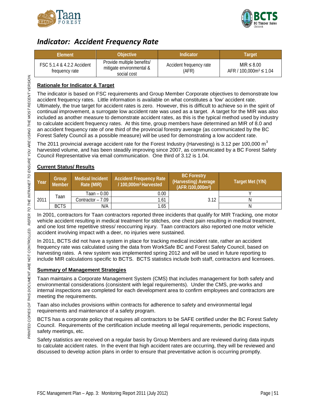



### <span id="page-52-0"></span>*Indicator: Accident Frequency Rate*

| Element                                      | <b>Objective</b>                                                      | Indicator                        | Target                                          |
|----------------------------------------------|-----------------------------------------------------------------------|----------------------------------|-------------------------------------------------|
| FSC 5.1.4 & 4.2.2 Accident<br>frequency rate | Provide multiple benefits/<br>mitigate environmental &<br>social cost | Accident frequency rate<br>(AFR) | $MIR \leq 8.00$<br>AFR / 100,000 $m^3 \le 1.04$ |

### **Rationale for Indicator & Target**

The indicator is based on FSC requirements and Group Member Corporate objectives to demonstrate low accident frequency rates. Little information is available on what constitutes a 'low' accident rate. Ultimately, the true target for accident rates is zero. However, this is difficult to achieve so in the spirit of continual improvement, a surrogate low accident rate was used as a target. A target for the MIR was also included as another measure to demonstrate accident rates, as this is the typical method used by industry to calculate accident frequency rates. At this time, group members have determined an MIR of 8.0 and an accident frequency rate of one third of the provincial forestry average (as communicated by the BC Forest Safety Council as a possible measure) will be used for demonstrating a low accident rate.

The 2011 provincial average accident rate for the Forest Industry (Harvesting) is 3.12 per 100,000  $m<sup>3</sup>$ harvested volume, and has been steadily improving since 2007, as communicated by a BC Forest Safety Council Representative via email communication. One third of 3.12 is 1.04.

### **Current Status/ Results**

| Year | Group<br><b>Member</b> | <b>Medical Incident</b><br>Rate (MIR) | <b>Accident Frequency Rate</b><br>/100,000m <sup>3</sup> Harvested | <b>BC Forestry</b><br>(Harvesting) Average<br>(AFR /100,000m <sup>3</sup> ) | Target Met (Y/N) |
|------|------------------------|---------------------------------------|--------------------------------------------------------------------|-----------------------------------------------------------------------------|------------------|
|      |                        | Taan – 0.00                           | 0.00                                                               |                                                                             |                  |
| 2011 | Taan                   | Contractor – 7.09                     | 1.61                                                               | 3.12                                                                        |                  |
|      | <b>BCTS</b>            | N/A                                   | 1.65                                                               |                                                                             |                  |

In 2001, contractors for Taan contractors reported three incidents that qualify for MIR Tracking, one motor vehicle accident resulting in medical treatment for stitches, one chest pain resulting in medical treatment, and one lost time repetitive stress/ reoccurring injury. Taan contractors also reported one motor vehicle accident involving impact with a deer, no injuries were sustained.

In 2011, BCTS did not have a system in place for tracking medical incident rate, rather an accident frequency rate was calculated using the data from WorkSafe BC and Forest Safety Council, based on harvesting rates. A new system was implemented spring 2012 and will be used in future reporting to include MIR calculations specific to BCTS. BCTS statistics include both staff, contractors and licensees.

### **Summary of Management Strategies**

Taan maintains a Corporate Management System (CMS) that includes management for both safety and environmental considerations (consistent with legal requirements). Under the CMS, pre-works and internal inspections are completed for each development area to confirm employees and contractors are meeting the requirements.

Taan also includes provisions within contracts for adherence to safety and environmental legal requirements and maintenance of a safety program.

BCTS has a corporate policy that requires all contractors to be SAFE certified under the BC Forest Safety Council. Requirements of the certification include meeting all legal requirements, periodic inspections, safety meetings, etc.

Safety statistics are received on a regular basis by Group Members and are reviewed during data inputs to calculate accident rates. In the event that high accident rates are occurring, they will be reviewed and discussed to develop action plans in order to ensure that preventative action is occurring promptly.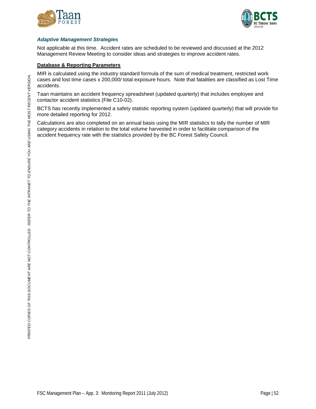



### *Adaptive Management Strategies*

Not applicable at this time. Accident rates are scheduled to be reviewed and discussed at the 2012 Management Review Meeting to consider ideas and strategies to improve accident rates.

### **Database & Reporting Parameters**

MIR is calculated using the industry standard formula of the sum of medical treatment, restricted work cases and lost time cases x 200,000/ total exposure hours. Note that fatalities are classified as Lost Time accidents.

Taan maintains an accident frequency spreadsheet (updated quarterly) that includes employee and contactor accident statistics (File C10-02).

BCTS has recently implemented a safety statistic reporting system (updated quarterly) that will provide for more detailed reporting for 2012.

Calculations are also completed on an annual basis using the MIR statistics to tally the number of MIR category accidents in relation to the total volume harvested in order to facilitate comparison of the accident frequency rate with the statistics provided by the BC Forest Safety Council.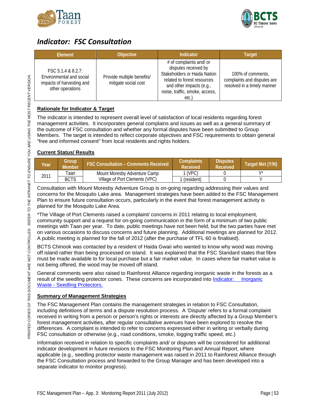



### <span id="page-54-0"></span>*Indicator: FSC Consultation*

| Element                                                                                         | <b>Objective</b>                                   | Indicator                                                                                                                                                                            | <b>Target</b>                                                                   |
|-------------------------------------------------------------------------------------------------|----------------------------------------------------|--------------------------------------------------------------------------------------------------------------------------------------------------------------------------------------|---------------------------------------------------------------------------------|
| FSC 5.1.4 & 8.2.7:<br>Environmental and social<br>impacts of harvesting and<br>other operations | Provide multiple benefits/<br>mitigate social cost | # of complaints and/ or<br>disputes received by<br>Stakeholders or Haida Nation<br>related to forest resources<br>and other impacts (e.g.,<br>noise, traffic, smoke, access,<br>etc. | 100% of comments,<br>complaints and disputes are<br>resolved in a timely manner |

### **Rationale for Indicator & Target**

The indicator is intended to represent overall level of satisfaction of local residents regarding forest management activities. It incorporates general complains and issues as well as a general summary of the outcome of FSC consultation and whether any formal disputes have been submitted to Group Members. The target is intended to reflect corporate objectives and FSC requirements to obtain general "free and informed consent" from local residents and rights holders.

### **Current Status/ Results**

| Year | Group<br>Member | <b>FSC Consultation - Comments Received</b> | Complaints<br>Received | <b>Disputes</b><br>Received | Target Met (Y/N) |
|------|-----------------|---------------------------------------------|------------------------|-----------------------------|------------------|
|      | aan             | Mount Moresby Adventure Camp                | l (VPC)                |                             | $\lambda$ /*     |
| 2011 | <b>BCTS</b>     | Village of Port Clements (VPC)              | (resident)             |                             |                  |

Consultation with Mount Moresby Adventure Group is on-going regarding addressing their values and concerns for the Mosquito Lake area. Management strategies have been added to the FSC Management Plan to ensure future consultation occurs, particularly in the event that forest management activity is planned for the Mosquito Lake Area.

\*The Village of Port Clements raised a complaint/ concerns in 2011 relating to local employment, community support and a request for on-going communication in the form of a minimum of two public meetings with Taan per year. To date, public meetings have not been held, but the two parties have met on various occasions to discuss concerns and future planning. Additional meetings are planned for 2012. A public meeting is planned for the fall of 2012 (after the purchase of TFL 60 is finalised).

BCTS Chinook was contacted by a resident of Haida Gwaii who wanted to know why wood was moving off island rather than being processed on island. It was explained that the FSC Standard states that fibre must be made available to for local purchase but a fair market value. In cases where fair market value is not being offered, the wood may be moved off island.

General comments were also raised to Rainforest Alliance regarding inorganic waste in the forests as a result of the seedling protector cones. These concerns are incorporated into [Indicator:](#page-57-0) Inorganic Waste - [Seedling Protectors.](#page-57-0)

### **Summary of Management Strategies**

The FSC Management Plan contains the management strategies in relation to FSC Consultation, including definitions of terms and a dispute resolution process. A 'Dispute' refers to a formal complaint received in writing from a person or person's rights or interests are directly affected by a Group Member's forest management activities, after regular consultative avenues have been explored to resolve the differences. A complaint is intended to refer to concerns expressed either in writing or verbally during FSC consultation or otherwise (e.g., road conditions, smoke, logging traffic speed, etc.)

Information received in relation to specific complaints and/ or disputes will be considered for additional indicator development in future revisions to the FSC Monitoring Plan and Annual Report, where applicable (e.g., seedling protector waste management was raised in 2011 to Rainforest Alliance through the FSC Consultation process and forwarded to the Group Manager and has been developed into a separate indicator to monitor progress).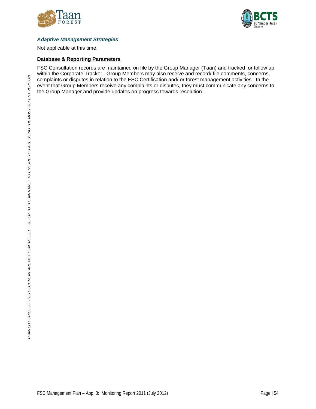



### *Adaptive Management Strategies*

Not applicable at this time.

#### **Database & Reporting Parameters**

FSC Consultation records are maintained on file by the Group Manager (Taan) and tracked for follow up within the Corporate Tracker. Group Members may also receive and record/ file comments, concerns, complaints or disputes in relation to the FSC Certification and/ or forest management activities. In the event that Group Members receive any complaints or disputes, they must communicate any concerns to the Group Manager and provide updates on progress towards resolution.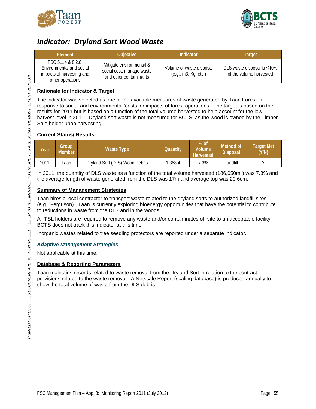



### <span id="page-56-0"></span>*Indicator: Dryland Sort Wood Waste*

| Element                                                                                        | <b>Objective</b>                                                                | Indicator                                        | Target                                                       |
|------------------------------------------------------------------------------------------------|---------------------------------------------------------------------------------|--------------------------------------------------|--------------------------------------------------------------|
| FSC 5.1.4 8.8.2.8<br>Environmental and social<br>impacts of harvesting and<br>other operations | Mitigate environmental &<br>social cost; manage waste<br>and other contaminants | Volume of waste disposal<br>(e.g., m3, Kg, etc.) | DLS waste disposal is $\leq 10\%$<br>of the volume harvested |

### **Rationale for Indicator & Target**

The indicator was selected as one of the available measures of waste generated by Taan Forest in response to social and environmental 'costs' or impacts of forest operations. The target is based on the results for 2011 but is based on a function of the total volume harvested to help account for the low harvest level in 2011. Dryland sort waste is not measured for BCTS, as the wood is owned by the Timber Sale holder upon harvesting.

### **Current Status/ Results**

| Year | Group<br>Member. | Waste Type                     | Quantitv | $%$ of<br>Volume<br><b>Harvested</b> | Method of<br><b>Disposal</b> | <b>Farget Met</b><br>(Y/N) |
|------|------------------|--------------------------------|----------|--------------------------------------|------------------------------|----------------------------|
| 2011 | Taan             | Dryland Sort (DLS) Wood Debris | .368.4   | '.3%                                 | .andfill                     |                            |

In 2011, the quantity of DLS waste as a function of the total volume harvested (186,050m<sup>3</sup>) was 7.3% and the average length of waste generated from the DLS was 17m and average top was 20.6cm.

### **Summary of Management Strategies**

Taan hires a local contractor to transport waste related to the dryland sorts to authorized landfill sites (e.g., Ferguson). Taan is currently exploring bioenergy opportunities that have the potential to contribute to reductions in waste from the DLS and in the woods.

All TSL holders are required to remove any waste and/or contaminates off site to an acceptable facility. BCTS does not track this indicator at this time.

Inorganic wastes related to tree seedling protectors are reported under a separate indicator.

### *Adaptive Management Strategies*

Not applicable at this time.

### **Database & Reporting Parameters**

Taan maintains records related to waste removal from the Dryland Sort in relation to the contract provisions related to the waste removal. A Netscale Report (scaling database) is produced annually to show the total volume of waste from the DLS debris.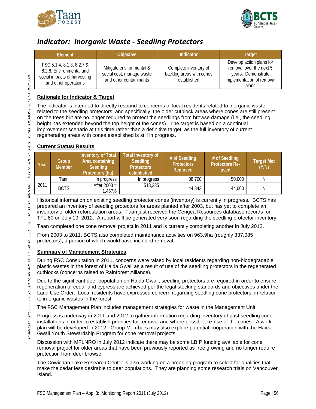



### <span id="page-57-0"></span>*Indicator: Inorganic Waste - Seedling Protectors*

| Element                                                                                                       | Objective                                                                       | Indicator                                                        | <b>Target</b>                                                                                                   |
|---------------------------------------------------------------------------------------------------------------|---------------------------------------------------------------------------------|------------------------------------------------------------------|-----------------------------------------------------------------------------------------------------------------|
| FSC 5.1.4, 8.1.3, 8.2.7 &<br>8.2.8: Environmental and<br>social impacts of harvesting<br>and other operations | Mitigate environmental &<br>social cost; manage waste<br>and other contaminants | Complete inventory of<br>backlog areas with cones<br>established | Develop action plans for<br>removal over the next 5<br>years. Demonstrate<br>implementation of removal<br>plans |

### **Rationale for Indicator & Target**

The indicator is intended to directly respond to concerns of local residents related to inorganic waste related to the seedling protectors, and specifically, the older cutblock areas where cones are still present on the trees but are no longer required to protect the seedlings from browse damage (i.e., the seedling height has extended beyond the top height of the cones). The target is based on a continual improvement scenario at this time rather than a definitive target, as the full inventory of current regenerating areas with cones established is still in progress.

### **Current Status/ Results**

| Year | Group<br><b>Member</b> | Inventory of Total<br>Area containing<br><b>Seedling</b><br>Protectors (ha) | Total Inventory of<br><b>Seedling</b><br><b>Protectors</b><br>established | # of Seedling<br><b>Protectors</b><br>Removed | # of Seedling<br><b>Protectors Re-</b><br>used | <b>Target Met</b><br>(Y/N) |
|------|------------------------|-----------------------------------------------------------------------------|---------------------------------------------------------------------------|-----------------------------------------------|------------------------------------------------|----------------------------|
|      | Taan                   | In progress                                                                 | In progress                                                               | 88,700                                        | 50,000                                         | N                          |
| 2011 | <b>BCTS</b>            | After $2003 =$<br>1,467.6                                                   | 513,235                                                                   | 44,343                                        | 44,000                                         | N                          |

Historical information on existing seedling protector cones (inventory) is currently in progress. BCTS has prepared an inventory of seedling protectors for areas planted after 2003, but has yet to complete an inventory of older reforestation areas. Taan just received the Cengea Resources database records for TFL 60 on July 19, 2012. A report will be generated very soon regarding the seedling protector inventory.

Taan completed one cone removal project in 2011 and is currently completing another in July 2012.

From 2003 to 2011, BCTS also completed maintenance activities on 963.9ha (roughly 337,085 protectors), a portion of which would have included removal.

### **Summary of Management Strategies**

During FSC Consultation in 2011, concerns were raised by local residents regarding non-biodegradable plastic wastes in the forest of Haida Gwaii as a result of use of the seedling protectors in the regenerated cutblocks (concerns raised to Rainforest Alliance).

Due to the significant deer population on Haida Gwaii, seedling protectors are required in order to ensure regeneration of cedar and cypress are achieved per the legal stocking standards and objectives under the Land Use Order. Local residents have expressed concern regarding seedling cone protectors, in relation to in-organic wastes in the forest.

The FSC Management Plan includes management strategies for waste in the Management Unit.

Progress is underway in 2011 and 2012 to gather information regarding inventory of past seedling cone installations in order to establish priorities for removal and where possible, re-use of the cones. A work plan will be developed in 2012. Group Members may also explore potential cooperation with the Haida Gwaii Youth Stewardship Program for cone removal projects.

Discussion with MFLNRO in July 2012 indicate there may be some LBIP funding available for cone removal project for older areas that have been previously reported as free growing and no longer require protection from deer browse.

The Cowichan Lake Research Center is also working on a breeding program to select for qualities that make the cedar less desirable to deer populations. They are planning some research trials on Vancouver Island.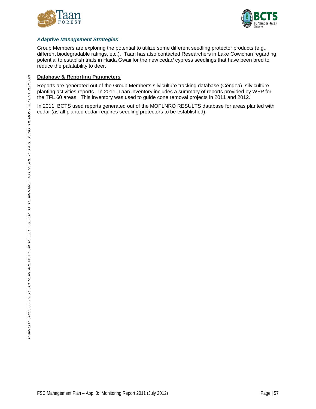



### *Adaptive Management Strategies*

Group Members are exploring the potential to utilize some different seedling protector products (e.g., different biodegradable ratings, etc.). Taan has also contacted Researchers in Lake Cowichan regarding potential to establish trials in Haida Gwaii for the new cedar/ cypress seedlings that have been bred to reduce the palatability to deer.

### **Database & Reporting Parameters**

Reports are generated out of the Group Member's silviculture tracking database (Cengea), silviculture planting activities reports. In 2011, Taan inventory includes a summary of reports provided by WFP for the TFL 60 areas. This inventory was used to guide cone removal projects in 2011 and 2012.

In 2011, BCTS used reports generated out of the MOFLNRO RESULTS database for areas planted with cedar (as all planted cedar requires seedling protectors to be established).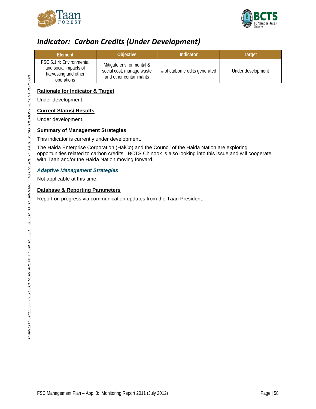



### <span id="page-59-0"></span>*Indicator: Carbon Credits (Under Development)*

| Element                                                                                 | <b>Objective</b>                                                                | Indicator                     | Target            |
|-----------------------------------------------------------------------------------------|---------------------------------------------------------------------------------|-------------------------------|-------------------|
| FSC 5.1.4: Environmental<br>and social impacts of<br>harvesting and other<br>operations | Mitigate environmental &<br>social cost; manage waste<br>and other contaminants | # of carbon credits generated | Under development |

### **Rationale for Indicator & Target**

Under development.

### **Current Status/ Results**

Under development.

### **Summary of Management Strategies**

This indicator is currently under development.

The Haida Enterprise Corporation (HaiCo) and the Council of the Haida Nation are exploring opportunities related to carbon credits. BCTS Chinook is also looking into this issue and will cooperate with Taan and/or the Haida Nation moving forward.

### *Adaptive Management Strategies*

Not applicable at this time.

### **Database & Reporting Parameters**

Report on progress via communication updates from the Taan President.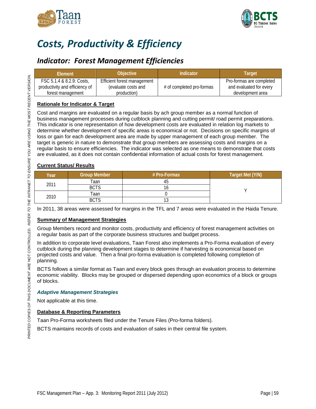



# <span id="page-60-0"></span>*Costs, Productivity & Efficiency*

### <span id="page-60-1"></span>*Indicator: Forest Management Efficiencies*

| <b>Flement</b>                                              | <b>Objective</b>                                   | Indicator                 | Target                                              |
|-------------------------------------------------------------|----------------------------------------------------|---------------------------|-----------------------------------------------------|
| FSC 5.1.4 & 8.2.9: Costs.<br>productivity and efficiency of | Efficient forest management<br>(evaluate costs and | # of completed pro-formas | Pro-formas are completed<br>and evaluated for every |
| forest management                                           | production)                                        |                           | development area                                    |

### **Rationale for Indicator & Target**

Cost and margins are evaluated on a regular basis by ach group member as a normal function of business management processes during cutblock planning and cutting permit/ road permit preparations. This indicator is one representation of how development costs are evaluated in relation log markets to determine whether development of specific areas is economical or not. Decisions on specific margins of loss or gain for each development area are made by upper management of each group member. The target is generic in nature to demonstrate that group members are assessing costs and margins on a regular basis to ensure efficiencies. The indicator was selected as one means to demonstrate that costs are evaluated, as it does not contain confidential information of actual costs for forest management.

### **Current Status/ Results**

| Year | <b>Group Member</b> | # Pro-Formas | Target Met (Y/N) |
|------|---------------------|--------------|------------------|
|      | Taan                |              |                  |
| 2011 | <b>BCTS</b>         |              |                  |
|      | Taan                |              |                  |
| 2010 | <b>BCTS</b>         | ں ו          |                  |

In 2011, 38 areas were assessed for margins in the TFL and 7 areas were evaluated in the Haida Tenure.

### **Summary of Management Strategies**

Group Members record and monitor costs, productivity and efficiency of forest management activities on a regular basis as part of the corporate business structures and budget process.

In addition to corporate level evaluations, Taan Forest also implements a Pro-Forma evaluation of every cutblock during the planning development stages to determine if harvesting is economical based on projected costs and value. Then a final pro-forma evaluation is completed following completion of planning.

BCTS follows a similar format as Taan and every block goes through an evaluation process to determine economic viability. Blocks may be grouped or dispersed depending upon economics of a block or groups of blocks.

### *Adaptive Management Strategies*

Not applicable at this time.

### **Database & Reporting Parameters**

Taan Pro-Forma worksheets filed under the Tenure Files (Pro-forma folders).

BCTS maintains records of costs and evaluation of sales in their central file system.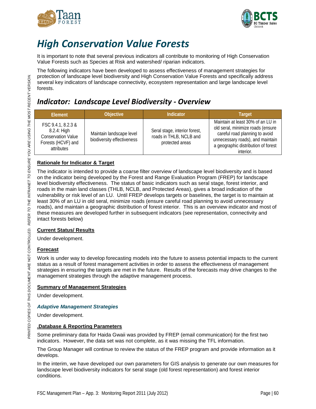



# <span id="page-61-0"></span>*High Conservation Value Forests*

It is important to note that several previous indicators all contribute to monitoring of High Conservation Value Forests such as Species at Risk and watershed/ riparian indicators.

The following indicators have been developed to assess effectiveness of management strategies for protection of landscape level biodiversity and High Conservation Value Forests and specifically address several key indicators of landscape connectivity, ecosystem representation and large landscape level forests.

### <span id="page-61-1"></span>*Indicator: Landscape Level Biodiversity - Overview*

| Element                                                                                               | <b>Objective</b>                                       | Indicator                                                                   | <b>Target</b>                                                                                                                                                                                    |
|-------------------------------------------------------------------------------------------------------|--------------------------------------------------------|-----------------------------------------------------------------------------|--------------------------------------------------------------------------------------------------------------------------------------------------------------------------------------------------|
| FSC 9.4.1, 8.2.3 &<br>$8.2.4$ : High<br><b>Conservation Value</b><br>Forests (HCVF) and<br>attributes | Maintain landscape level<br>biodiversity effectiveness | Seral stage, interior forest,<br>roads in THLB, NCLB and<br>protected areas | Maintain at least 30% of an LU in<br>old seral, minimize roads (ensure<br>careful road planning to avoid<br>unnecessary roads), and maintain<br>a geographic distribution of forest<br>interior. |

### **Rationale for Indicator & Target**

The indicator is intended to provide a coarse filter overview of landscape level biodiversity and is based on the indicator being developed by the Forest and Range Evaluation Program (FREP) for landscape level biodiversity effectiveness. The status of basic indicators such as seral stage, forest interior, and roads in the main land classes (THLB, NCLB, and Protected Areas), gives a broad indication of the vulnerability or risk level of an LU. Until FREP develops targets or baselines, the target is to maintain at least 30% of an LU in old seral, minimize roads (ensure careful road planning to avoid unnecessary roads), and maintain a geographic distribution of forest interior. This is an overview indicator and most of these measures are developed further in subsequent indicators (see representation, connectivity and intact forests below)

### **Current Status/ Results**

Under development.

### **Forecast**

Work is under way to develop forecasting models into the future to assess potential impacts to the current status as a result of forest management activities in order to assess the effectiveness of management strategies in ensuring the targets are met in the future. Results of the forecasts may drive changes to the management strategies through the adaptive management process.

### **Summary of Management Strategies**

Under development.

### *Adaptive Management Strategies*

Under development.

### **.Database & Reporting Parameters**

Some preliminary data for Haida Gwaii was provided by FREP (email communication) for the first two indicators. However, the data set was not complete, as it was missing the TFL information.

The Group Manager will continue to review the status of the FREP program and provide information as it develops.

In the interim, we have developed our own parameters for GIS analysis to generate our own measures for landscape level biodiversity indicators for seral stage (old forest representation) and forest interior conditions.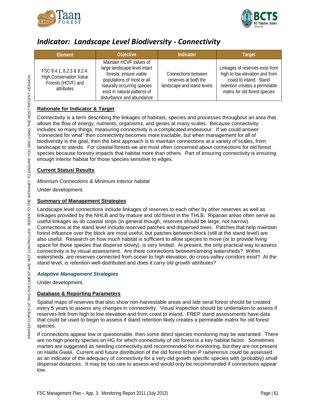



### <span id="page-62-0"></span>*Indicator: Landscape Level Biodiversity - Connectivity*

| Element                                                                                         | <b>Objective</b>                                                                                                                                                                                            | Indicator                                                                 | <b>Target</b>                                                                                                                                                 |
|-------------------------------------------------------------------------------------------------|-------------------------------------------------------------------------------------------------------------------------------------------------------------------------------------------------------------|---------------------------------------------------------------------------|---------------------------------------------------------------------------------------------------------------------------------------------------------------|
| FSC 9.4.1, 8.2.3 & 8.2.4:<br><b>High Conservation Value</b><br>Forests (HCVF) and<br>attributes | Maintain HCVF values of<br>large landscape level intact<br>forests; ensure viable<br>populations of most or all<br>naturally occurring species<br>exist in natural patterns of<br>disturbance and abundance | Connections between<br>reserves at both the<br>landscape and stand levels | Linkages of reserves exist from<br>high to low elevation and from<br>coast to inland. Stand<br>retention creates a permeable<br>matrix for old forest species |

### **Rationale for Indicator & Target**

Connectivity is a term describing the linkages of habitats, species and processes throughout an area that allows the flow of energy, nutrients, organisms, and genes at many scales. Because connectivity includes so many things, measuring connectivity is a complicated endeavour. If we could answer "connected for what" then connectivity becomes more tractable, but when management for all of biodiversity is the goal, then the best approach is to maintain connections at a variety of scales, from landscape to stands. For coastal forests we are most often concerned about connections for old forest species because forestry impacts that habitat more than others. Part of ensuring connectivity is ensuring enough interior habitat for those species sensitive to edges.

### **Current Status/ Results**

*Minimum Connections & Minimum Interior habitat*

Under development.

### **Summary of Management Strategies**

Landscape level connections include linkages of reserves to each other by other reserves as well as linkages provided by the NHLB and by mature and old forest in the THLB. Riparian areas often serve as useful linkages as do coastal strips (in general though, reserves should be large, not narrow). Connections at the stand level include reserved patches and dispersed trees. Patches that help maintain forest influence over the block are most useful, but patches between block (still at the stand level) are also useful. Research on how much habitat is sufficient to allow species to move (or to provide living space for those species that disperse slowly), is very limited. At present, the only practical way to assess connectivity is by visual assessment. Are there connections between/among watersheds? Within watersheds, are reserves connected from ocean to high elevation, do cross-valley corridors exist? At the stand level, is retention well-distributed and does it carry old growth attributes?

### *Adaptive Management Strategies*

Under development.

### **Database & Reporting Parameters**

Spatial maps of reserves that also show non-harvestable areas and late seral forest should be created every 5 years to assess any changes in connectivity. Visual inspection should be undertaken to assess if reserves link from high to low elevation and from coast to inland. FREP stand assessments have data that could be used to begin to assess if stand retention likely creates a permeable matrix for old forest species.

If connections appear low or questionable, then some direct species monitoring may be warranted. There are no high priority species on HG for which connectivity of old forest is a key habitat factor. Sometimes marten are suggested as needing connectivity and recommended for monitoring, but they are not present on Haida Gwaii. Current and future distribution of the old forest lichen *P rainerensis* could be assessed as an indicator of the adequacy of connectivity for a very old growth specific species with (probably) small dispersal distances. It may be too rare to assess and would only be recommended if connections appear low.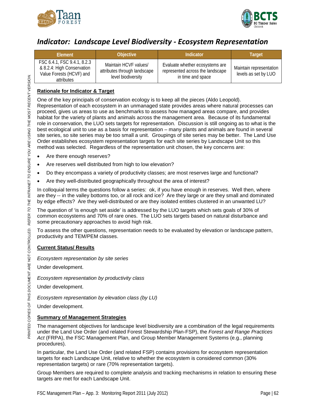



### <span id="page-63-0"></span>*Indicator: Landscape Level Biodiversity - Ecosystem Representation*

| <b>Element</b>                                                                                      | <b>Objective</b>                                                            | <b>Indicator</b>                                                                         | <b>Target</b>                                   |
|-----------------------------------------------------------------------------------------------------|-----------------------------------------------------------------------------|------------------------------------------------------------------------------------------|-------------------------------------------------|
| FSC 6.4.1, FSC 9.4.1, 8.2.3<br>& 8.2.4: High Conservation<br>Value Forests (HCVF) and<br>attributes | Maintain HCVF values/<br>attributes through landscape<br>level biodiversity | Evaluate whether ecosystems are<br>represented across the landscape<br>in time and space | Maintain representation<br>levels as set by LUO |

### **Rationale for Indicator & Target**

One of the key principals of conservation ecology is to keep all the pieces (Aldo Leopold). Representation of each ecosystem in an unmanaged state provides areas where natural processes can proceed, gives us areas to use as benchmarks to assess how managed areas compare, and provides habitat for the variety of plants and animals across the management area. Because of its fundamental role in conservation, the LUO sets targets for representation. Discussion is still ongoing as to what is the best ecological unit to use as a basis for representation – many plants and animals are found in several site series, so site series may be too small a unit. Groupings of site series may be better. The Land Use Order establishes ecosystem representation targets for each site series by Landscape Unit so this method was selected. Regardless of the representation unit chosen, the key concerns are:

- Are there enough reserves?
- Are reserves well distributed from high to low elevation?
- Do they encompass a variety of productivity classes; are most reserves large and functional?
- Are they well-distributed geographically throughout the area of interest?

In colloquial terms the questions follow a series: ok, if you have enough in reserves. Well then, where are they -- in the valley bottoms too, or all rock and ice? Are they large or are they small and dominated by edge effects? Are they well-distributed or are they isolated entities clustered in an unwanted LU?

The question of 'is enough set aside' is addressed by the LUO targets which sets goals of 30% of common ecosystems and 70% of rare ones. The LUO sets targets based on natural disturbance and some precautionary approaches to avoid high risk.

To assess the other questions, representation needs to be evaluated by elevation or landscape pattern, productivity and TEM/PEM classes.

### **Current Status/ Results**

*Ecosystem representation by site series*

Under development.

*Ecosystem representation by productivity class*

Under development.

*Ecosystem representation by elevation class (by LU)*

Under development.

### **Summary of Management Strategies**

The management objectives for landscape level biodiversity are a combination of the legal requirements under the Land Use Order (and related Forest Stewardship Plan-FSP), the *Forest and Range Practices Act* (FRPA), the FSC Management Plan, and Group Member Management Systems (e.g., planning procedures).

In particular, the Land Use Order (and related FSP) contains provisions for ecosystem representation targets for each Landscape Unit, relative to whether the ecosystem is considered common (30% representation targets) or rare (70% representation targets).

Group Members are required to complete analysis and tracking mechanisms in relation to ensuring these targets are met for each Landscape Unit.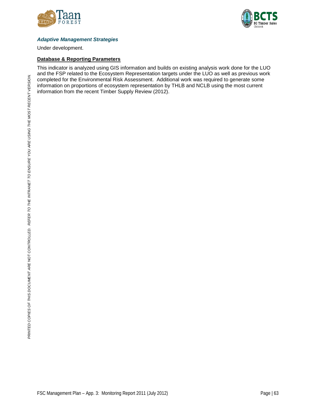



### *Adaptive Management Strategies*

Under development.

#### **Database & Reporting Parameters**

This indicator is analyzed using GIS information and builds on existing analysis work done for the LUO and the FSP related to the Ecosystem Representation targets under the LUO as well as previous work completed for the Environmental Risk Assessment. Additional work was required to generate some information on proportions of ecosystem representation by THLB and NCLB using the most current information from the recent Timber Supply Review (2012).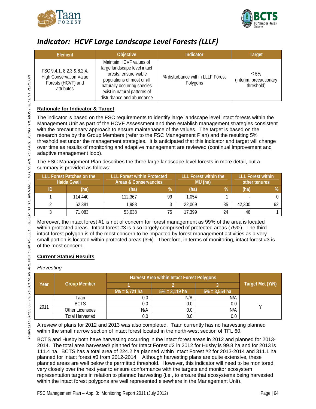



### <span id="page-65-0"></span>*Indicator: HCVF Large Landscape Level Forests (LLLF)*

| Element                                                                                         | <b>Objective</b>                                                                                                                                                                                            | <b>Indicator</b>                             | <b>Target</b>                                       |
|-------------------------------------------------------------------------------------------------|-------------------------------------------------------------------------------------------------------------------------------------------------------------------------------------------------------------|----------------------------------------------|-----------------------------------------------------|
| FSC 9.4.1, 8.2.3 & 8.2.4:<br><b>High Conservation Value</b><br>Forests (HCVF) and<br>attributes | Maintain HCVF values of<br>large landscape level intact<br>forests; ensure viable<br>populations of most or all<br>naturally occurring species<br>exist in natural patterns of<br>disturbance and abundance | % disturbance within LLLF Forest<br>Polygons | $\leq 5\%$<br>(interim, precautionary<br>threshold) |

### **Rationale for Indicator & Target**

The indicator is based on the FSC requirements to identify large landscape level intact forests within the Management Unit as part of the HCVF Assessment and then establish management strategies consistent with the precautionary approach to ensure maintenance of the values. The target is based on the research done by the Group Members (refer to the FSC Management Plan) and the resulting 5% threshold set under the management strategies. It is anticipated that this indicator and target will change over time as results of monitoring and adaptive management are reviewed (continual improvement and adaptive management loop).

The FSC Management Plan describes the three large landscape level forests in more detail, but a summary is provided as follows:

| <b>LLL Forest Patches on the</b><br>Haida Gwaii |         | <b>LLL Forest within Protected</b><br>Areas & Conservancies |        | <b>LLL Forest within the</b><br>MU (ha) |        | <b>LLL Forest within</b><br>other tenures |  |
|-------------------------------------------------|---------|-------------------------------------------------------------|--------|-----------------------------------------|--------|-------------------------------------------|--|
| (ha)                                            | (ha)    | %                                                           | (ha)   | %                                       | (ha)   | %                                         |  |
| 114,440                                         | 112.367 | 99                                                          | 1.054  |                                         |        |                                           |  |
| 62,381                                          | 1,988   |                                                             | 22.069 | 35                                      | 42,300 |                                           |  |
| 71,083                                          | 53,638  | 75                                                          | 17.399 | 24                                      | 46     |                                           |  |

Moreover, the intact forest #1 is not of concern for forest management as 99% of the area is located within protected areas. Intact forest #3 is also largely comprised of protected areas (75%). The third intact forest polygon is of the most concern to be impacted by forest management activities as a very small portion is located within protected areas (3%). Therefore, in terms of monitoring, intact forest #3 is of the most concern.

### **Current Status/ Results**

### *Harvesting*

|      |                     | Harvest Area within Intact Forest Polygons |                  |                  |                  |
|------|---------------------|--------------------------------------------|------------------|------------------|------------------|
| Year | <b>Group Member</b> |                                            |                  |                  | Target Met (Y/N) |
|      |                     | $5\% = 5,721$ ha                           | $5\% = 3,119$ ha | $5\% = 3,554$ ha |                  |
|      | Taan                | 0.C                                        | N/A              | N/A              |                  |
| 2011 | <b>BCTS</b>         | 0.0                                        | 0.0              | $0.0\,$          |                  |
|      | Other Licensees     | N/A                                        | 0.0              | N/A              |                  |
|      | Total Harvested     | 0.0                                        | 0.0              | 0.0              |                  |

A review of plans for 2012 and 2013 was also completed. Taan currently has no harvesting planned within the small narrow section of intact forest located in the north-west section of TFL 60.

BCTS and Husby both have harvesting occurring in the intact forest areas in 2012 and planned for 2013- 2014. The total area harvested/ planned for Intact Forest #2 in 2012 for Husby is 99.8 ha and for 2013 is 111.4 ha. BCTS has a total area of 224.2 ha planned within Intact Forest #2 for 2013-2014 and 311.1 ha planned for Intact forest #3 from 2012-2014. Although harvesting plans are quite extensive, these planned areas are well below the permitted threshold. However, this indicator will need to be monitored very closely over the next year to ensure conformance with the targets and monitor ecosystem representation targets in relation to planned harvesting (i.e., to ensure that ecosystems being harvested within the intact forest polygons are well represented elsewhere in the Management Unit).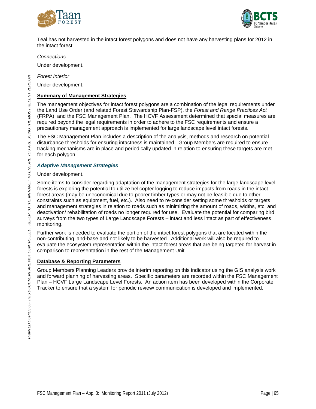



Teal has not harvested in the intact forest polygons and does not have any harvesting plans for 2012 in the intact forest.

*Connections*

Under development.

*Forest Interior*

Under development.

#### **Summary of Management Strategies**

The management objectives for intact forest polygons are a combination of the legal requirements under the Land Use Order (and related Forest Stewardship Plan-FSP), the *Forest and Range Practices Act*  (FRPA), and the FSC Management Plan. The HCVF Assessment determined that special measures are required beyond the legal requirements in order to adhere to the FSC requirements and ensure a precautionary management approach is implemented for large landscape level intact forests.

The FSC Management Plan includes a description of the analysis, methods and research on potential disturbance thresholds for ensuring intactness is maintained. Group Members are required to ensure tracking mechanisms are in place and periodically updated in relation to ensuring these targets are met for each polygon.

#### *Adaptive Management Strategies*

Under development.

Some items to consider regarding adaptation of the management strategies for the large landscape level forests is exploring the potential to utilize helicopter logging to reduce impacts from roads in the intact forest areas (may be uneconomical due to poorer timber types or may not be feasible due to other constraints such as equipment, fuel, etc.). Also need to re-consider setting some thresholds or targets and management strategies in relation to roads such as minimizing the amount of roads, widths, etc. and deactivation/ rehabilitation of roads no longer required for use. Evaluate the potential for comparing bird surveys from the two types of Large Landscape Forests – intact and less intact as part of effectiveness monitoring.

Further work is needed to evaluate the portion of the intact forest polygons that are located within the non-contributing land-base and not likely to be harvested. Additional work will also be required to evaluate the ecosystem representation within the intact forest areas that are being targeted for harvest in comparison to representation in the rest of the Management Unit.

### **Database & Reporting Parameters**

Group Members Planning Leaders provide interim reporting on this indicator using the GIS analysis work and forward planning of harvesting areas. Specific parameters are recorded within the FSC Management Plan – HCVF Large Landscape Level Forests. An action item has been developed within the Corporate Tracker to ensure that a system for periodic review/ communication is developed and implemented.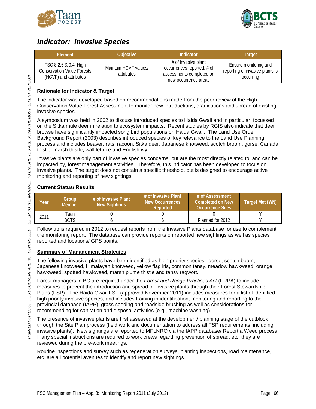



### <span id="page-67-0"></span>*Indicator: Invasive Species*

| <b>Flement</b>                                                                      | <b>Objective</b>                    | Indicator                                                                                             | Target                                                                |
|-------------------------------------------------------------------------------------|-------------------------------------|-------------------------------------------------------------------------------------------------------|-----------------------------------------------------------------------|
| FSC 8.2.6 & 9.4: High<br><b>Conservation Value Forests</b><br>(HCVF) and attributes | Maintain HCVF values/<br>attributes | # of invasive plant<br>occurrences reported; # of<br>assessments completed on<br>new occurrence areas | Ensure monitoring and<br>reporting of invasive plants is<br>occurring |

### **Rationale for Indicator & Target**

The indicator was developed based on recommendations made from the peer review of the High Conservation Value Forest Assessment to monitor new introductions, eradications and spread of existing invasive species.

A symposium was held in 2002 to discuss introduced species to Haida Gwaii and in particular, focussed on the Sitka mule deer in relation to ecosystem impacts. Recent studies by RGIS also indicate that deer browse have significantly impacted song bird populations on Haida Gwaii. The Land Use Order Background Report (2003) describes introduced species of key relevance to the Land Use Planning process and includes beaver, rats, racoon, Sitka deer, Japanese knotweed, scotch broom, gorse, Canada thistle, marsh thistle, wall lettuce and English ivy.

Invasive plants are only part of invasive species concerns, but are the most directly related to, and can be impacted by, forest management activities. Therefore, this indicator has been developed to focus on invasive plants. The target does not contain a specific threshold, but is designed to encourage active monitoring and reporting of new sightings.

### **Current Status/ Results**

| Year | Group<br><b>Member</b> | # of Invasive Plant<br><b>New Sightings</b> | # of Invasive Plant<br>New Occurrences<br>Reported | # of Assessment<br>Completed on New<br><b>Occurrence Sites</b> | Target Met (Y/N) |
|------|------------------------|---------------------------------------------|----------------------------------------------------|----------------------------------------------------------------|------------------|
| 2011 | Taan                   |                                             |                                                    |                                                                |                  |
|      | <b>BCTS</b>            |                                             |                                                    | Planned for 2012                                               |                  |

Follow up is required in 2012 to request reports from the Invasive Plants database for use to complement the monitoring report. The database can provide reports on reported new sightings as well as species reported and locations/ GPS points.

### **Summary of Management Strategies**

The following invasive plants have been identified as high priority species: gorse, scotch boom, Japanese knotweed, Himalayan knotweed, yellow flag iris, common tansy, meadow hawkweed, orange hawkweed, spotted hawkweed, marsh plume thistle and tansy ragwort.

Forest managers in BC are required under the *Forest and Range Practices Act* (FRPA) to include measures to prevent the introduction and spread of invasive plants through their Forest Stewardship Plans (FSP). The Haida Gwaii FSP (approved November 2011) includes measures for a list of identified high priority invasive species, and includes training in identification, monitoring and reporting to the provincial database (IAPP), grass seeding and roadside brushing as well as considerations for recommending for sanitation and disposal activities (e.g., machine washing).

The presence of invasive plants are first assessed at the development/ planning stage of the cutblock through the Site Plan process (field work and documentation to address all FSP requirements, including invasive plants). New sightings are reported to MFLNRO via the IAPP database/ Report a Weed process. If any special instructions are required to work crews regarding prevention of spread, etc. they are reviewed during the pre-work meetings.

Routine inspections and survey such as regeneration surveys, planting inspections, road maintenance, etc. are all potential avenues to identify and report new sightings.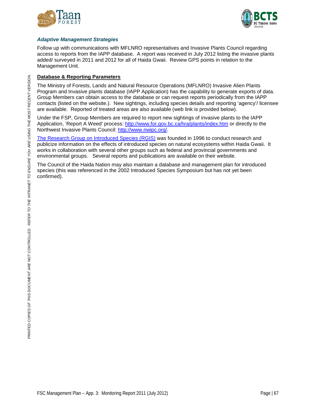



### *Adaptive Management Strategies*

Follow up with communications with MFLNRO representatives and Invasive Plants Council regarding access to reports from the IAPP database. A report was received in July 2012 listing the invasive plants added/ surveyed in 2011 and 2012 for all of Haida Gwaii. Review GPS points in relation to the Management Unit.

### **Database & Reporting Parameters**

The Ministry of Forests, Lands and Natural Resource Operations (MFLNRO) Invasive Alien Plants Program and Invasive plants database (IAPP Application) has the capability to generate exports of data. Group Members can obtain access to the database or can request reports periodically from the IAPP contacts (listed on the website.). New sightings, including species details and reporting 'agency'/ licensee are available. Reported of treated areas are also available (web link is provided below).

Under the FSP, Group Members are required to report new sightings of invasive plants to the IAPP Application, 'Report A Weed' process:<http://www.for.gov.bc.ca/hra/plants/index.htm> or directly to the Northwest Invasive Plants Council: [http://www.nwipc.org/.](http://www.nwipc.org/)

[The Research Group on Introduced Species \(RGIS\)](http://rgis.cefe.cnrs.fr/RGIS%20(Research%20Group%20on%20Introduced%20Species)%20-%20Home.html) was founded in 1996 to conduct research and publicize information on the effects of introduced species on natural ecosystems within Haida Gwaii. It works in collaboration with several other groups such as federal and provincial governments and environmental groups. Several reports and publications are available on their website.

The Council of the Haida Nation may also maintain a database and management plan for introduced species (this was referenced in the 2002 Introduced Species Symposium but has not yet been confirmed).